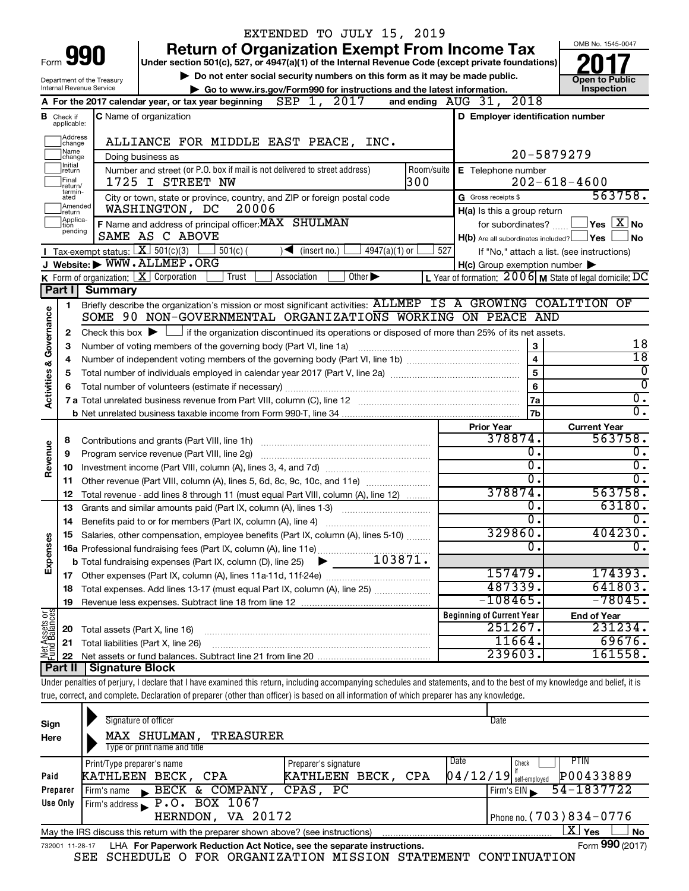|                         |                               |                            |                                                                            | EXTENDED TO JULY 15, 2019                                                                                                                                                   |                                                         |                                               |
|-------------------------|-------------------------------|----------------------------|----------------------------------------------------------------------------|-----------------------------------------------------------------------------------------------------------------------------------------------------------------------------|---------------------------------------------------------|-----------------------------------------------|
|                         |                               |                            |                                                                            | <b>Return of Organization Exempt From Income Tax</b>                                                                                                                        |                                                         | OMB No. 1545-0047                             |
| Form                    | 99                            |                            |                                                                            | Under section 501(c), 527, or 4947(a)(1) of the Internal Revenue Code (except private foundations)                                                                          |                                                         |                                               |
|                         | Department of the Treasury    |                            |                                                                            | Do not enter social security numbers on this form as it may be made public.                                                                                                 |                                                         | <b>Open to Public</b>                         |
|                         | Internal Revenue Service      |                            |                                                                            | Go to www.irs.gov/Form990 for instructions and the latest information.                                                                                                      |                                                         | Inspection                                    |
|                         |                               |                            | A For the 2017 calendar year, or tax year beginning                        | SEP 1, 2017                                                                                                                                                                 | and ending AUG 31, 2018                                 |                                               |
|                         | <b>B</b> Check if applicable: |                            | C Name of organization                                                     |                                                                                                                                                                             | D Employer identification number                        |                                               |
|                         | Address                       |                            |                                                                            | ALLIANCE FOR MIDDLE EAST PEACE, INC.                                                                                                                                        |                                                         |                                               |
|                         | change<br> Name               |                            | Doing business as                                                          |                                                                                                                                                                             |                                                         | 20-5879279                                    |
|                         | change<br>Initial<br>return   |                            | Number and street (or P.O. box if mail is not delivered to street address) | Room/suite                                                                                                                                                                  | E Telephone number                                      |                                               |
|                         | Final<br>return/              |                            | 1725 I STREET NW                                                           | 300                                                                                                                                                                         |                                                         | $202 - 618 - 4600$                            |
|                         | termin-<br>ated               |                            | City or town, state or province, country, and ZIP or foreign postal code   |                                                                                                                                                                             | G Gross receipts \$                                     | 563758.                                       |
|                         | Amended<br>Ireturn            |                            | 20006<br>WASHINGTON, DC                                                    |                                                                                                                                                                             | H(a) Is this a group return                             |                                               |
|                         | Applica-<br>Ition             |                            | F Name and address of principal officer: MAX SHULMAN                       |                                                                                                                                                                             | for subordinates?                                       | $\sqrt{}$ Yes $\sqrt{ \ \overline{\rm X}}$ No |
|                         | pending                       |                            | SAME AS C ABOVE                                                            |                                                                                                                                                                             | $H(b)$ Are all subordinates included? $\Box$ Yes        | No                                            |
|                         |                               |                            | Tax-exempt status: $X \over 301(c)(3)$<br>$501(c)$ (                       | $\sqrt{\frac{1}{1}}$ (insert no.)<br>$4947(a)(1)$ or                                                                                                                        | 527                                                     | If "No," attach a list. (see instructions)    |
|                         |                               |                            | J Website: WWW.ALLMEP.ORG                                                  |                                                                                                                                                                             | $H(c)$ Group exemption number $\blacktriangleright$     |                                               |
|                         |                               |                            | K Form of organization:   X Corporation<br>Trust                           | Association<br>Other $\blacktriangleright$                                                                                                                                  | L Year of formation: 2006 M State of legal domicile: DC |                                               |
|                         |                               | Part I Summary             |                                                                            |                                                                                                                                                                             |                                                         |                                               |
|                         | 1                             |                            |                                                                            | Briefly describe the organization's mission or most significant activities: ALLMEP IS A GROWING COALITION OF<br>SOME 90 NON-GOVERNMENTAL ORGANIZATIONS WORKING ON PEACE AND |                                                         |                                               |
|                         | 2                             |                            |                                                                            | Check this box $\blacktriangleright$ $\Box$ if the organization discontinued its operations or disposed of more than 25% of its net assets.                                 |                                                         |                                               |
|                         | 3                             |                            | Number of voting members of the governing body (Part VI, line 1a)          |                                                                                                                                                                             | 3                                                       | 18                                            |
|                         | 4                             |                            |                                                                            |                                                                                                                                                                             | $\overline{\mathbf{4}}$                                 | $\overline{18}$                               |
|                         | 5                             |                            |                                                                            |                                                                                                                                                                             | 5                                                       | $\overline{0}$                                |
| Activities & Governance | 6                             |                            |                                                                            |                                                                                                                                                                             | 6                                                       | $\overline{0}$                                |
|                         |                               |                            |                                                                            |                                                                                                                                                                             | 7a                                                      | $\overline{0}$ .                              |
|                         |                               |                            |                                                                            |                                                                                                                                                                             | 7b                                                      | $\overline{0}$ .                              |
|                         |                               |                            |                                                                            |                                                                                                                                                                             | <b>Prior Year</b><br>378874.                            | <b>Current Year</b><br>563758.                |
|                         | 8                             |                            |                                                                            |                                                                                                                                                                             | 0.                                                      | о.                                            |
| Revenue                 | 9<br>10                       |                            | Program service revenue (Part VIII, line 2g)                               |                                                                                                                                                                             | 0.                                                      | 0,                                            |
|                         | 11                            |                            |                                                                            | Other revenue (Part VIII, column (A), lines 5, 6d, 8c, 9c, 10c, and 11e)                                                                                                    | σ.                                                      | Ω.                                            |
|                         | 12                            |                            |                                                                            | Total revenue - add lines 8 through 11 (must equal Part VIII, column (A), line 12)                                                                                          | 378874.                                                 | 563758.                                       |
|                         | 13                            |                            |                                                                            | Grants and similar amounts paid (Part IX, column (A), lines 1-3) <i></i>                                                                                                    | О.                                                      | 63180.                                        |
|                         | 14                            |                            | Benefits paid to or for members (Part IX, column (A), line 4)              |                                                                                                                                                                             | 0.                                                      | 0.                                            |
|                         |                               |                            |                                                                            | 15 Salaries, other compensation, employee benefits (Part IX, column (A), lines 5-10)                                                                                        | 329860.                                                 | 404230.                                       |
| Expenses                |                               |                            |                                                                            |                                                                                                                                                                             | 0                                                       | о.                                            |
|                         |                               |                            |                                                                            |                                                                                                                                                                             |                                                         |                                               |
|                         |                               |                            |                                                                            |                                                                                                                                                                             | 157479.                                                 | 174393.                                       |
|                         | 18                            |                            |                                                                            | Total expenses. Add lines 13-17 (must equal Part IX, column (A), line 25)                                                                                                   | 487339.<br>$-108465.$                                   | 641803.<br>$-78045.$                          |
|                         | 19                            |                            |                                                                            |                                                                                                                                                                             | <b>Beginning of Current Year</b>                        |                                               |
| Net Assets or           |                               |                            | Total assets (Part X, line 16)                                             |                                                                                                                                                                             | 251267.                                                 | <b>End of Year</b><br>231234.                 |
|                         | 20<br>21                      |                            | Total liabilities (Part X, line 26)                                        |                                                                                                                                                                             | 11664.                                                  | 69676.                                        |
|                         | 22                            |                            |                                                                            |                                                                                                                                                                             | 239603.                                                 | 161558.                                       |
|                         | ∣ Part II                     | <b>Signature Block</b>     |                                                                            |                                                                                                                                                                             |                                                         |                                               |
|                         |                               |                            |                                                                            | Under penalties of perjury, I declare that I have examined this return, including accompanying schedules and statements, and to the best of my knowledge and belief, it is  |                                                         |                                               |
|                         |                               |                            |                                                                            | true, correct, and complete. Declaration of preparer (other than officer) is based on all information of which preparer has any knowledge.                                  |                                                         |                                               |
|                         |                               |                            |                                                                            |                                                                                                                                                                             |                                                         |                                               |
| Sign                    |                               |                            | Signature of officer                                                       |                                                                                                                                                                             | Date                                                    |                                               |
| Here                    |                               |                            | MAX SHULMAN,<br><b>TREASURER</b>                                           |                                                                                                                                                                             |                                                         |                                               |
|                         |                               |                            | Type or print name and title                                               |                                                                                                                                                                             | Date                                                    | PTIN                                          |
|                         |                               |                            |                                                                            |                                                                                                                                                                             |                                                         |                                               |
| Paid                    |                               | Print/Type preparer's name | KATHLEEN BECK, CPA                                                         | Preparer's signature<br>KATHLEEN BECK, CPA                                                                                                                                  | Check<br>$04/12/19$ self-employed                       | P00433889                                     |

| Paid     | KATHLEEN BECK, CPA                                                                     | $\mathbb{R}$ ATHLEEN BECK, CPA $\mathbb{U}$ 4/14/19 self-employed $\mathbb{P}$ 00433889 |  |                            |                          |                 |
|----------|----------------------------------------------------------------------------------------|-----------------------------------------------------------------------------------------|--|----------------------------|--------------------------|-----------------|
| Preparer | Firm's name BECK & COMPANY, CPAS, PC                                                   |                                                                                         |  | $I$ Firm's EIN 54-1837722  |                          |                 |
| Use Only | $\lvert$ Firm's address $\blacktriangleright$ P.O. BOX 1067                            |                                                                                         |  |                            |                          |                 |
|          | HERNDON, VA 20172                                                                      |                                                                                         |  | I Phone no. (703) 834-0776 |                          |                 |
|          | May the IRS discuss this return with the preparer shown above? (see instructions)      |                                                                                         |  |                            | $X \mid Y_{\mathsf{es}}$ | No              |
|          | 732001 11-28-17 LHA For Paperwork Reduction Act Notice, see the separate instructions. |                                                                                         |  |                            |                          | Form 990 (2017) |

SEE SCHEDULE O FOR ORGANIZATION MISSION STATEMENT CONTINUATION

Form **990** (2017)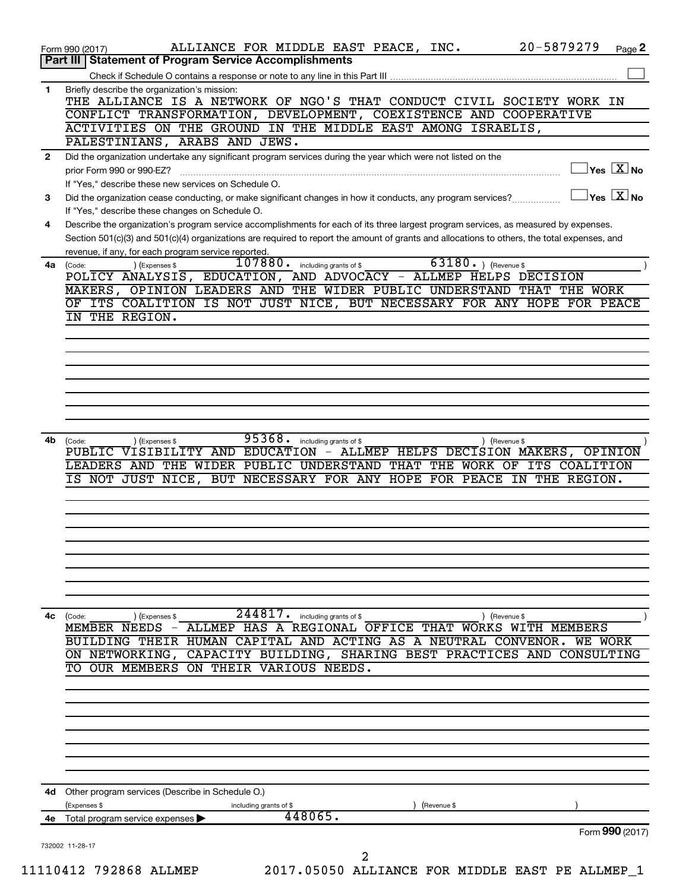|              | 20-5879279<br>ALLIANCE FOR MIDDLE EAST PEACE, INC.<br>Page 2<br>Form 990 (2017)<br>Part III   Statement of Program Service Accomplishments                                                                                                                                                                                                  |
|--------------|---------------------------------------------------------------------------------------------------------------------------------------------------------------------------------------------------------------------------------------------------------------------------------------------------------------------------------------------|
|              |                                                                                                                                                                                                                                                                                                                                             |
| 1            | Briefly describe the organization's mission:                                                                                                                                                                                                                                                                                                |
|              | THE ALLIANCE IS A NETWORK OF NGO'S THAT CONDUCT CIVIL SOCIETY WORK IN<br>CONFLICT TRANSFORMATION, DEVELOPMENT, COEXISTENCE AND COOPERATIVE                                                                                                                                                                                                  |
|              | ACTIVITIES ON THE GROUND IN THE MIDDLE EAST AMONG ISRAELIS,                                                                                                                                                                                                                                                                                 |
|              | PALESTINIANS, ARABS AND JEWS.                                                                                                                                                                                                                                                                                                               |
| $\mathbf{2}$ | Did the organization undertake any significant program services during the year which were not listed on the<br>$\sqrt{\mathsf{Yes}\ \mathbf{X}}$ No<br>prior Form 990 or 990-EZ?                                                                                                                                                           |
|              | If "Yes," describe these new services on Schedule O.<br>$\gamma$ es $\boxed{\text{X}}$ No                                                                                                                                                                                                                                                   |
| 3            | Did the organization cease conducting, or make significant changes in how it conducts, any program services?<br>If "Yes," describe these changes on Schedule O.                                                                                                                                                                             |
| 4            | Describe the organization's program service accomplishments for each of its three largest program services, as measured by expenses.<br>Section 501(c)(3) and 501(c)(4) organizations are required to report the amount of grants and allocations to others, the total expenses, and<br>revenue, if any, for each program service reported. |
| 4a           | 63180. ) (Revenue \$<br>107880.<br>including grants of \$<br>) (Expenses \$<br>(Code:                                                                                                                                                                                                                                                       |
|              | POLICY ANALYSIS, EDUCATION, AND ADVOCACY - ALLMEP HELPS DECISION                                                                                                                                                                                                                                                                            |
|              | MAKERS, OPINION LEADERS AND THE WIDER PUBLIC UNDERSTAND THAT THE WORK<br>OF ITS COALITION IS NOT JUST NICE, BUT NECESSARY FOR ANY HOPE FOR PEACE                                                                                                                                                                                            |
|              | IN THE REGION.                                                                                                                                                                                                                                                                                                                              |
|              |                                                                                                                                                                                                                                                                                                                                             |
|              |                                                                                                                                                                                                                                                                                                                                             |
|              |                                                                                                                                                                                                                                                                                                                                             |
|              |                                                                                                                                                                                                                                                                                                                                             |
|              |                                                                                                                                                                                                                                                                                                                                             |
|              |                                                                                                                                                                                                                                                                                                                                             |
|              |                                                                                                                                                                                                                                                                                                                                             |
| 4b           | 95368.<br>including grants of \$<br>) (Revenue \$<br>(Code:<br>) (Expenses \$                                                                                                                                                                                                                                                               |
|              | PUBLIC VISIBILITY AND EDUCATION - ALLMEP HELPS DECISION MAKERS, OPINION<br>LEADERS AND THE WIDER PUBLIC UNDERSTAND THAT THE WORK OF ITS COALITION                                                                                                                                                                                           |
|              | IS NOT JUST NICE, BUT NECESSARY FOR ANY HOPE FOR PEACE IN THE REGION.                                                                                                                                                                                                                                                                       |
|              |                                                                                                                                                                                                                                                                                                                                             |
|              |                                                                                                                                                                                                                                                                                                                                             |
|              |                                                                                                                                                                                                                                                                                                                                             |
|              |                                                                                                                                                                                                                                                                                                                                             |
|              |                                                                                                                                                                                                                                                                                                                                             |
|              |                                                                                                                                                                                                                                                                                                                                             |
|              |                                                                                                                                                                                                                                                                                                                                             |
|              | 244817.                                                                                                                                                                                                                                                                                                                                     |
| 4с           | including grants of \$<br>(Code:<br>) (Expenses \$<br>) (Revenue \$<br>MEMBER NEEDS - ALLMEP HAS A REGIONAL OFFICE THAT WORKS WITH MEMBERS                                                                                                                                                                                                  |
|              | BUILDING THEIR HUMAN CAPITAL AND ACTING AS A NEUTRAL CONVENOR. WE WORK                                                                                                                                                                                                                                                                      |
|              | ON NETWORKING, CAPACITY BUILDING, SHARING BEST PRACTICES AND CONSULTING                                                                                                                                                                                                                                                                     |
|              | TO OUR MEMBERS ON THEIR VARIOUS NEEDS.                                                                                                                                                                                                                                                                                                      |
|              |                                                                                                                                                                                                                                                                                                                                             |
|              |                                                                                                                                                                                                                                                                                                                                             |
|              |                                                                                                                                                                                                                                                                                                                                             |
|              |                                                                                                                                                                                                                                                                                                                                             |
|              |                                                                                                                                                                                                                                                                                                                                             |
|              |                                                                                                                                                                                                                                                                                                                                             |
| 4d           | Other program services (Describe in Schedule O.)                                                                                                                                                                                                                                                                                            |
|              | (Expenses \$<br>including grants of \$<br>(Revenue \$                                                                                                                                                                                                                                                                                       |
|              | 448065.<br>4e Total program service expenses                                                                                                                                                                                                                                                                                                |
|              | Form 990 (2017)                                                                                                                                                                                                                                                                                                                             |
|              | 732002 11-28-17<br>2                                                                                                                                                                                                                                                                                                                        |
|              | 11110412 792868 ALLMEP<br>2017.05050 ALLIANCE FOR MIDDLE EAST PE ALLMEP_1                                                                                                                                                                                                                                                                   |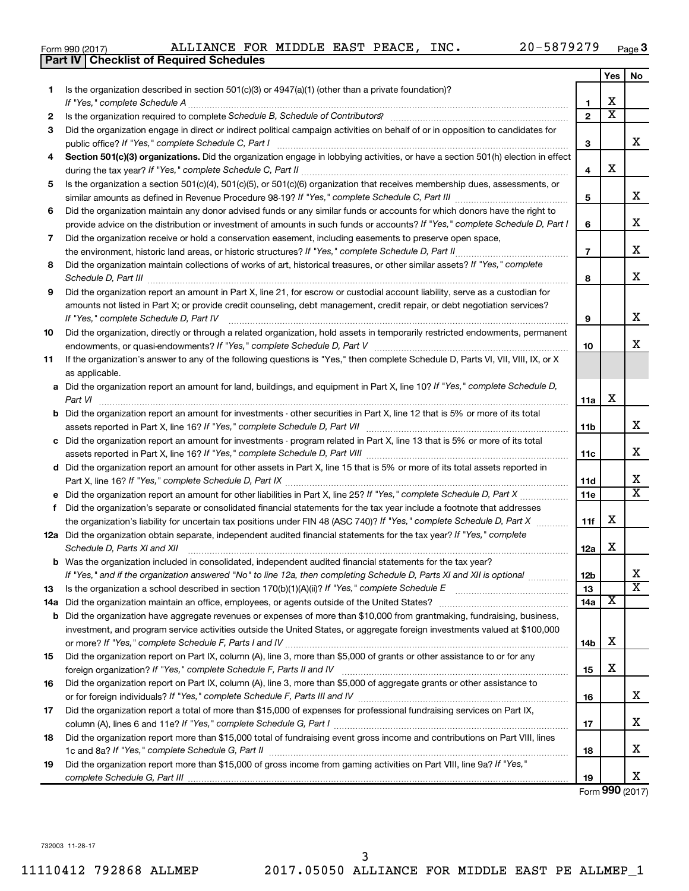| Form 990 (2017 |  |  |
|----------------|--|--|
|                |  |  |

|    | <b>Part IV   Checklist of Required Schedules</b>                                                                                                                                                                                     |                |                         |                       |
|----|--------------------------------------------------------------------------------------------------------------------------------------------------------------------------------------------------------------------------------------|----------------|-------------------------|-----------------------|
|    |                                                                                                                                                                                                                                      |                | Yes                     | No.                   |
| 1. | Is the organization described in section $501(c)(3)$ or $4947(a)(1)$ (other than a private foundation)?                                                                                                                              |                |                         |                       |
|    |                                                                                                                                                                                                                                      | 1              | х                       |                       |
| 2  |                                                                                                                                                                                                                                      | $\mathbf{2}$   | $\overline{\texttt{x}}$ |                       |
| 3  | Did the organization engage in direct or indirect political campaign activities on behalf of or in opposition to candidates for                                                                                                      |                |                         |                       |
|    |                                                                                                                                                                                                                                      | 3              |                         | x                     |
| 4  | Section 501(c)(3) organizations. Did the organization engage in lobbying activities, or have a section 501(h) election in effect                                                                                                     |                |                         |                       |
|    |                                                                                                                                                                                                                                      | 4              | х                       |                       |
| 5  | Is the organization a section 501(c)(4), 501(c)(5), or 501(c)(6) organization that receives membership dues, assessments, or                                                                                                         |                |                         |                       |
|    |                                                                                                                                                                                                                                      | 5              |                         | x                     |
| 6  | Did the organization maintain any donor advised funds or any similar funds or accounts for which donors have the right to                                                                                                            |                |                         |                       |
|    | provide advice on the distribution or investment of amounts in such funds or accounts? If "Yes," complete Schedule D, Part I                                                                                                         | 6              |                         | х                     |
| 7  |                                                                                                                                                                                                                                      |                |                         |                       |
|    | Did the organization receive or hold a conservation easement, including easements to preserve open space,                                                                                                                            | $\overline{7}$ |                         | х                     |
|    |                                                                                                                                                                                                                                      |                |                         |                       |
| 8  | Did the organization maintain collections of works of art, historical treasures, or other similar assets? If "Yes," complete                                                                                                         |                |                         | x                     |
|    | Schedule D, Part III <b>Marting Community Contract Contract Contract Contract Contract Contract Contract Contract Contract Contract Contract Contract Contract Contract Contract Contract Contract Contract Contract Contract Co</b> | 8              |                         |                       |
| 9  | Did the organization report an amount in Part X, line 21, for escrow or custodial account liability, serve as a custodian for                                                                                                        |                |                         |                       |
|    | amounts not listed in Part X; or provide credit counseling, debt management, credit repair, or debt negotiation services?                                                                                                            |                |                         | x                     |
|    |                                                                                                                                                                                                                                      | 9              |                         |                       |
| 10 | Did the organization, directly or through a related organization, hold assets in temporarily restricted endowments, permanent                                                                                                        |                |                         | x                     |
|    |                                                                                                                                                                                                                                      | 10             |                         |                       |
| 11 | If the organization's answer to any of the following questions is "Yes," then complete Schedule D, Parts VI, VII, VIII, IX, or X                                                                                                     |                |                         |                       |
|    | as applicable.                                                                                                                                                                                                                       |                |                         |                       |
|    | a Did the organization report an amount for land, buildings, and equipment in Part X, line 10? If "Yes," complete Schedule D,                                                                                                        |                |                         |                       |
|    | Part VI                                                                                                                                                                                                                              | 11a            | x                       |                       |
|    | <b>b</b> Did the organization report an amount for investments - other securities in Part X, line 12 that is 5% or more of its total                                                                                                 |                |                         |                       |
|    |                                                                                                                                                                                                                                      | 11b            |                         | x                     |
|    | c Did the organization report an amount for investments - program related in Part X, line 13 that is 5% or more of its total                                                                                                         |                |                         |                       |
|    |                                                                                                                                                                                                                                      | 11c            |                         | x                     |
|    | d Did the organization report an amount for other assets in Part X, line 15 that is 5% or more of its total assets reported in                                                                                                       |                |                         |                       |
|    |                                                                                                                                                                                                                                      | 11d            |                         | х                     |
|    |                                                                                                                                                                                                                                      | 11e            |                         | $\overline{\text{x}}$ |
| f  | Did the organization's separate or consolidated financial statements for the tax year include a footnote that addresses                                                                                                              |                |                         |                       |
|    | the organization's liability for uncertain tax positions under FIN 48 (ASC 740)? If "Yes," complete Schedule D, Part X                                                                                                               | 11f            | x                       |                       |
|    | 12a Did the organization obtain separate, independent audited financial statements for the tax year? If "Yes," complete                                                                                                              |                |                         |                       |
|    | Schedule D, Parts XI and XII                                                                                                                                                                                                         | 12a            | x                       |                       |
|    | <b>b</b> Was the organization included in consolidated, independent audited financial statements for the tax year?                                                                                                                   |                |                         |                       |
|    | If "Yes," and if the organization answered "No" to line 12a, then completing Schedule D, Parts XI and XII is optional <i></i>                                                                                                        | 12b            |                         | x                     |
| 13 |                                                                                                                                                                                                                                      | 13             |                         | $\overline{\text{x}}$ |
|    |                                                                                                                                                                                                                                      | 14a            | х                       |                       |
|    | <b>b</b> Did the organization have aggregate revenues or expenses of more than \$10,000 from grantmaking, fundraising, business,                                                                                                     |                |                         |                       |
|    | investment, and program service activities outside the United States, or aggregate foreign investments valued at \$100,000                                                                                                           |                |                         |                       |
|    |                                                                                                                                                                                                                                      | 14b            | x                       |                       |
| 15 | Did the organization report on Part IX, column (A), line 3, more than \$5,000 of grants or other assistance to or for any                                                                                                            |                |                         |                       |
|    |                                                                                                                                                                                                                                      | 15             | х                       |                       |
| 16 | Did the organization report on Part IX, column (A), line 3, more than \$5,000 of aggregate grants or other assistance to                                                                                                             |                |                         |                       |
|    |                                                                                                                                                                                                                                      | 16             |                         | X.                    |
| 17 | Did the organization report a total of more than \$15,000 of expenses for professional fundraising services on Part IX,                                                                                                              |                |                         |                       |
|    |                                                                                                                                                                                                                                      | 17             |                         | x                     |
| 18 | Did the organization report more than \$15,000 total of fundraising event gross income and contributions on Part VIII, lines                                                                                                         |                |                         |                       |
|    |                                                                                                                                                                                                                                      | 18             |                         | x                     |
| 19 | Did the organization report more than \$15,000 of gross income from gaming activities on Part VIII, line 9a? If "Yes,"                                                                                                               |                |                         |                       |
|    |                                                                                                                                                                                                                                      | 19             |                         | x                     |

Form (2017) **990**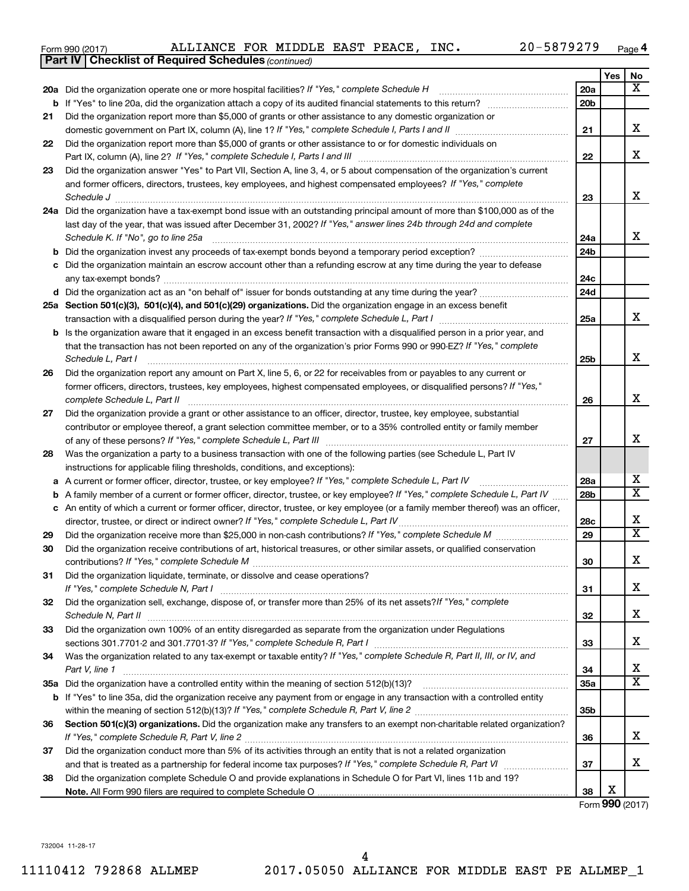| Form 990 (2017) | ALLIANCE FOR MIDDLE EAST PEACE, INC. |  |  |  |  |  | 20-5879279 | Page |  |
|-----------------|--------------------------------------|--|--|--|--|--|------------|------|--|
|-----------------|--------------------------------------|--|--|--|--|--|------------|------|--|

|    | <b>Part IV   Checklist of Required Schedules (continued)</b>                                                                      |                 |     |                         |
|----|-----------------------------------------------------------------------------------------------------------------------------------|-----------------|-----|-------------------------|
|    |                                                                                                                                   |                 | Yes | No                      |
|    | 20a Did the organization operate one or more hospital facilities? If "Yes," complete Schedule H                                   | 20a             |     | x                       |
| b  |                                                                                                                                   | 20 <sub>b</sub> |     |                         |
| 21 | Did the organization report more than \$5,000 of grants or other assistance to any domestic organization or                       |                 |     |                         |
|    |                                                                                                                                   | 21              |     | x                       |
| 22 | Did the organization report more than \$5,000 of grants or other assistance to or for domestic individuals on                     |                 |     |                         |
|    |                                                                                                                                   | 22              |     | х                       |
| 23 | Did the organization answer "Yes" to Part VII, Section A, line 3, 4, or 5 about compensation of the organization's current        |                 |     |                         |
|    | and former officers, directors, trustees, key employees, and highest compensated employees? If "Yes," complete                    |                 |     |                         |
|    | Schedule J                                                                                                                        | 23              |     | x                       |
|    | 24a Did the organization have a tax-exempt bond issue with an outstanding principal amount of more than \$100,000 as of the       |                 |     |                         |
|    | last day of the year, that was issued after December 31, 2002? If "Yes," answer lines 24b through 24d and complete                |                 |     |                         |
|    | Schedule K. If "No", go to line 25a                                                                                               | 24a             |     | x                       |
| b  |                                                                                                                                   | 24 <sub>b</sub> |     |                         |
|    | Did the organization maintain an escrow account other than a refunding escrow at any time during the year to defease              |                 |     |                         |
|    |                                                                                                                                   | 24c             |     |                         |
|    |                                                                                                                                   | 24d             |     |                         |
|    | 25a Section 501(c)(3), 501(c)(4), and 501(c)(29) organizations. Did the organization engage in an excess benefit                  |                 |     |                         |
|    |                                                                                                                                   | 25a             |     | x                       |
| b  | Is the organization aware that it engaged in an excess benefit transaction with a disqualified person in a prior year, and        |                 |     |                         |
|    | that the transaction has not been reported on any of the organization's prior Forms 990 or 990-EZ? If "Yes," complete             |                 |     |                         |
|    | Schedule L, Part I                                                                                                                | 25b             |     | х                       |
| 26 | Did the organization report any amount on Part X, line 5, 6, or 22 for receivables from or payables to any current or             |                 |     |                         |
|    | former officers, directors, trustees, key employees, highest compensated employees, or disqualified persons? If "Yes,"            |                 |     |                         |
|    | complete Schedule L, Part II                                                                                                      | 26              |     | х                       |
| 27 | Did the organization provide a grant or other assistance to an officer, director, trustee, key employee, substantial              |                 |     |                         |
|    | contributor or employee thereof, a grant selection committee member, or to a 35% controlled entity or family member               |                 |     |                         |
|    |                                                                                                                                   | 27              |     | x                       |
| 28 | Was the organization a party to a business transaction with one of the following parties (see Schedule L, Part IV                 |                 |     |                         |
|    | instructions for applicable filing thresholds, conditions, and exceptions):                                                       |                 |     |                         |
| а  | A current or former officer, director, trustee, or key employee? If "Yes," complete Schedule L, Part IV                           | 28a             |     | x                       |
| b  | A family member of a current or former officer, director, trustee, or key employee? If "Yes," complete Schedule L, Part IV        | 28 <sub>b</sub> |     | X                       |
|    | c An entity of which a current or former officer, director, trustee, or key employee (or a family member thereof) was an officer, |                 |     |                         |
|    | director, trustee, or direct or indirect owner? If "Yes," complete Schedule L, Part IV                                            | 28c             |     | X                       |
| 29 |                                                                                                                                   | 29              |     | $\overline{\textbf{X}}$ |
| 30 | Did the organization receive contributions of art, historical treasures, or other similar assets, or qualified conservation       |                 |     |                         |
|    |                                                                                                                                   | 30              |     | Χ                       |
| 31 | Did the organization liquidate, terminate, or dissolve and cease operations?                                                      |                 |     |                         |
|    |                                                                                                                                   | 31              |     | x                       |
| 32 | Did the organization sell, exchange, dispose of, or transfer more than 25% of its net assets? If "Yes," complete                  |                 |     |                         |
|    |                                                                                                                                   | 32              |     | x                       |
| 33 | Did the organization own 100% of an entity disregarded as separate from the organization under Regulations                        |                 |     |                         |
|    |                                                                                                                                   | 33              |     | x                       |
| 34 | Was the organization related to any tax-exempt or taxable entity? If "Yes," complete Schedule R, Part II, III, or IV, and         |                 |     |                         |
|    | Part V, line 1                                                                                                                    | 34              |     | х                       |
|    |                                                                                                                                   | 35a             |     | X                       |
|    | b If "Yes" to line 35a, did the organization receive any payment from or engage in any transaction with a controlled entity       |                 |     |                         |
|    |                                                                                                                                   | 35 <sub>b</sub> |     |                         |
| 36 | Section 501(c)(3) organizations. Did the organization make any transfers to an exempt non-charitable related organization?        |                 |     |                         |
|    |                                                                                                                                   | 36              |     | x                       |
| 37 | Did the organization conduct more than 5% of its activities through an entity that is not a related organization                  |                 |     |                         |
|    |                                                                                                                                   | 37              |     | x                       |
| 38 | Did the organization complete Schedule O and provide explanations in Schedule O for Part VI, lines 11b and 19?                    |                 |     |                         |
|    |                                                                                                                                   | 38              | X   |                         |

Form (2017) **990**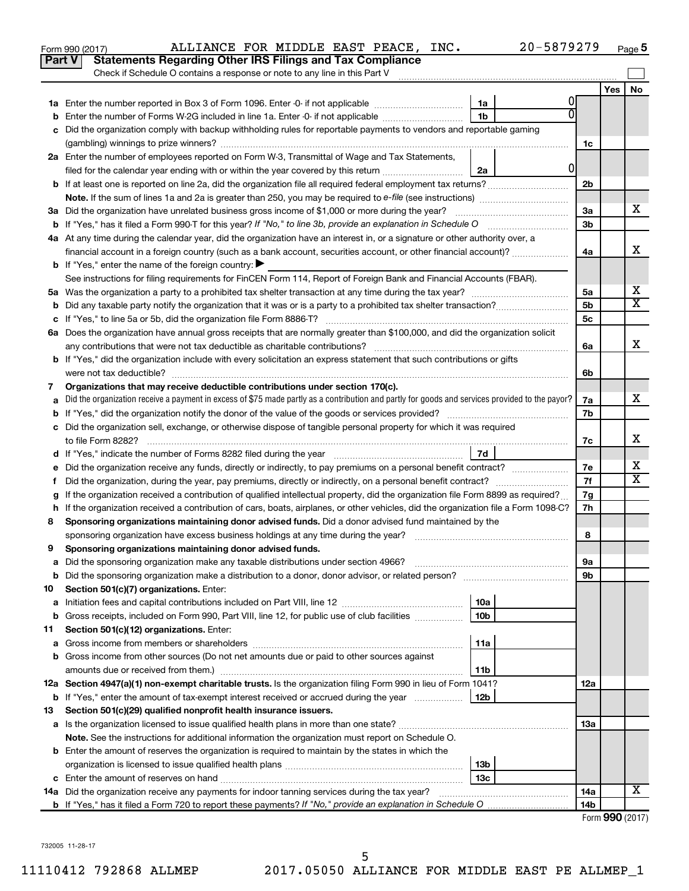|    | Part V<br><b>Statements Regarding Other IRS Filings and Tax Compliance</b>                                                                      |                 |        |                |                  |                         |
|----|-------------------------------------------------------------------------------------------------------------------------------------------------|-----------------|--------|----------------|------------------|-------------------------|
|    | Check if Schedule O contains a response or note to any line in this Part V                                                                      |                 |        |                |                  |                         |
|    |                                                                                                                                                 |                 |        |                | Yes              | No                      |
|    |                                                                                                                                                 | 1a              | 0<br>U |                |                  |                         |
|    | Enter the number of Forms W-2G included in line 1a. Enter -0- if not applicable                                                                 | 1 <sub>b</sub>  |        |                |                  |                         |
|    | Did the organization comply with backup withholding rules for reportable payments to vendors and reportable gaming                              |                 |        |                |                  |                         |
|    |                                                                                                                                                 |                 |        | 1c             |                  |                         |
|    | 2a Enter the number of employees reported on Form W-3, Transmittal of Wage and Tax Statements,                                                  |                 | 0      |                |                  |                         |
|    | filed for the calendar year ending with or within the year covered by this return <i>manumumumum</i>                                            | 2a              |        |                |                  |                         |
|    |                                                                                                                                                 |                 |        | 2 <sub>b</sub> |                  |                         |
|    | 3a Did the organization have unrelated business gross income of \$1,000 or more during the year?                                                |                 |        | За             |                  | х                       |
|    |                                                                                                                                                 |                 |        | 3b             |                  |                         |
|    | 4a At any time during the calendar year, did the organization have an interest in, or a signature or other authority over, a                    |                 |        |                |                  |                         |
|    |                                                                                                                                                 |                 |        | 4a             |                  | X                       |
|    | <b>b</b> If "Yes," enter the name of the foreign country: $\blacktriangleright$                                                                 |                 |        |                |                  |                         |
|    | See instructions for filing requirements for FinCEN Form 114, Report of Foreign Bank and Financial Accounts (FBAR).                             |                 |        |                |                  |                         |
|    |                                                                                                                                                 |                 |        | 5a             |                  | x                       |
|    | Did any taxable party notify the organization that it was or is a party to a prohibited tax shelter transaction?                                |                 |        | 5b             |                  | X                       |
|    |                                                                                                                                                 |                 |        | 5c             |                  |                         |
|    | 6a Does the organization have annual gross receipts that are normally greater than \$100,000, and did the organization solicit                  |                 |        |                |                  |                         |
|    |                                                                                                                                                 |                 |        | 6a             |                  | x                       |
|    | <b>b</b> If "Yes," did the organization include with every solicitation an express statement that such contributions or gifts                   |                 |        |                |                  |                         |
|    |                                                                                                                                                 |                 |        | 6b             |                  |                         |
| 7  | Organizations that may receive deductible contributions under section 170(c).                                                                   |                 |        |                |                  |                         |
|    | Did the organization receive a payment in excess of \$75 made partly as a contribution and partly for goods and services provided to the payor? |                 |        | 7a             |                  | x                       |
|    |                                                                                                                                                 |                 |        | 7b             |                  |                         |
|    | c Did the organization sell, exchange, or otherwise dispose of tangible personal property for which it was required                             |                 |        |                |                  |                         |
|    |                                                                                                                                                 |                 |        | 7c             |                  | х                       |
|    |                                                                                                                                                 | 7d              |        |                |                  |                         |
|    |                                                                                                                                                 |                 |        | 7е             |                  | х                       |
| f. | Did the organization, during the year, pay premiums, directly or indirectly, on a personal benefit contract?                                    |                 |        | 7f             |                  | $\overline{\textbf{X}}$ |
| g  | If the organization received a contribution of qualified intellectual property, did the organization file Form 8899 as required?                |                 |        | 7g             |                  |                         |
| h. | If the organization received a contribution of cars, boats, airplanes, or other vehicles, did the organization file a Form 1098-C?              |                 |        | 7h             |                  |                         |
| 8  | Sponsoring organizations maintaining donor advised funds. Did a donor advised fund maintained by the                                            |                 |        |                |                  |                         |
|    |                                                                                                                                                 |                 |        | 8              |                  |                         |
| 9  | Sponsoring organizations maintaining donor advised funds.                                                                                       |                 |        |                |                  |                         |
| b  | Did the sponsoring organization make a distribution to a donor, donor advisor, or related person?                                               |                 |        | эа<br>9b       |                  |                         |
| 10 | Section 501(c)(7) organizations. Enter:                                                                                                         |                 |        |                |                  |                         |
| а  |                                                                                                                                                 | 10a             |        |                |                  |                         |
| b  | Gross receipts, included on Form 990, Part VIII, line 12, for public use of club facilities                                                     | 10 <sub>b</sub> |        |                |                  |                         |
| 11 | Section 501(c)(12) organizations. Enter:                                                                                                        |                 |        |                |                  |                         |
| а  |                                                                                                                                                 | 11a             |        |                |                  |                         |
| b  | Gross income from other sources (Do not net amounts due or paid to other sources against                                                        |                 |        |                |                  |                         |
|    | amounts due or received from them.)                                                                                                             | 11b             |        |                |                  |                         |
|    | 12a Section 4947(a)(1) non-exempt charitable trusts. Is the organization filing Form 990 in lieu of Form 1041?                                  |                 |        | 12a            |                  |                         |
|    | <b>b</b> If "Yes," enter the amount of tax-exempt interest received or accrued during the year                                                  | 12b             |        |                |                  |                         |
| 13 | Section 501(c)(29) qualified nonprofit health insurance issuers.                                                                                |                 |        |                |                  |                         |
|    |                                                                                                                                                 |                 |        | 1За            |                  |                         |
|    | Note. See the instructions for additional information the organization must report on Schedule O.                                               |                 |        |                |                  |                         |
|    | <b>b</b> Enter the amount of reserves the organization is required to maintain by the states in which the                                       |                 |        |                |                  |                         |
|    |                                                                                                                                                 | 13b             |        |                |                  |                         |
| c  |                                                                                                                                                 | 13с             |        |                |                  |                         |
|    | 14a Did the organization receive any payments for indoor tanning services during the tax year?                                                  |                 |        | 14a            |                  | x                       |
|    |                                                                                                                                                 |                 |        | 14b            | $Form$ QQO $122$ |                         |

Form 990 (2017) Page ALLIANCE FOR MIDDLE EAST PEACE, INC. 20-5879279

| Form 990 (2017) |  |
|-----------------|--|
|-----------------|--|

20-5879279 <sub>Page 5</sub>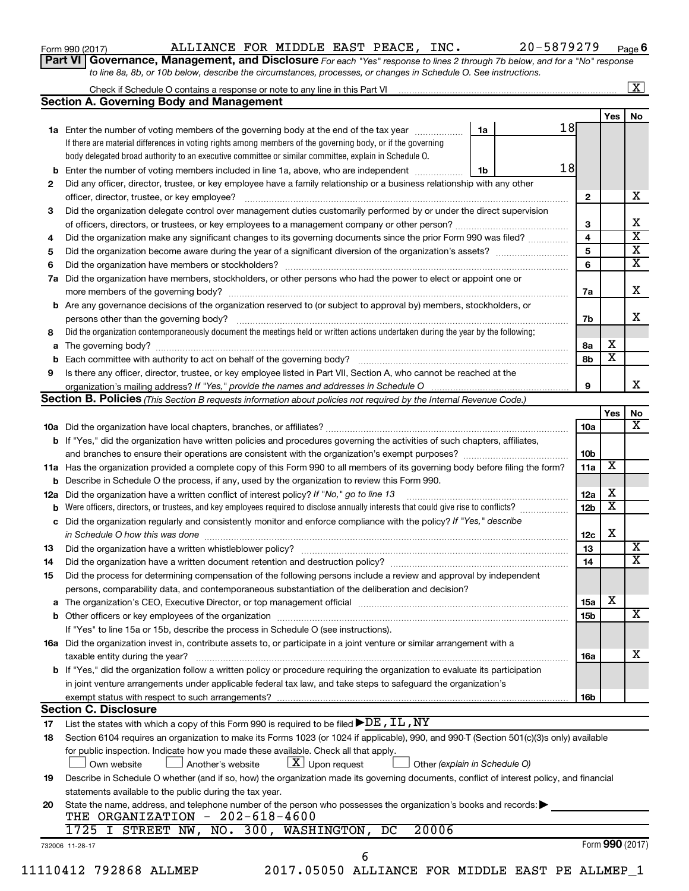| Form 990 (2017) |  |
|-----------------|--|
|-----------------|--|

#### Form 990 (2017) Page ALLIANCE FOR MIDDLE EAST PEACE, INC. 20-5879279

**Part VI** Governance, Management, and Disclosure For each "Yes" response to lines 2 through 7b below, and for a "No" response *to line 8a, 8b, or 10b below, describe the circumstances, processes, or changes in Schedule O. See instructions.*

| 2  | <b>Section A. Governing Body and Management</b><br>1a Enter the number of voting members of the governing body at the end of the tax year<br>If there are material differences in voting rights among members of the governing body, or if the governing | 1a |  | 18              | Yes                     | No |
|----|----------------------------------------------------------------------------------------------------------------------------------------------------------------------------------------------------------------------------------------------------------|----|--|-----------------|-------------------------|----|
|    |                                                                                                                                                                                                                                                          |    |  |                 |                         |    |
|    |                                                                                                                                                                                                                                                          |    |  |                 |                         |    |
|    |                                                                                                                                                                                                                                                          |    |  |                 |                         |    |
|    |                                                                                                                                                                                                                                                          |    |  |                 |                         |    |
|    | body delegated broad authority to an executive committee or similar committee, explain in Schedule O.                                                                                                                                                    |    |  |                 |                         |    |
|    | <b>b</b> Enter the number of voting members included in line 1a, above, who are independent <i>manumum</i>                                                                                                                                               | 1b |  | 18              |                         |    |
|    | Did any officer, director, trustee, or key employee have a family relationship or a business relationship with any other                                                                                                                                 |    |  |                 |                         |    |
|    |                                                                                                                                                                                                                                                          |    |  | 2               |                         |    |
| 3  | Did the organization delegate control over management duties customarily performed by or under the direct supervision                                                                                                                                    |    |  |                 |                         |    |
|    |                                                                                                                                                                                                                                                          |    |  | 3               |                         |    |
| 4  | Did the organization make any significant changes to its governing documents since the prior Form 990 was filed?                                                                                                                                         |    |  | 4               |                         |    |
| 5  |                                                                                                                                                                                                                                                          |    |  | 5               |                         |    |
| 6  |                                                                                                                                                                                                                                                          |    |  | 6               |                         |    |
|    |                                                                                                                                                                                                                                                          |    |  |                 |                         |    |
| 7a | Did the organization have members, stockholders, or other persons who had the power to elect or appoint one or                                                                                                                                           |    |  |                 |                         |    |
|    |                                                                                                                                                                                                                                                          |    |  | 7a              |                         |    |
|    | <b>b</b> Are any governance decisions of the organization reserved to (or subject to approval by) members, stockholders, or                                                                                                                              |    |  |                 |                         |    |
|    |                                                                                                                                                                                                                                                          |    |  | 7b              |                         |    |
| 8  | Did the organization contemporaneously document the meetings held or written actions undertaken during the year by the following:                                                                                                                        |    |  |                 |                         |    |
|    |                                                                                                                                                                                                                                                          |    |  | 8а              | х                       |    |
|    |                                                                                                                                                                                                                                                          |    |  | 8b              | $\overline{\mathbf{x}}$ |    |
| 9  | Is there any officer, director, trustee, or key employee listed in Part VII, Section A, who cannot be reached at the                                                                                                                                     |    |  |                 |                         |    |
|    |                                                                                                                                                                                                                                                          |    |  | 9               |                         |    |
|    | <b>Section B. Policies</b> (This Section B requests information about policies not required by the Internal Revenue Code.)                                                                                                                               |    |  |                 |                         |    |
|    |                                                                                                                                                                                                                                                          |    |  |                 | Yes                     |    |
|    |                                                                                                                                                                                                                                                          |    |  | 10a             |                         |    |
|    | b If "Yes," did the organization have written policies and procedures governing the activities of such chapters, affiliates,                                                                                                                             |    |  |                 |                         |    |
|    |                                                                                                                                                                                                                                                          |    |  | 10 <sub>b</sub> |                         |    |
|    |                                                                                                                                                                                                                                                          |    |  | 11a             | X                       |    |
|    | 11a Has the organization provided a complete copy of this Form 990 to all members of its governing body before filing the form?                                                                                                                          |    |  |                 |                         |    |
|    | <b>b</b> Describe in Schedule O the process, if any, used by the organization to review this Form 990.                                                                                                                                                   |    |  |                 |                         |    |
|    | 12a Did the organization have a written conflict of interest policy? If "No," go to line 13                                                                                                                                                              |    |  | 12a             | х                       |    |
|    | <b>b</b> Were officers, directors, or trustees, and key employees required to disclose annually interests that could give rise to conflicts?                                                                                                             |    |  | 12 <sub>b</sub> | х                       |    |
|    | c Did the organization regularly and consistently monitor and enforce compliance with the policy? If "Yes," describe                                                                                                                                     |    |  |                 |                         |    |
|    | in Schedule O how this was done <i>manufacture contract to the set of the set of the set of the set of the set of t</i>                                                                                                                                  |    |  | 12c             | х                       |    |
| 13 |                                                                                                                                                                                                                                                          |    |  | 13              |                         |    |
| 14 |                                                                                                                                                                                                                                                          |    |  | 14              |                         |    |
| 15 | Did the process for determining compensation of the following persons include a review and approval by independent                                                                                                                                       |    |  |                 |                         |    |
|    | persons, comparability data, and contemporaneous substantiation of the deliberation and decision?                                                                                                                                                        |    |  |                 |                         |    |
|    |                                                                                                                                                                                                                                                          |    |  | <b>15a</b>      | х                       |    |
|    |                                                                                                                                                                                                                                                          |    |  |                 |                         |    |
|    |                                                                                                                                                                                                                                                          |    |  | 15b             |                         |    |
|    | If "Yes" to line 15a or 15b, describe the process in Schedule O (see instructions).                                                                                                                                                                      |    |  |                 |                         |    |
|    | 16a Did the organization invest in, contribute assets to, or participate in a joint venture or similar arrangement with a                                                                                                                                |    |  |                 |                         |    |
|    | taxable entity during the year?                                                                                                                                                                                                                          |    |  | 16a             |                         |    |
|    | b If "Yes," did the organization follow a written policy or procedure requiring the organization to evaluate its participation                                                                                                                           |    |  |                 |                         |    |
|    | in joint venture arrangements under applicable federal tax law, and take steps to safeguard the organization's                                                                                                                                           |    |  |                 |                         |    |
|    | exempt status with respect to such arrangements?                                                                                                                                                                                                         |    |  | 16b             |                         |    |
|    | <b>Section C. Disclosure</b>                                                                                                                                                                                                                             |    |  |                 |                         |    |
| 17 | List the states with which a copy of this Form 990 is required to be filed $\blacktriangleright$ DE, IL, NY                                                                                                                                              |    |  |                 |                         |    |
| 18 | Section 6104 requires an organization to make its Forms 1023 (or 1024 if applicable), 990, and 990-T (Section 501(c)(3)s only) available                                                                                                                 |    |  |                 |                         |    |
|    | for public inspection. Indicate how you made these available. Check all that apply.                                                                                                                                                                      |    |  |                 |                         |    |
|    | $\lfloor x \rfloor$ Upon request<br>Own website<br>Another's website<br>Other (explain in Schedule O)                                                                                                                                                    |    |  |                 |                         |    |
| 19 | Describe in Schedule O whether (and if so, how) the organization made its governing documents, conflict of interest policy, and financial                                                                                                                |    |  |                 |                         |    |
|    |                                                                                                                                                                                                                                                          |    |  |                 |                         |    |
|    | statements available to the public during the tax year.                                                                                                                                                                                                  |    |  |                 |                         |    |
| 20 | State the name, address, and telephone number of the person who possesses the organization's books and records:                                                                                                                                          |    |  |                 |                         |    |
|    | THE ORGANIZATION - 202-618-4600                                                                                                                                                                                                                          |    |  |                 |                         |    |
|    | 1725 I STREET NW, NO. 300, WASHINGTON,<br>20006<br>DC                                                                                                                                                                                                    |    |  |                 |                         |    |
|    |                                                                                                                                                                                                                                                          |    |  |                 | Form 990 (2017)         |    |
|    | 732006 11-28-17<br>6                                                                                                                                                                                                                                     |    |  |                 |                         |    |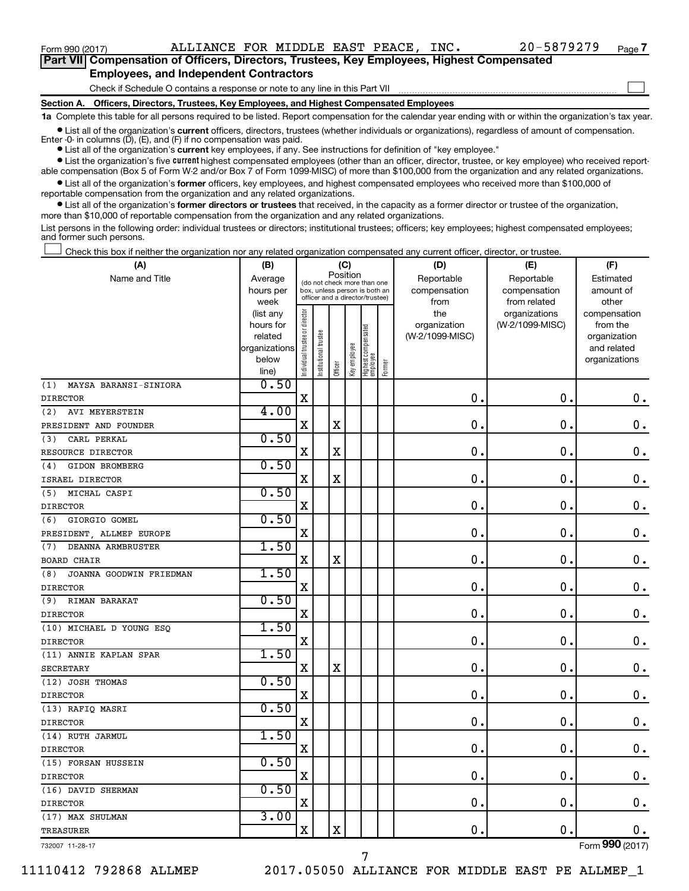$\Box$ 

| Part VII Compensation of Officers, Directors, Trustees, Key Employees, Highest Compensated |
|--------------------------------------------------------------------------------------------|
| <b>Employees, and Independent Contractors</b>                                              |

#### Check if Schedule O contains a response or note to any line in this Part VII

**Section A. Officers, Directors, Trustees, Key Employees, and Highest Compensated Employees**

**1a**  Complete this table for all persons required to be listed. Report compensation for the calendar year ending with or within the organization's tax year.

**•** List all of the organization's current officers, directors, trustees (whether individuals or organizations), regardless of amount of compensation.

**•** List all of the organization's **current** key employees, if any. See instructions for definition of "key employee." Enter -0- in columns  $(D)$ ,  $(E)$ , and  $(F)$  if no compensation was paid.

**•** List the organization's five current highest compensated employees (other than an officer, director, trustee, or key employee) who received report-

**•** List all of the organization's former officers, key employees, and highest compensated employees who received more than \$100,000 of able compensation (Box 5 of Form W-2 and/or Box 7 of Form 1099-MISC) of more than \$100,000 from the organization and any related organizations. reportable compensation from the organization and any related organizations.

**•** List all of the organization's former directors or trustees that received, in the capacity as a former director or trustee of the organization, more than \$10,000 of reportable compensation from the organization and any related organizations.

List persons in the following order: individual trustees or directors; institutional trustees; officers; key employees; highest compensated employees; and former such persons.

Check this box if neither the organization nor any related organization compensated any current officer, director, or trustee.  $\Box$ 

| (A)                             | (B)                    |                                |                                                                  | (C)         |              |                                 |        | (D)             | (E)                              | (F)                      |
|---------------------------------|------------------------|--------------------------------|------------------------------------------------------------------|-------------|--------------|---------------------------------|--------|-----------------|----------------------------------|--------------------------|
| Name and Title                  | Average                |                                | Position<br>(do not check more than one                          |             |              |                                 |        | Reportable      | Reportable                       | Estimated                |
|                                 | hours per              |                                | box, unless person is both an<br>officer and a director/trustee) |             |              |                                 |        | compensation    | compensation                     | amount of                |
|                                 | week                   |                                |                                                                  |             |              |                                 |        | from<br>the     | from related                     | other                    |
|                                 | (list any<br>hours for | Individual trustee or director |                                                                  |             |              |                                 |        | organization    | organizations<br>(W-2/1099-MISC) | compensation<br>from the |
|                                 | related                |                                |                                                                  |             |              |                                 |        | (W-2/1099-MISC) |                                  | organization             |
|                                 | organizations          |                                |                                                                  |             |              |                                 |        |                 |                                  | and related              |
|                                 | below                  |                                | Institutional trustee                                            |             | Key employee |                                 |        |                 |                                  | organizations            |
|                                 | line)                  |                                |                                                                  | Officer     |              | Highest compensated<br>employee | Former |                 |                                  |                          |
| (1)<br>MAYSA BARANSI-SINIORA    | 0.50                   |                                |                                                                  |             |              |                                 |        |                 |                                  |                          |
| <b>DIRECTOR</b>                 |                        | X                              |                                                                  |             |              |                                 |        | 0.              | $\mathbf 0$ .                    | 0.                       |
| (2)<br>AVI MEYERSTEIN           | 4.00                   |                                |                                                                  |             |              |                                 |        |                 |                                  |                          |
| PRESIDENT AND FOUNDER           |                        | X                              |                                                                  | X           |              |                                 |        | 0               | $\mathbf 0$ .                    | $\mathbf 0$ .            |
| (3)<br>CARL PERKAL              | 0.50                   |                                |                                                                  |             |              |                                 |        |                 |                                  |                          |
| RESOURCE DIRECTOR               |                        | X                              |                                                                  | $\rm X$     |              |                                 |        | $\mathbf 0$     | $\mathbf 0$ .                    | $\mathbf 0$ .            |
| GIDON BROMBERG<br>(4)           | 0.50                   |                                |                                                                  |             |              |                                 |        |                 |                                  |                          |
| <b>ISRAEL DIRECTOR</b>          |                        | $\mathbf X$                    |                                                                  | $\rm X$     |              |                                 |        | 0.              | $\mathbf 0$ .                    | $\mathbf 0$ .            |
| (5) MICHAL CASPI                | 0.50                   |                                |                                                                  |             |              |                                 |        |                 |                                  |                          |
| <b>DIRECTOR</b>                 |                        | $\mathbf X$                    |                                                                  |             |              |                                 |        | $\mathbf 0$     | $\mathbf 0$ .                    | $\mathbf 0$ .            |
| (6)<br>GIORGIO GOMEL            | 0.50                   |                                |                                                                  |             |              |                                 |        |                 |                                  |                          |
| PRESIDENT, ALLMEP EUROPE        |                        | X                              |                                                                  |             |              |                                 |        | $\mathbf 0$     | $\mathbf 0$ .                    | $\mathbf 0$ .            |
| <b>DEANNA ARMBRUSTER</b><br>(7) | 1.50                   |                                |                                                                  |             |              |                                 |        |                 |                                  |                          |
| <b>BOARD CHAIR</b>              |                        | $\mathbf X$                    |                                                                  | $\mathbf X$ |              |                                 |        | $\mathbf 0$     | $\mathbf 0$ .                    | $\mathbf 0$ .            |
| JOANNA GOODWIN FRIEDMAN<br>(8)  | 1.50                   |                                |                                                                  |             |              |                                 |        |                 |                                  |                          |
| <b>DIRECTOR</b>                 |                        | $\mathbf X$                    |                                                                  |             |              |                                 |        | 0.              | $\mathbf 0$ .                    | $\mathbf 0$ .            |
| (9) RIMAN BARAKAT               | 0.50                   |                                |                                                                  |             |              |                                 |        |                 |                                  |                          |
| <b>DIRECTOR</b>                 |                        | X                              |                                                                  |             |              |                                 |        | $\mathbf 0$     | $\mathbf 0$ .                    | $\boldsymbol{0}$ .       |
| (10) MICHAEL D YOUNG ESQ        | 1.50                   |                                |                                                                  |             |              |                                 |        |                 |                                  |                          |
| <b>DIRECTOR</b>                 |                        | X                              |                                                                  |             |              |                                 |        | 0               | $\mathbf 0$                      | $\mathbf 0$ .            |
| (11) ANNIE KAPLAN SPAR          | 1.50                   |                                |                                                                  |             |              |                                 |        |                 |                                  |                          |
| <b>SECRETARY</b>                |                        | $\mathbf X$                    |                                                                  | $\mathbf X$ |              |                                 |        | $\mathbf 0$     | 0.                               | $\mathbf 0$ .            |
| (12) JOSH THOMAS                | 0.50                   |                                |                                                                  |             |              |                                 |        |                 |                                  |                          |
| <b>DIRECTOR</b>                 |                        | $\mathbf X$                    |                                                                  |             |              |                                 |        | 0.              | $\mathbf 0$                      | $\mathbf 0$ .            |
| (13) RAFIQ MASRI                | 0.50                   |                                |                                                                  |             |              |                                 |        |                 |                                  |                          |
| <b>DIRECTOR</b>                 |                        | X                              |                                                                  |             |              |                                 |        | $\mathbf 0$     | $\mathbf 0$ .                    | 0.                       |
| (14) RUTH JARMUL                | 1.50                   |                                |                                                                  |             |              |                                 |        |                 |                                  |                          |
| <b>DIRECTOR</b>                 |                        | $\mathbf x$                    |                                                                  |             |              |                                 |        | $\mathbf 0$     | 0                                | $\mathbf 0$ .            |
| (15) FORSAN HUSSEIN             | 0.50                   |                                |                                                                  |             |              |                                 |        |                 |                                  |                          |
| <b>DIRECTOR</b>                 |                        | $\mathbf X$                    |                                                                  |             |              |                                 |        | $\mathbf 0$     | $\mathbf 0$                      | $\mathbf 0$ .            |
| (16) DAVID SHERMAN              | 0.50                   |                                |                                                                  |             |              |                                 |        |                 |                                  |                          |
| <b>DIRECTOR</b>                 |                        | $\rm X$                        |                                                                  |             |              |                                 |        | $\mathbf 0$     | $\mathbf 0$                      | 0.                       |
| (17) MAX SHULMAN                | 3.00                   |                                |                                                                  |             |              |                                 |        |                 |                                  |                          |
| <b>TREASURER</b>                |                        | X                              |                                                                  | $\rm X$     |              |                                 |        | $\mathbf 0$     | $\mathbf 0$ .                    | $\boldsymbol{0}$ .       |

732007 11-28-17

7

Form (2017) **990**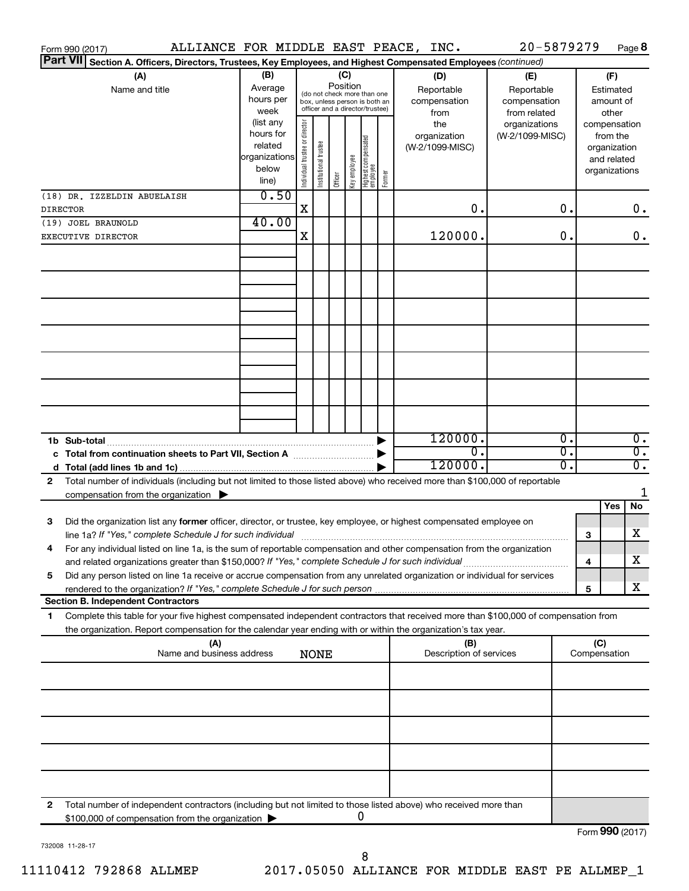|                 | ALLIANCE FOR MIDDLE EAST PEACE, INC.<br>Form 990 (2017)                                                                                                                                                                                                |                                                         |                                |                       |         |                                                                                                             |                                   |        |                                        |                                | 20-5879279                       |                                           |                             |                                                                          | Page 8                               |  |                                        |  |
|-----------------|--------------------------------------------------------------------------------------------------------------------------------------------------------------------------------------------------------------------------------------------------------|---------------------------------------------------------|--------------------------------|-----------------------|---------|-------------------------------------------------------------------------------------------------------------|-----------------------------------|--------|----------------------------------------|--------------------------------|----------------------------------|-------------------------------------------|-----------------------------|--------------------------------------------------------------------------|--------------------------------------|--|----------------------------------------|--|
| <b>Part VII</b> | Section A. Officers, Directors, Trustees, Key Employees, and Highest Compensated Employees (continued)                                                                                                                                                 |                                                         |                                |                       |         |                                                                                                             |                                   |        |                                        |                                |                                  |                                           |                             |                                                                          |                                      |  |                                        |  |
|                 | (A)<br>Name and title                                                                                                                                                                                                                                  | (B)<br>Average<br>hours per<br>week                     | (list any                      |                       |         | Position<br>(do not check more than one<br>box, unless person is both an<br>officer and a director/trustee) |                                   |        | (C)                                    |                                |                                  | (D)<br>Reportable<br>compensation<br>from |                             | (E)<br>Reportable<br>compensation<br>from related                        |                                      |  | (F)<br>Estimated<br>amount of<br>other |  |
|                 |                                                                                                                                                                                                                                                        | hours for<br>related<br>organizations<br>below<br>line) | Individual trustee or director | Institutional trustee | Officer | Key employee                                                                                                | Highest compensated<br>  employee | Former | the<br>organization<br>(W-2/1099-MISC) |                                | organizations<br>(W-2/1099-MISC) |                                           |                             | compensation<br>from the<br>organization<br>and related<br>organizations |                                      |  |                                        |  |
| <b>DIRECTOR</b> | (18) DR. IZZELDIN ABUELAISH                                                                                                                                                                                                                            | 0.50                                                    | $\mathbf X$                    |                       |         |                                                                                                             |                                   |        |                                        | 0.                             |                                  | 0.                                        |                             |                                                                          | 0.                                   |  |                                        |  |
|                 | (19) JOEL BRAUNOLD                                                                                                                                                                                                                                     | 40.00                                                   |                                |                       |         |                                                                                                             |                                   |        |                                        |                                |                                  |                                           |                             |                                                                          |                                      |  |                                        |  |
|                 | EXECUTIVE DIRECTOR                                                                                                                                                                                                                                     |                                                         | X                              |                       |         |                                                                                                             |                                   |        |                                        | 120000.                        |                                  | 0.                                        |                             |                                                                          | 0.                                   |  |                                        |  |
|                 |                                                                                                                                                                                                                                                        |                                                         |                                |                       |         |                                                                                                             |                                   |        |                                        |                                |                                  |                                           |                             |                                                                          |                                      |  |                                        |  |
|                 |                                                                                                                                                                                                                                                        |                                                         |                                |                       |         |                                                                                                             |                                   |        |                                        |                                |                                  |                                           |                             |                                                                          |                                      |  |                                        |  |
|                 |                                                                                                                                                                                                                                                        |                                                         |                                |                       |         |                                                                                                             |                                   |        |                                        |                                |                                  |                                           |                             |                                                                          |                                      |  |                                        |  |
|                 |                                                                                                                                                                                                                                                        |                                                         |                                |                       |         |                                                                                                             |                                   |        |                                        |                                |                                  |                                           |                             |                                                                          |                                      |  |                                        |  |
|                 |                                                                                                                                                                                                                                                        |                                                         |                                |                       |         |                                                                                                             |                                   |        |                                        |                                |                                  |                                           |                             |                                                                          |                                      |  |                                        |  |
|                 | 1b Sub-total                                                                                                                                                                                                                                           |                                                         |                                |                       |         |                                                                                                             |                                   |        |                                        | 120000.<br>$\Omega$ .          |                                  | Ο.<br>σ.                                  |                             |                                                                          | $\overline{0}$ .<br>$\overline{0}$ . |  |                                        |  |
|                 | c Total from continuation sheets to Part VII, Section A manufactured by                                                                                                                                                                                |                                                         |                                |                       |         |                                                                                                             |                                   |        |                                        | 120000.                        |                                  | σ.                                        |                             |                                                                          | σ.                                   |  |                                        |  |
| 2               | Total number of individuals (including but not limited to those listed above) who received more than \$100,000 of reportable<br>compensation from the organization $\blacktriangleright$                                                               |                                                         |                                |                       |         |                                                                                                             |                                   |        |                                        |                                |                                  |                                           |                             |                                                                          | 1                                    |  |                                        |  |
| 3               | Did the organization list any former officer, director, or trustee, key employee, or highest compensated employee on                                                                                                                                   |                                                         |                                |                       |         |                                                                                                             |                                   |        |                                        |                                |                                  |                                           |                             | Yes                                                                      | No                                   |  |                                        |  |
|                 | For any individual listed on line 1a, is the sum of reportable compensation and other compensation from the organization                                                                                                                               |                                                         |                                |                       |         |                                                                                                             |                                   |        |                                        |                                |                                  |                                           | 3                           |                                                                          | X                                    |  |                                        |  |
|                 | and related organizations greater than \$150,000? If "Yes," complete Schedule J for such individual                                                                                                                                                    |                                                         |                                |                       |         |                                                                                                             |                                   |        |                                        |                                |                                  |                                           | 4                           |                                                                          | х                                    |  |                                        |  |
| 5               | Did any person listed on line 1a receive or accrue compensation from any unrelated organization or individual for services<br>rendered to the organization? If "Yes," complete Schedule J for such person.                                             |                                                         |                                |                       |         |                                                                                                             |                                   |        |                                        |                                |                                  |                                           | 5                           |                                                                          | x                                    |  |                                        |  |
|                 | <b>Section B. Independent Contractors</b>                                                                                                                                                                                                              |                                                         |                                |                       |         |                                                                                                             |                                   |        |                                        |                                |                                  |                                           |                             |                                                                          |                                      |  |                                        |  |
| 1               | Complete this table for your five highest compensated independent contractors that received more than \$100,000 of compensation from<br>the organization. Report compensation for the calendar year ending with or within the organization's tax year. |                                                         |                                |                       |         |                                                                                                             |                                   |        |                                        |                                |                                  |                                           |                             |                                                                          |                                      |  |                                        |  |
|                 | (A)<br>Name and business address                                                                                                                                                                                                                       |                                                         |                                | <b>NONE</b>           |         |                                                                                                             |                                   |        |                                        | (B)<br>Description of services |                                  |                                           | (C)<br>Compensation         |                                                                          |                                      |  |                                        |  |
|                 |                                                                                                                                                                                                                                                        |                                                         |                                |                       |         |                                                                                                             |                                   |        |                                        |                                |                                  |                                           |                             |                                                                          |                                      |  |                                        |  |
|                 |                                                                                                                                                                                                                                                        |                                                         |                                |                       |         |                                                                                                             |                                   |        |                                        |                                |                                  |                                           |                             |                                                                          |                                      |  |                                        |  |
|                 |                                                                                                                                                                                                                                                        |                                                         |                                |                       |         |                                                                                                             |                                   |        |                                        |                                |                                  |                                           |                             |                                                                          |                                      |  |                                        |  |
|                 |                                                                                                                                                                                                                                                        |                                                         |                                |                       |         |                                                                                                             |                                   |        |                                        |                                |                                  |                                           |                             |                                                                          |                                      |  |                                        |  |
| 2               | Total number of independent contractors (including but not limited to those listed above) who received more than<br>\$100,000 of compensation from the organization                                                                                    |                                                         |                                |                       |         |                                                                                                             | 0                                 |        |                                        |                                |                                  |                                           | $F_{\text{sum}}$ 000 (2017) |                                                                          |                                      |  |                                        |  |

732008 11-28-17

Form (2017) **990**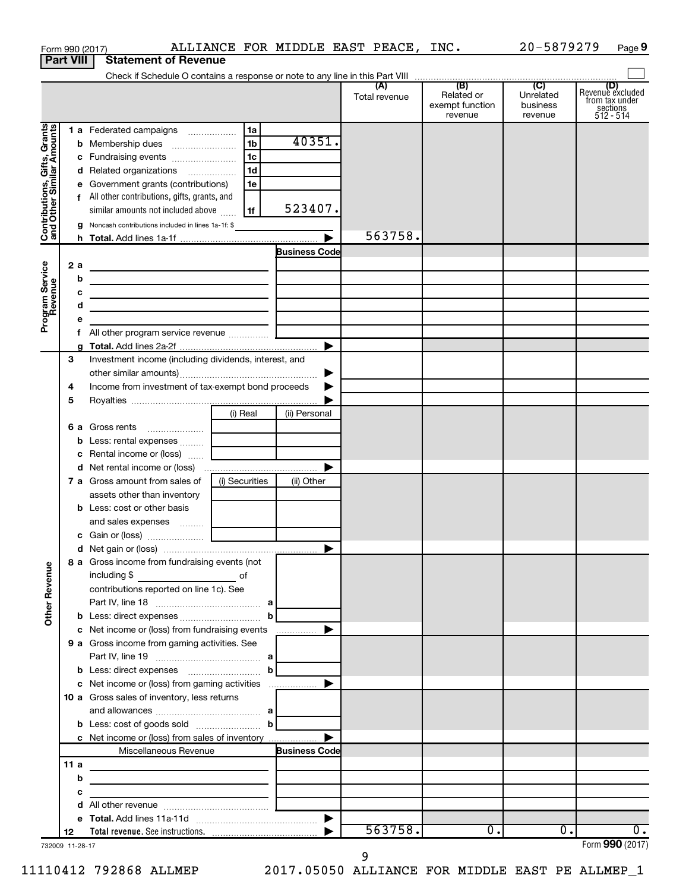| Form 990 (2017)                                           |                  |        |                                                                            |                |                       | ALLIANCE FOR MIDDLE EAST PEACE, INC. |                                                 | 20-5879279                              | Page 9                                                      |
|-----------------------------------------------------------|------------------|--------|----------------------------------------------------------------------------|----------------|-----------------------|--------------------------------------|-------------------------------------------------|-----------------------------------------|-------------------------------------------------------------|
|                                                           | <b>Part VIII</b> |        | <b>Statement of Revenue</b>                                                |                |                       |                                      |                                                 |                                         |                                                             |
|                                                           |                  |        |                                                                            |                |                       |                                      |                                                 |                                         |                                                             |
|                                                           |                  |        |                                                                            |                |                       | (A)<br>Total revenue                 | (B)<br>Related or<br>exempt function<br>revenue | (C)<br>Unrelated<br>business<br>revenue | Revenue excluded<br>from tax under<br>sections<br>512 - 514 |
|                                                           |                  |        | 1 a Federated campaigns                                                    | 1a             |                       |                                      |                                                 |                                         |                                                             |
| Contributions, Gifts, Grants<br>and Other Similar Amounts |                  |        |                                                                            | 1 <sub>b</sub> | 40351.                |                                      |                                                 |                                         |                                                             |
|                                                           |                  |        |                                                                            | 1 <sub>c</sub> |                       |                                      |                                                 |                                         |                                                             |
|                                                           |                  |        | d Related organizations                                                    | 1d             |                       |                                      |                                                 |                                         |                                                             |
|                                                           |                  |        | e Government grants (contributions)                                        | 1e             |                       |                                      |                                                 |                                         |                                                             |
|                                                           |                  |        | f All other contributions, gifts, grants, and                              |                |                       |                                      |                                                 |                                         |                                                             |
|                                                           |                  |        | similar amounts not included above                                         | 1f             | 523407.               |                                      |                                                 |                                         |                                                             |
|                                                           |                  |        | g Noncash contributions included in lines 1a-1f: \$                        |                |                       | 563758.                              |                                                 |                                         |                                                             |
|                                                           |                  |        |                                                                            |                |                       |                                      |                                                 |                                         |                                                             |
|                                                           |                  |        |                                                                            |                | <b>Business Code</b>  |                                      |                                                 |                                         |                                                             |
| Program Service<br>Revenue                                | 2 a              | b      |                                                                            |                |                       |                                      |                                                 |                                         |                                                             |
|                                                           |                  | c      |                                                                            |                |                       |                                      |                                                 |                                         |                                                             |
|                                                           |                  | d      |                                                                            |                |                       |                                      |                                                 |                                         |                                                             |
|                                                           |                  | e      | the control of the control of the control of the control of the control of |                |                       |                                      |                                                 |                                         |                                                             |
|                                                           |                  | f.     |                                                                            |                |                       |                                      |                                                 |                                         |                                                             |
|                                                           |                  |        |                                                                            |                | $\blacktriangleright$ |                                      |                                                 |                                         |                                                             |
|                                                           | 3                |        | Investment income (including dividends, interest, and                      |                |                       |                                      |                                                 |                                         |                                                             |
|                                                           |                  |        |                                                                            |                | ▶                     |                                      |                                                 |                                         |                                                             |
|                                                           | 4                |        | Income from investment of tax-exempt bond proceeds                         |                | ▶                     |                                      |                                                 |                                         |                                                             |
|                                                           | 5                |        |                                                                            |                |                       |                                      |                                                 |                                         |                                                             |
|                                                           |                  |        |                                                                            | (i) Real       | (ii) Personal         |                                      |                                                 |                                         |                                                             |
|                                                           |                  |        | 6 a Gross rents                                                            |                |                       |                                      |                                                 |                                         |                                                             |
|                                                           |                  |        | <b>b</b> Less: rental expenses                                             |                |                       |                                      |                                                 |                                         |                                                             |
|                                                           |                  |        | <b>c</b> Rental income or (loss) $\ldots$                                  |                |                       |                                      |                                                 |                                         |                                                             |
|                                                           |                  |        |                                                                            |                | ▶                     |                                      |                                                 |                                         |                                                             |
|                                                           |                  |        | 7 a Gross amount from sales of                                             | (i) Securities | (ii) Other            |                                      |                                                 |                                         |                                                             |
|                                                           |                  |        | assets other than inventory<br><b>b</b> Less: cost or other basis          |                |                       |                                      |                                                 |                                         |                                                             |
|                                                           |                  |        | and sales expenses                                                         |                |                       |                                      |                                                 |                                         |                                                             |
|                                                           |                  |        |                                                                            |                |                       |                                      |                                                 |                                         |                                                             |
|                                                           |                  |        |                                                                            |                |                       |                                      |                                                 |                                         |                                                             |
|                                                           |                  |        | 8 a Gross income from fundraising events (not                              |                |                       |                                      |                                                 |                                         |                                                             |
| <b>Other Revenue</b>                                      |                  |        | including \$<br><u>of</u> of<br>contributions reported on line 1c). See    |                |                       |                                      |                                                 |                                         |                                                             |
|                                                           |                  |        |                                                                            |                |                       |                                      |                                                 |                                         |                                                             |
|                                                           |                  |        | <b>b</b> Less: direct expenses <b>manually b</b>                           |                |                       |                                      |                                                 |                                         |                                                             |
|                                                           |                  |        | c Net income or (loss) from fundraising events                             |                | ▶                     |                                      |                                                 |                                         |                                                             |
|                                                           |                  |        | 9 a Gross income from gaming activities. See                               |                |                       |                                      |                                                 |                                         |                                                             |
|                                                           |                  |        |                                                                            |                |                       |                                      |                                                 |                                         |                                                             |
|                                                           |                  |        |                                                                            |                |                       |                                      |                                                 |                                         |                                                             |
|                                                           |                  |        |                                                                            |                |                       |                                      |                                                 |                                         |                                                             |
|                                                           |                  |        | <b>10 a</b> Gross sales of inventory, less returns                         |                |                       |                                      |                                                 |                                         |                                                             |
|                                                           |                  |        |                                                                            |                |                       |                                      |                                                 |                                         |                                                             |
|                                                           |                  |        | <b>b</b> Less: cost of goods sold $\ldots$ $\ldots$ $\ldots$ <b>b</b>      |                |                       |                                      |                                                 |                                         |                                                             |
|                                                           |                  |        | c Net income or (loss) from sales of inventory                             |                |                       |                                      |                                                 |                                         |                                                             |
|                                                           |                  |        | Miscellaneous Revenue                                                      |                | <b>Business Code</b>  |                                      |                                                 |                                         |                                                             |
|                                                           | 11 a             |        | <u> 1989 - Andrea Andrew Maria (h. 1989).</u>                              |                |                       |                                      |                                                 |                                         |                                                             |
|                                                           |                  | b<br>c |                                                                            |                |                       |                                      |                                                 |                                         |                                                             |
|                                                           |                  | d      |                                                                            |                |                       |                                      |                                                 |                                         |                                                             |
|                                                           |                  |        |                                                                            |                | ▶                     |                                      |                                                 |                                         |                                                             |
|                                                           | 12               |        |                                                                            |                |                       | 563758.                              | 0.                                              | 0.                                      | 0.                                                          |
| 732009 11-28-17                                           |                  |        |                                                                            |                |                       |                                      |                                                 |                                         | Form 990 (2017)                                             |

9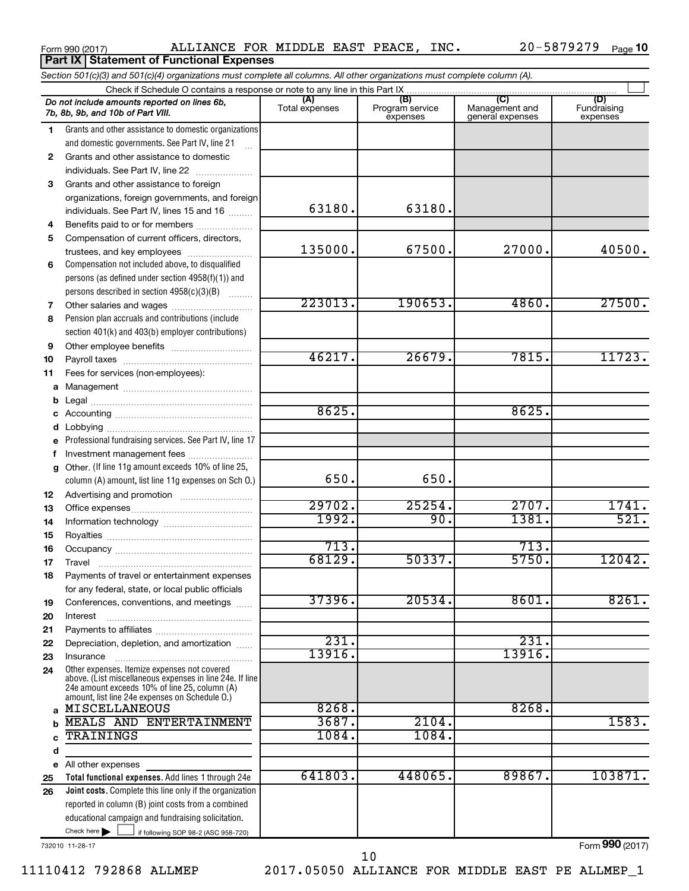**Part IX | Statement of Functional Expenses** 

|        | Section 501(c)(3) and 501(c)(4) organizations must complete all columns. All other organizations must complete column (A).                                                                                  |                |                             |                                    |                         |
|--------|-------------------------------------------------------------------------------------------------------------------------------------------------------------------------------------------------------------|----------------|-----------------------------|------------------------------------|-------------------------|
|        | Do not include amounts reported on lines 6b,                                                                                                                                                                | (A)            | (B)                         | (C)                                | (D)                     |
|        | 7b, 8b, 9b, and 10b of Part VIII.                                                                                                                                                                           | Total expenses | Program service<br>expenses | Management and<br>general expenses | Fundraising<br>expenses |
| 1      | Grants and other assistance to domestic organizations                                                                                                                                                       |                |                             |                                    |                         |
|        | and domestic governments. See Part IV, line 21                                                                                                                                                              |                |                             |                                    |                         |
| 2      | Grants and other assistance to domestic                                                                                                                                                                     |                |                             |                                    |                         |
|        | individuals. See Part IV, line 22                                                                                                                                                                           |                |                             |                                    |                         |
| 3      | Grants and other assistance to foreign                                                                                                                                                                      |                |                             |                                    |                         |
|        | organizations, foreign governments, and foreign                                                                                                                                                             |                |                             |                                    |                         |
|        | individuals. See Part IV, lines 15 and 16                                                                                                                                                                   | 63180.         | 63180.                      |                                    |                         |
| 4      | Benefits paid to or for members                                                                                                                                                                             |                |                             |                                    |                         |
| 5      | Compensation of current officers, directors,                                                                                                                                                                |                |                             |                                    |                         |
|        | trustees, and key employees                                                                                                                                                                                 | 135000.        | 67500.                      | 27000.                             | 40500.                  |
| 6      | Compensation not included above, to disqualified                                                                                                                                                            |                |                             |                                    |                         |
|        | persons (as defined under section 4958(f)(1)) and                                                                                                                                                           |                |                             |                                    |                         |
|        | persons described in section 4958(c)(3)(B)<br><b>Barbara</b>                                                                                                                                                | 223013.        | 190653.                     | 4860.                              | 27500.                  |
| 7      |                                                                                                                                                                                                             |                |                             |                                    |                         |
| 8      | Pension plan accruals and contributions (include                                                                                                                                                            |                |                             |                                    |                         |
|        | section 401(k) and 403(b) employer contributions)                                                                                                                                                           |                |                             |                                    |                         |
| 9      |                                                                                                                                                                                                             | 46217.         | 26679.                      | 7815.                              | 11723.                  |
| 10     |                                                                                                                                                                                                             |                |                             |                                    |                         |
| 11     | Fees for services (non-employees):                                                                                                                                                                          |                |                             |                                    |                         |
| а      |                                                                                                                                                                                                             |                |                             |                                    |                         |
| b<br>С |                                                                                                                                                                                                             | 8625.          |                             | 8625.                              |                         |
| d      |                                                                                                                                                                                                             |                |                             |                                    |                         |
| е      | Professional fundraising services. See Part IV, line 17                                                                                                                                                     |                |                             |                                    |                         |
| f      | Investment management fees                                                                                                                                                                                  |                |                             |                                    |                         |
| g      | Other. (If line 11g amount exceeds 10% of line 25,                                                                                                                                                          |                |                             |                                    |                         |
|        | column (A) amount, list line 11g expenses on Sch O.)                                                                                                                                                        | 650.           | 650.                        |                                    |                         |
| 12     |                                                                                                                                                                                                             |                |                             |                                    |                         |
| 13     |                                                                                                                                                                                                             | 29702.         | 25254.                      | 2707.                              | 1741.                   |
| 14     |                                                                                                                                                                                                             | 1992.          | 90.                         | 1381.                              | 521.                    |
| 15     |                                                                                                                                                                                                             |                |                             |                                    |                         |
| 16     |                                                                                                                                                                                                             | 713.           |                             | 713.                               |                         |
| 17     |                                                                                                                                                                                                             | 68129.         | 50337.                      | 5750.                              | 12042.                  |
| 18     | Payments of travel or entertainment expenses                                                                                                                                                                |                |                             |                                    |                         |
|        | for any federal, state, or local public officials                                                                                                                                                           |                |                             |                                    |                         |
| 19     | Conferences, conventions, and meetings                                                                                                                                                                      | 37396.         | 20534.                      | 8601.                              | 8261.                   |
| 20     | Interest                                                                                                                                                                                                    |                |                             |                                    |                         |
| 21     |                                                                                                                                                                                                             |                |                             |                                    |                         |
| 22     | Depreciation, depletion, and amortization                                                                                                                                                                   | 231.           |                             | 231.                               |                         |
| 23     | Insurance                                                                                                                                                                                                   | 13916.         |                             | 13916.                             |                         |
| 24     | Other expenses. Itemize expenses not covered<br>above. (List miscellaneous expenses in line 24e. If line<br>24e amount exceeds 10% of line 25, column (A)<br>amount, list line 24e expenses on Schedule O.) |                |                             |                                    |                         |
| a      | MISCELLANEOUS                                                                                                                                                                                               | 8268.          |                             | 8268.                              |                         |
| b      | MEALS AND ENTERTAINMENT                                                                                                                                                                                     | 3687.          | 2104.                       |                                    | 1583.                   |
| C      | TRAININGS                                                                                                                                                                                                   | 1084.          | 1084.                       |                                    |                         |
| d      |                                                                                                                                                                                                             |                |                             |                                    |                         |
|        | e All other expenses                                                                                                                                                                                        |                |                             |                                    |                         |
| 25     | Total functional expenses. Add lines 1 through 24e                                                                                                                                                          | 641803.        | 448065.                     | 89867.                             | 103871.                 |
| 26     | Joint costs. Complete this line only if the organization                                                                                                                                                    |                |                             |                                    |                         |
|        | reported in column (B) joint costs from a combined                                                                                                                                                          |                |                             |                                    |                         |
|        | educational campaign and fundraising solicitation.                                                                                                                                                          |                |                             |                                    |                         |
|        | Check here $\blacktriangleright$<br>if following SOP 98-2 (ASC 958-720)                                                                                                                                     |                |                             |                                    |                         |

732010 11-28-17

Form (2017) **990**

11110412 792868 ALLMEP 2017.05050 ALLIANCE FOR MIDDLE EAST PE ALLMEP\_1 10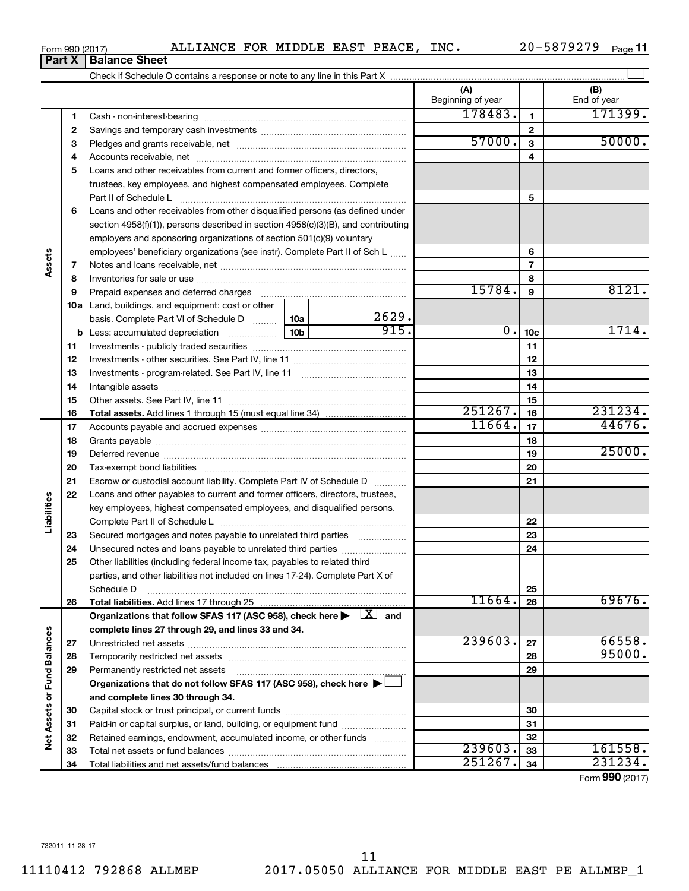|                                                                          | 178483. | 171399. |
|--------------------------------------------------------------------------|---------|---------|
|                                                                          |         |         |
|                                                                          |         | 50000.  |
| Accounts receivable, net                                                 |         |         |
| Loans and other receivables from current and former officers, directors, |         |         |
| trustees, key employees, and highest compensated employees. Complete     |         |         |
| Part II of Schedule L                                                    |         |         |

Check if Schedule O contains a response or note to any line in this Part X

|               | 4  |                                                                                                                              |  |        |         | 4               |                 |
|---------------|----|------------------------------------------------------------------------------------------------------------------------------|--|--------|---------|-----------------|-----------------|
|               | 5  | Loans and other receivables from current and former officers, directors,                                                     |  |        |         |                 |                 |
|               |    | trustees, key employees, and highest compensated employees. Complete                                                         |  |        |         |                 |                 |
|               |    |                                                                                                                              |  |        |         | 5               |                 |
|               | 6  | Loans and other receivables from other disqualified persons (as defined under                                                |  |        |         |                 |                 |
|               |    | section 4958(f)(1)), persons described in section 4958(c)(3)(B), and contributing                                            |  |        |         |                 |                 |
|               |    | employers and sponsoring organizations of section 501(c)(9) voluntary                                                        |  |        |         |                 |                 |
|               |    | employees' beneficiary organizations (see instr). Complete Part II of Sch L                                                  |  |        |         | 6               |                 |
| Assets        | 7  |                                                                                                                              |  |        |         | $\overline{7}$  |                 |
|               | 8  |                                                                                                                              |  |        |         | 8               |                 |
|               | 9  |                                                                                                                              |  | 15784. | 9       | 8121.           |                 |
|               |    |                                                                                                                              |  |        |         |                 |                 |
|               |    | 10a Land, buildings, and equipment: cost or other                                                                            |  | 2629.  |         |                 |                 |
|               |    | basis. Complete Part VI of Schedule D    10a                                                                                 |  | 915.   | $0$ .   |                 | 1714.           |
|               |    |                                                                                                                              |  |        |         | 10 <sub>c</sub> |                 |
|               | 11 |                                                                                                                              |  |        |         | 11              |                 |
|               | 12 |                                                                                                                              |  |        |         | 12              |                 |
|               | 13 |                                                                                                                              |  |        |         | 13              |                 |
|               | 14 |                                                                                                                              |  |        |         | 14              |                 |
|               | 15 |                                                                                                                              |  |        |         | 15              |                 |
|               | 16 |                                                                                                                              |  |        | 251267. | 16              | 231234.         |
|               | 17 |                                                                                                                              |  |        | 11664.  | 17              | 44676.          |
|               | 18 |                                                                                                                              |  |        |         | 18              |                 |
|               | 19 |                                                                                                                              |  |        |         | 19              | 25000.          |
|               | 20 |                                                                                                                              |  |        |         | 20              |                 |
|               | 21 | Escrow or custodial account liability. Complete Part IV of Schedule D                                                        |  |        |         | 21              |                 |
|               | 22 | Loans and other payables to current and former officers, directors, trustees,                                                |  |        |         |                 |                 |
|               |    | key employees, highest compensated employees, and disqualified persons.                                                      |  |        |         |                 |                 |
| Liabilities   |    |                                                                                                                              |  |        |         | 22              |                 |
|               | 23 | Secured mortgages and notes payable to unrelated third parties                                                               |  |        |         | 23              |                 |
|               | 24 | Unsecured notes and loans payable to unrelated third parties                                                                 |  |        |         | 24              |                 |
|               | 25 | Other liabilities (including federal income tax, payables to related third                                                   |  |        |         |                 |                 |
|               |    | parties, and other liabilities not included on lines 17-24). Complete Part X of                                              |  |        |         |                 |                 |
|               |    | Schedule D                                                                                                                   |  |        |         | 25              |                 |
|               | 26 |                                                                                                                              |  |        | 11664.  | 26              | 69676.          |
|               |    | Organizations that follow SFAS 117 (ASC 958), check here $\blacktriangleright \begin{array}{c} \boxed{X} \\ \end{array}$ and |  |        |         |                 |                 |
|               |    | complete lines 27 through 29, and lines 33 and 34.                                                                           |  |        |         |                 |                 |
| alances       | 27 |                                                                                                                              |  |        | 239603. | 27              | 66558.          |
|               | 28 |                                                                                                                              |  |        |         | 28              | 95000.          |
|               | 29 | Permanently restricted net assets                                                                                            |  |        |         | 29              |                 |
| Fund B        |    | Organizations that do not follow SFAS 117 (ASC 958), check here $\blacktriangleright$                                        |  |        |         |                 |                 |
|               |    | and complete lines 30 through 34.                                                                                            |  |        |         |                 |                 |
| Net Assets or | 30 |                                                                                                                              |  |        |         | 30              |                 |
|               | 31 | Paid-in or capital surplus, or land, building, or equipment fund                                                             |  |        | 31      |                 |                 |
|               |    | Retained earnings, endowment, accumulated income, or other funds                                                             |  |        |         | 32              |                 |
|               | 32 |                                                                                                                              |  |        | 239603. |                 | 161558.         |
|               | 33 |                                                                                                                              |  |        | 251267. | 33<br>34        | 231234.         |
|               | 34 |                                                                                                                              |  |        |         |                 | Form 990 (2017) |
|               |    |                                                                                                                              |  |        |         |                 |                 |

Form 990 (2017) Page ALLIANCE FOR MIDDLE EAST PEACE, INC. 20-5879279

20-5879279 Page 11

 $\perp$ 

**(A) (B) (B) (B) (B) End of year** 

178483. 171399.

Beginning of year

**1 2 3**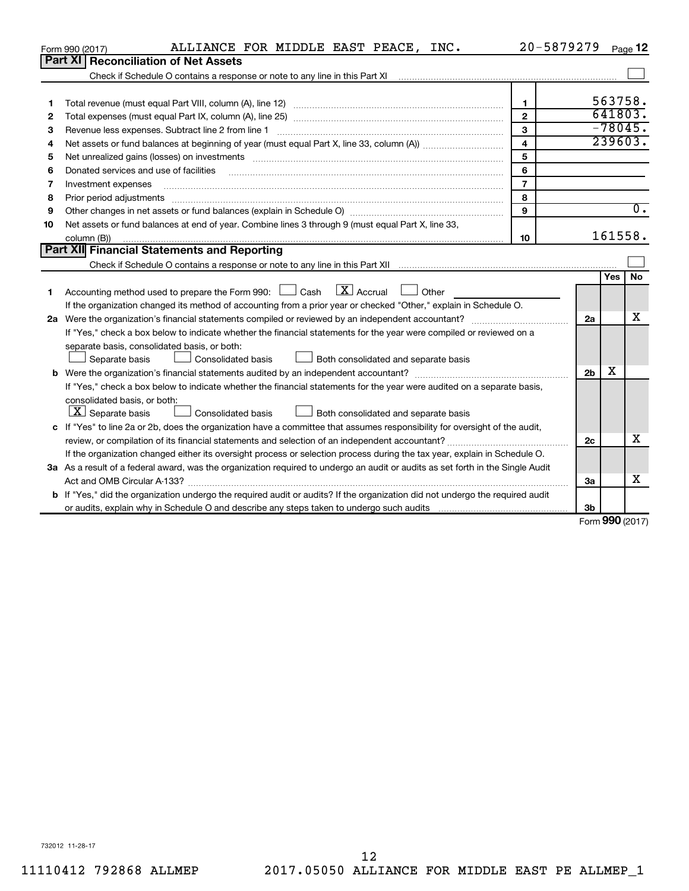|    | ALLIANCE FOR MIDDLE EAST PEACE, INC.<br>Form 990 (2017)                                                                                                                                                                        |                         | 20-5879279     |                       | Page 12          |
|----|--------------------------------------------------------------------------------------------------------------------------------------------------------------------------------------------------------------------------------|-------------------------|----------------|-----------------------|------------------|
|    | Part XI<br><b>Reconciliation of Net Assets</b>                                                                                                                                                                                 |                         |                |                       |                  |
|    |                                                                                                                                                                                                                                |                         |                |                       |                  |
|    |                                                                                                                                                                                                                                |                         |                |                       |                  |
| 1  |                                                                                                                                                                                                                                | $\mathbf{1}$            |                | 563758.               |                  |
| 2  |                                                                                                                                                                                                                                | $\mathbf{2}$            |                | 641803.               |                  |
| 3  | Revenue less expenses. Subtract line 2 from line 1                                                                                                                                                                             | 3                       |                |                       | $-78045.$        |
| 4  |                                                                                                                                                                                                                                | $\overline{\mathbf{4}}$ |                |                       | 239603.          |
| 5  | Net unrealized gains (losses) on investments [11] matter contracts and the state of the state of the state of the state of the state of the state of the state of the state of the state of the state of the state of the stat | 5                       |                |                       |                  |
| 6  | Donated services and use of facilities                                                                                                                                                                                         | 6                       |                |                       |                  |
| 7  | Investment expenses                                                                                                                                                                                                            | $\overline{7}$          |                |                       |                  |
| 8  | Prior period adjustments material contents and content and content and content and content and content and content and content and content and content and content and content and content and content and content and content | 8                       |                |                       |                  |
| 9  |                                                                                                                                                                                                                                | 9                       |                |                       | $\overline{0}$ . |
| 10 | Net assets or fund balances at end of year. Combine lines 3 through 9 (must equal Part X, line 33,                                                                                                                             |                         |                |                       |                  |
|    | column (B))                                                                                                                                                                                                                    | 10                      |                | 161558.               |                  |
|    | Part XII Financial Statements and Reporting                                                                                                                                                                                    |                         |                |                       |                  |
|    |                                                                                                                                                                                                                                |                         |                |                       |                  |
|    |                                                                                                                                                                                                                                |                         |                | Yes                   | <b>No</b>        |
| 1. | Accounting method used to prepare the Form 990: $\Box$ Cash $\Box$ Accrual $\Box$ Other                                                                                                                                        |                         |                |                       |                  |
|    | If the organization changed its method of accounting from a prior year or checked "Other," explain in Schedule O.                                                                                                              |                         |                |                       |                  |
|    |                                                                                                                                                                                                                                |                         | 2a             |                       | x                |
|    | If "Yes," check a box below to indicate whether the financial statements for the year were compiled or reviewed on a                                                                                                           |                         |                |                       |                  |
|    | separate basis, consolidated basis, or both:                                                                                                                                                                                   |                         |                |                       |                  |
|    | Both consolidated and separate basis<br>Separate basis<br>Consolidated basis                                                                                                                                                   |                         |                |                       |                  |
|    |                                                                                                                                                                                                                                |                         | 2 <sub>b</sub> | х                     |                  |
|    | If "Yes," check a box below to indicate whether the financial statements for the year were audited on a separate basis,                                                                                                        |                         |                |                       |                  |
|    | consolidated basis, or both:                                                                                                                                                                                                   |                         |                |                       |                  |
|    | $ \mathbf{X} $ Separate basis<br>Consolidated basis<br>Both consolidated and separate basis                                                                                                                                    |                         |                |                       |                  |
|    | c If "Yes" to line 2a or 2b, does the organization have a committee that assumes responsibility for oversight of the audit,                                                                                                    |                         |                |                       |                  |
|    |                                                                                                                                                                                                                                |                         | 2c             |                       | x                |
|    | If the organization changed either its oversight process or selection process during the tax year, explain in Schedule O.                                                                                                      |                         |                |                       |                  |
|    | 3a As a result of a federal award, was the organization required to undergo an audit or audits as set forth in the Single Audit                                                                                                |                         |                |                       |                  |
|    |                                                                                                                                                                                                                                |                         | За             |                       | x                |
|    | b If "Yes," did the organization undergo the required audit or audits? If the organization did not undergo the required audit                                                                                                  |                         |                |                       |                  |
|    |                                                                                                                                                                                                                                |                         | 3b             | $0.00 \times 10^{-1}$ |                  |

Form (2017) **990**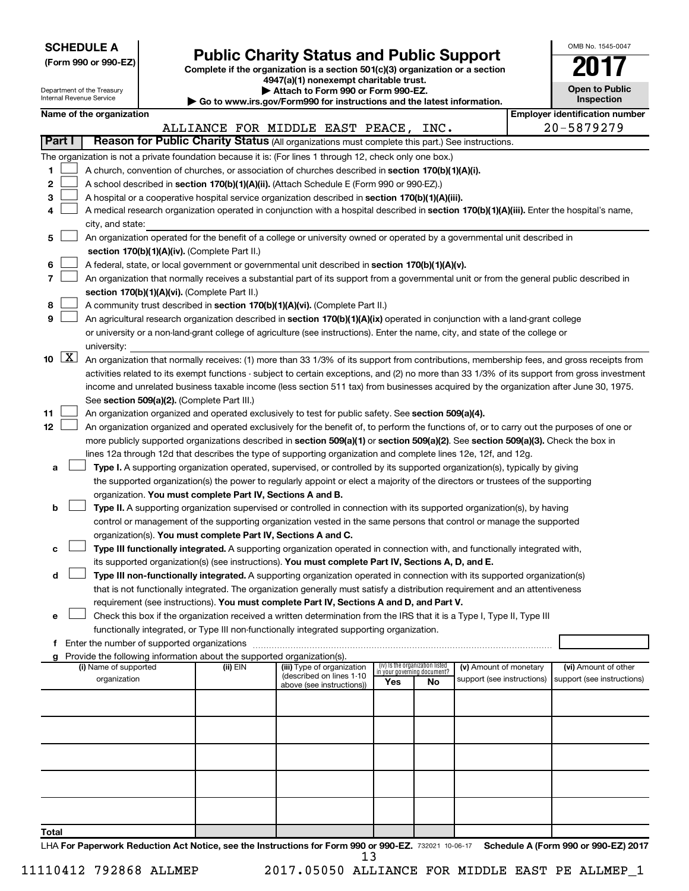| <b>SCHEDULE A</b> |  |
|-------------------|--|
|-------------------|--|

| (Form 990 or 990-EZ) |  |  |
|----------------------|--|--|
|                      |  |  |

Form 990 or 990-EZ)<br>
Complete if the organization is a section 501(c)(3) organization or a section<br> **Public Charity Status and Public Support 4947(a)(1) nonexempt charitable trust.**

**| Attach to Form 990 or Form 990-EZ.** 

| OMB No. 1545-0047                   |
|-------------------------------------|
|                                     |
| <b>Open to Public</b><br>Inspection |

| Department of the Treasury<br>Internal Revenue Service |                                                                                                                                                                                                                                                                                  |                          |  | Attach to Form 990 or Form 990-EZ.<br>$\blacktriangleright$ Go to www.irs.gov/Form990 for instructions and the latest information. |                                                                                                                                               | <b>Open to Public</b><br>Inspection |                             |                            |  |                                       |  |
|--------------------------------------------------------|----------------------------------------------------------------------------------------------------------------------------------------------------------------------------------------------------------------------------------------------------------------------------------|--------------------------|--|------------------------------------------------------------------------------------------------------------------------------------|-----------------------------------------------------------------------------------------------------------------------------------------------|-------------------------------------|-----------------------------|----------------------------|--|---------------------------------------|--|
|                                                        |                                                                                                                                                                                                                                                                                  | Name of the organization |  |                                                                                                                                    |                                                                                                                                               |                                     |                             |                            |  | <b>Employer identification number</b> |  |
|                                                        |                                                                                                                                                                                                                                                                                  |                          |  |                                                                                                                                    | ALLIANCE FOR MIDDLE EAST PEACE,                                                                                                               |                                     | INC.                        |                            |  | 20-5879279                            |  |
| Part I                                                 |                                                                                                                                                                                                                                                                                  |                          |  |                                                                                                                                    | Reason for Public Charity Status (All organizations must complete this part.) See instructions.                                               |                                     |                             |                            |  |                                       |  |
|                                                        |                                                                                                                                                                                                                                                                                  |                          |  |                                                                                                                                    | The organization is not a private foundation because it is: (For lines 1 through 12, check only one box.)                                     |                                     |                             |                            |  |                                       |  |
| 1                                                      |                                                                                                                                                                                                                                                                                  |                          |  |                                                                                                                                    | A church, convention of churches, or association of churches described in section 170(b)(1)(A)(i).                                            |                                     |                             |                            |  |                                       |  |
| 2                                                      |                                                                                                                                                                                                                                                                                  |                          |  |                                                                                                                                    | A school described in section 170(b)(1)(A)(ii). (Attach Schedule E (Form 990 or 990-EZ).)                                                     |                                     |                             |                            |  |                                       |  |
| 3                                                      |                                                                                                                                                                                                                                                                                  |                          |  |                                                                                                                                    | A hospital or a cooperative hospital service organization described in section 170(b)(1)(A)(iii).                                             |                                     |                             |                            |  |                                       |  |
| 4                                                      |                                                                                                                                                                                                                                                                                  |                          |  |                                                                                                                                    | A medical research organization operated in conjunction with a hospital described in section 170(b)(1)(A)(iii). Enter the hospital's name,    |                                     |                             |                            |  |                                       |  |
|                                                        |                                                                                                                                                                                                                                                                                  | city, and state:         |  |                                                                                                                                    |                                                                                                                                               |                                     |                             |                            |  |                                       |  |
| 5                                                      |                                                                                                                                                                                                                                                                                  |                          |  |                                                                                                                                    | An organization operated for the benefit of a college or university owned or operated by a governmental unit described in                     |                                     |                             |                            |  |                                       |  |
|                                                        | section 170(b)(1)(A)(iv). (Complete Part II.)                                                                                                                                                                                                                                    |                          |  |                                                                                                                                    |                                                                                                                                               |                                     |                             |                            |  |                                       |  |
| 6                                                      | A federal, state, or local government or governmental unit described in section 170(b)(1)(A)(v).                                                                                                                                                                                 |                          |  |                                                                                                                                    |                                                                                                                                               |                                     |                             |                            |  |                                       |  |
| 7                                                      | An organization that normally receives a substantial part of its support from a governmental unit or from the general public described in                                                                                                                                        |                          |  |                                                                                                                                    |                                                                                                                                               |                                     |                             |                            |  |                                       |  |
|                                                        |                                                                                                                                                                                                                                                                                  |                          |  | section 170(b)(1)(A)(vi). (Complete Part II.)                                                                                      |                                                                                                                                               |                                     |                             |                            |  |                                       |  |
| 8                                                      |                                                                                                                                                                                                                                                                                  |                          |  |                                                                                                                                    | A community trust described in section 170(b)(1)(A)(vi). (Complete Part II.)                                                                  |                                     |                             |                            |  |                                       |  |
| 9                                                      |                                                                                                                                                                                                                                                                                  |                          |  |                                                                                                                                    | An agricultural research organization described in section 170(b)(1)(A)(ix) operated in conjunction with a land-grant college                 |                                     |                             |                            |  |                                       |  |
|                                                        |                                                                                                                                                                                                                                                                                  |                          |  |                                                                                                                                    | or university or a non-land-grant college of agriculture (see instructions). Enter the name, city, and state of the college or                |                                     |                             |                            |  |                                       |  |
|                                                        |                                                                                                                                                                                                                                                                                  | university:              |  |                                                                                                                                    |                                                                                                                                               |                                     |                             |                            |  |                                       |  |
|                                                        | $10 \quad \boxed{X}$                                                                                                                                                                                                                                                             |                          |  |                                                                                                                                    | An organization that normally receives: (1) more than 33 1/3% of its support from contributions, membership fees, and gross receipts from     |                                     |                             |                            |  |                                       |  |
|                                                        |                                                                                                                                                                                                                                                                                  |                          |  |                                                                                                                                    | activities related to its exempt functions - subject to certain exceptions, and (2) no more than 33 1/3% of its support from gross investment |                                     |                             |                            |  |                                       |  |
|                                                        |                                                                                                                                                                                                                                                                                  |                          |  |                                                                                                                                    | income and unrelated business taxable income (less section 511 tax) from businesses acquired by the organization after June 30, 1975.         |                                     |                             |                            |  |                                       |  |
|                                                        |                                                                                                                                                                                                                                                                                  |                          |  | See section 509(a)(2). (Complete Part III.)                                                                                        |                                                                                                                                               |                                     |                             |                            |  |                                       |  |
| 11                                                     |                                                                                                                                                                                                                                                                                  |                          |  |                                                                                                                                    | An organization organized and operated exclusively to test for public safety. See section 509(a)(4).                                          |                                     |                             |                            |  |                                       |  |
| 12                                                     |                                                                                                                                                                                                                                                                                  |                          |  |                                                                                                                                    |                                                                                                                                               |                                     |                             |                            |  |                                       |  |
|                                                        | An organization organized and operated exclusively for the benefit of, to perform the functions of, or to carry out the purposes of one or<br>more publicly supported organizations described in section 509(a)(1) or section 509(a)(2). See section 509(a)(3). Check the box in |                          |  |                                                                                                                                    |                                                                                                                                               |                                     |                             |                            |  |                                       |  |
|                                                        |                                                                                                                                                                                                                                                                                  |                          |  |                                                                                                                                    | lines 12a through 12d that describes the type of supporting organization and complete lines 12e, 12f, and 12g.                                |                                     |                             |                            |  |                                       |  |
| а                                                      |                                                                                                                                                                                                                                                                                  |                          |  |                                                                                                                                    | Type I. A supporting organization operated, supervised, or controlled by its supported organization(s), typically by giving                   |                                     |                             |                            |  |                                       |  |
|                                                        |                                                                                                                                                                                                                                                                                  |                          |  |                                                                                                                                    | the supported organization(s) the power to regularly appoint or elect a majority of the directors or trustees of the supporting               |                                     |                             |                            |  |                                       |  |
|                                                        |                                                                                                                                                                                                                                                                                  |                          |  | organization. You must complete Part IV, Sections A and B.                                                                         |                                                                                                                                               |                                     |                             |                            |  |                                       |  |
| b                                                      |                                                                                                                                                                                                                                                                                  |                          |  |                                                                                                                                    | Type II. A supporting organization supervised or controlled in connection with its supported organization(s), by having                       |                                     |                             |                            |  |                                       |  |
|                                                        |                                                                                                                                                                                                                                                                                  |                          |  |                                                                                                                                    | control or management of the supporting organization vested in the same persons that control or manage the supported                          |                                     |                             |                            |  |                                       |  |
|                                                        |                                                                                                                                                                                                                                                                                  |                          |  | organization(s). You must complete Part IV, Sections A and C.                                                                      |                                                                                                                                               |                                     |                             |                            |  |                                       |  |
| с                                                      |                                                                                                                                                                                                                                                                                  |                          |  |                                                                                                                                    | Type III functionally integrated. A supporting organization operated in connection with, and functionally integrated with,                    |                                     |                             |                            |  |                                       |  |
|                                                        |                                                                                                                                                                                                                                                                                  |                          |  |                                                                                                                                    | its supported organization(s) (see instructions). You must complete Part IV, Sections A, D, and E.                                            |                                     |                             |                            |  |                                       |  |
| d                                                      |                                                                                                                                                                                                                                                                                  |                          |  |                                                                                                                                    | Type III non-functionally integrated. A supporting organization operated in connection with its supported organization(s)                     |                                     |                             |                            |  |                                       |  |
|                                                        |                                                                                                                                                                                                                                                                                  |                          |  |                                                                                                                                    | that is not functionally integrated. The organization generally must satisfy a distribution requirement and an attentiveness                  |                                     |                             |                            |  |                                       |  |
|                                                        |                                                                                                                                                                                                                                                                                  |                          |  |                                                                                                                                    | requirement (see instructions). You must complete Part IV, Sections A and D, and Part V.                                                      |                                     |                             |                            |  |                                       |  |
| е                                                      |                                                                                                                                                                                                                                                                                  |                          |  |                                                                                                                                    | Check this box if the organization received a written determination from the IRS that it is a Type I, Type II, Type III                       |                                     |                             |                            |  |                                       |  |
|                                                        |                                                                                                                                                                                                                                                                                  |                          |  |                                                                                                                                    | functionally integrated, or Type III non-functionally integrated supporting organization.                                                     |                                     |                             |                            |  |                                       |  |
|                                                        |                                                                                                                                                                                                                                                                                  |                          |  |                                                                                                                                    |                                                                                                                                               |                                     |                             |                            |  |                                       |  |
| a                                                      |                                                                                                                                                                                                                                                                                  |                          |  | Provide the following information about the supported organization(s).                                                             |                                                                                                                                               |                                     |                             |                            |  |                                       |  |
|                                                        |                                                                                                                                                                                                                                                                                  | (i) Name of supported    |  | (ii) EIN                                                                                                                           | (iii) Type of organization                                                                                                                    | (iv) Is the organization listed     | in your governing document? | (v) Amount of monetary     |  | (vi) Amount of other                  |  |
|                                                        |                                                                                                                                                                                                                                                                                  | organization             |  |                                                                                                                                    | (described on lines 1-10<br>above (see instructions))                                                                                         | Yes                                 | No                          | support (see instructions) |  | support (see instructions)            |  |
|                                                        |                                                                                                                                                                                                                                                                                  |                          |  |                                                                                                                                    |                                                                                                                                               |                                     |                             |                            |  |                                       |  |
|                                                        |                                                                                                                                                                                                                                                                                  |                          |  |                                                                                                                                    |                                                                                                                                               |                                     |                             |                            |  |                                       |  |
|                                                        |                                                                                                                                                                                                                                                                                  |                          |  |                                                                                                                                    |                                                                                                                                               |                                     |                             |                            |  |                                       |  |
|                                                        |                                                                                                                                                                                                                                                                                  |                          |  |                                                                                                                                    |                                                                                                                                               |                                     |                             |                            |  |                                       |  |
|                                                        |                                                                                                                                                                                                                                                                                  |                          |  |                                                                                                                                    |                                                                                                                                               |                                     |                             |                            |  |                                       |  |
|                                                        |                                                                                                                                                                                                                                                                                  |                          |  |                                                                                                                                    |                                                                                                                                               |                                     |                             |                            |  |                                       |  |
|                                                        |                                                                                                                                                                                                                                                                                  |                          |  |                                                                                                                                    |                                                                                                                                               |                                     |                             |                            |  |                                       |  |
|                                                        |                                                                                                                                                                                                                                                                                  |                          |  |                                                                                                                                    |                                                                                                                                               |                                     |                             |                            |  |                                       |  |
|                                                        |                                                                                                                                                                                                                                                                                  |                          |  |                                                                                                                                    |                                                                                                                                               |                                     |                             |                            |  |                                       |  |
|                                                        |                                                                                                                                                                                                                                                                                  |                          |  |                                                                                                                                    |                                                                                                                                               |                                     |                             |                            |  |                                       |  |
| Total                                                  |                                                                                                                                                                                                                                                                                  |                          |  |                                                                                                                                    |                                                                                                                                               |                                     |                             |                            |  |                                       |  |

LHA For Paperwork Reduction Act Notice, see the Instructions for Form 990 or 990-EZ. 732021 10-06-17 Schedule A (Form 990 or 990-EZ) 2017 13

11110412 792868 ALLMEP 2017.05050 ALLIANCE FOR MIDDLE EAST PE ALLMEP\_1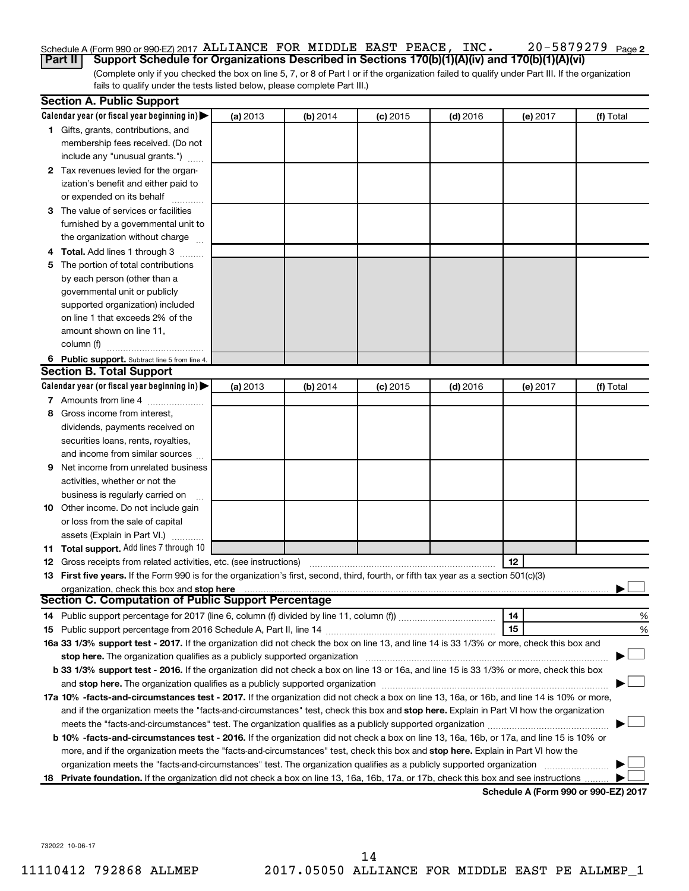#### 20-5879279 Page 2 Schedule A (Form 990 or 990-EZ) 2017 ALLIANCE FOR MIDDLE EAST PEACE, INC.  $20-5879279$   $_{\rm Page}$ **Part II Support Schedule for Organizations Described in Sections 170(b)(1)(A)(iv) and 170(b)(1)(A)(vi)**

(Complete only if you checked the box on line 5, 7, or 8 of Part I or if the organization failed to qualify under Part III. If the organization fails to qualify under the tests listed below, please complete Part III.)

|    | <b>Section A. Public Support</b>                                                                                                                                                                                               |          |          |            |            |                                             |           |
|----|--------------------------------------------------------------------------------------------------------------------------------------------------------------------------------------------------------------------------------|----------|----------|------------|------------|---------------------------------------------|-----------|
|    | Calendar year (or fiscal year beginning in) $\blacktriangleright$                                                                                                                                                              | (a) 2013 | (b) 2014 | $(c)$ 2015 | $(d)$ 2016 | (e) 2017                                    | (f) Total |
|    | 1 Gifts, grants, contributions, and                                                                                                                                                                                            |          |          |            |            |                                             |           |
|    | membership fees received. (Do not                                                                                                                                                                                              |          |          |            |            |                                             |           |
|    | include any "unusual grants.")                                                                                                                                                                                                 |          |          |            |            |                                             |           |
|    | 2 Tax revenues levied for the organ-                                                                                                                                                                                           |          |          |            |            |                                             |           |
|    | ization's benefit and either paid to                                                                                                                                                                                           |          |          |            |            |                                             |           |
|    | or expended on its behalf                                                                                                                                                                                                      |          |          |            |            |                                             |           |
|    | 3 The value of services or facilities                                                                                                                                                                                          |          |          |            |            |                                             |           |
|    | furnished by a governmental unit to                                                                                                                                                                                            |          |          |            |            |                                             |           |
|    | the organization without charge                                                                                                                                                                                                |          |          |            |            |                                             |           |
|    | 4 Total. Add lines 1 through 3                                                                                                                                                                                                 |          |          |            |            |                                             |           |
| 5. | The portion of total contributions                                                                                                                                                                                             |          |          |            |            |                                             |           |
|    | by each person (other than a                                                                                                                                                                                                   |          |          |            |            |                                             |           |
|    | governmental unit or publicly                                                                                                                                                                                                  |          |          |            |            |                                             |           |
|    | supported organization) included                                                                                                                                                                                               |          |          |            |            |                                             |           |
|    | on line 1 that exceeds 2% of the                                                                                                                                                                                               |          |          |            |            |                                             |           |
|    | amount shown on line 11,                                                                                                                                                                                                       |          |          |            |            |                                             |           |
|    | column (f)                                                                                                                                                                                                                     |          |          |            |            |                                             |           |
|    | 6 Public support. Subtract line 5 from line 4.                                                                                                                                                                                 |          |          |            |            |                                             |           |
|    | <b>Section B. Total Support</b>                                                                                                                                                                                                |          |          |            |            |                                             |           |
|    | Calendar year (or fiscal year beginning in)                                                                                                                                                                                    | (a) 2013 | (b) 2014 | $(c)$ 2015 | $(d)$ 2016 | (e) 2017                                    | (f) Total |
|    | 7 Amounts from line 4                                                                                                                                                                                                          |          |          |            |            |                                             |           |
| 8  | Gross income from interest,                                                                                                                                                                                                    |          |          |            |            |                                             |           |
|    | dividends, payments received on                                                                                                                                                                                                |          |          |            |            |                                             |           |
|    | securities loans, rents, royalties,                                                                                                                                                                                            |          |          |            |            |                                             |           |
|    | and income from similar sources                                                                                                                                                                                                |          |          |            |            |                                             |           |
| 9  | Net income from unrelated business                                                                                                                                                                                             |          |          |            |            |                                             |           |
|    | activities, whether or not the                                                                                                                                                                                                 |          |          |            |            |                                             |           |
|    | business is regularly carried on                                                                                                                                                                                               |          |          |            |            |                                             |           |
|    | <b>10</b> Other income. Do not include gain                                                                                                                                                                                    |          |          |            |            |                                             |           |
|    | or loss from the sale of capital                                                                                                                                                                                               |          |          |            |            |                                             |           |
|    | assets (Explain in Part VI.)                                                                                                                                                                                                   |          |          |            |            |                                             |           |
|    | 11 Total support. Add lines 7 through 10                                                                                                                                                                                       |          |          |            |            |                                             |           |
|    | <b>12</b> Gross receipts from related activities, etc. (see instructions)                                                                                                                                                      |          |          |            |            | 12                                          |           |
|    | 13 First five years. If the Form 990 is for the organization's first, second, third, fourth, or fifth tax year as a section 501(c)(3)                                                                                          |          |          |            |            |                                             |           |
|    | organization, check this box and stop here                                                                                                                                                                                     |          |          |            |            |                                             |           |
|    | <b>Section C. Computation of Public Support Percentage</b>                                                                                                                                                                     |          |          |            |            |                                             |           |
|    |                                                                                                                                                                                                                                |          |          |            |            | 14                                          | %         |
|    |                                                                                                                                                                                                                                |          |          |            |            | 15                                          | %         |
|    | 16a 33 1/3% support test - 2017. If the organization did not check the box on line 13, and line 14 is 33 1/3% or more, check this box and                                                                                      |          |          |            |            |                                             |           |
|    | stop here. The organization qualifies as a publicly supported organization manufactured content and the content of the state of the state of the state of the state of the state of the state of the state of the state of the |          |          |            |            |                                             |           |
|    | b 33 1/3% support test - 2016. If the organization did not check a box on line 13 or 16a, and line 15 is 33 1/3% or more, check this box                                                                                       |          |          |            |            |                                             |           |
|    |                                                                                                                                                                                                                                |          |          |            |            |                                             |           |
|    | 17a 10% -facts-and-circumstances test - 2017. If the organization did not check a box on line 13, 16a, or 16b, and line 14 is 10% or more,                                                                                     |          |          |            |            |                                             |           |
|    | and if the organization meets the "facts-and-circumstances" test, check this box and stop here. Explain in Part VI how the organization                                                                                        |          |          |            |            |                                             |           |
|    | meets the "facts-and-circumstances" test. The organization qualifies as a publicly supported organization <i>manumumumum</i>                                                                                                   |          |          |            |            |                                             |           |
|    | b 10% -facts-and-circumstances test - 2016. If the organization did not check a box on line 13, 16a, 16b, or 17a, and line 15 is 10% or                                                                                        |          |          |            |            |                                             |           |
|    | more, and if the organization meets the "facts-and-circumstances" test, check this box and stop here. Explain in Part VI how the                                                                                               |          |          |            |            |                                             |           |
|    | organization meets the "facts-and-circumstances" test. The organization qualifies as a publicly supported organization                                                                                                         |          |          |            |            |                                             |           |
| 18 | Private foundation. If the organization did not check a box on line 13, 16a, 16b, 17a, or 17b, check this box and see instructions                                                                                             |          |          |            |            | <b>Cohodulo A (Form 000 or 000 E7) 2017</b> |           |

**Schedule A (Form 990 or 990-EZ) 2017**

732022 10-06-17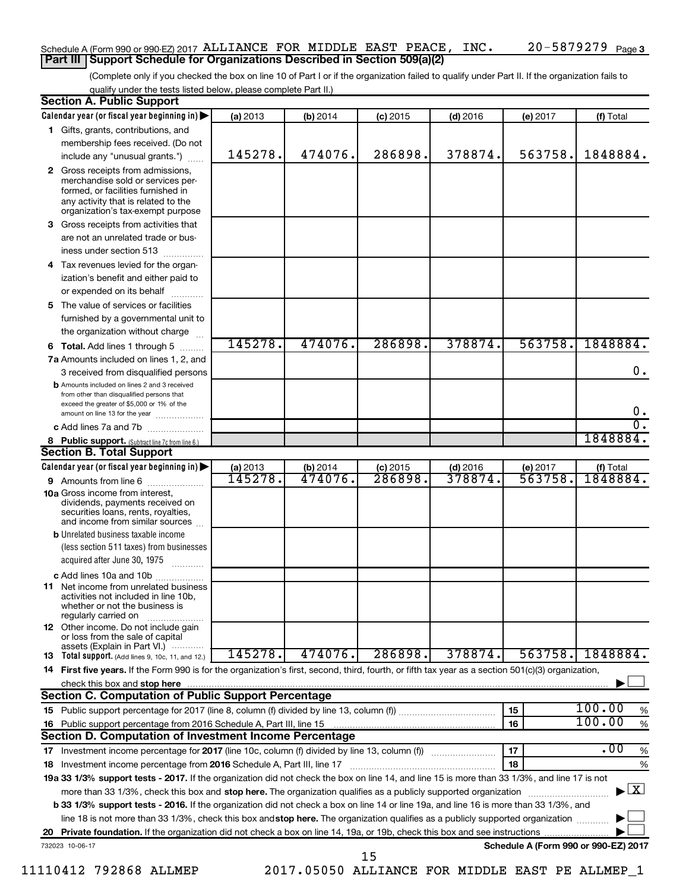#### Schedule A (Form 990 or 990-EZ) 2017 ALLIANCE FOR MIDDLE EAST PEACE, INC.  $20-5879279$   $_{\rm Page}$ **Part III Support Schedule for Organizations Described in Section 509(a)(2)**

(Complete only if you checked the box on line 10 of Part I or if the organization failed to qualify under Part II. If the organization fails to qualify under the tests listed below, please complete Part II.)

| <b>Section A. Public Support</b>                                                                                                                                                         |          |                  |            |            |                                      |                                          |
|------------------------------------------------------------------------------------------------------------------------------------------------------------------------------------------|----------|------------------|------------|------------|--------------------------------------|------------------------------------------|
| Calendar year (or fiscal year beginning in)                                                                                                                                              | (a) 2013 | (b) 2014         | $(c)$ 2015 | $(d)$ 2016 | (e) 2017                             | (f) Total                                |
| 1 Gifts, grants, contributions, and                                                                                                                                                      |          |                  |            |            |                                      |                                          |
| membership fees received. (Do not                                                                                                                                                        |          |                  |            |            |                                      |                                          |
| include any "unusual grants.")                                                                                                                                                           | 145278.  | 474076.          | 286898.    | 378874.    | 563758.                              | 1848884.                                 |
| 2 Gross receipts from admissions,<br>merchandise sold or services per-<br>formed, or facilities furnished in<br>any activity that is related to the<br>organization's tax-exempt purpose |          |                  |            |            |                                      |                                          |
| 3 Gross receipts from activities that                                                                                                                                                    |          |                  |            |            |                                      |                                          |
| are not an unrelated trade or bus-                                                                                                                                                       |          |                  |            |            |                                      |                                          |
| iness under section 513                                                                                                                                                                  |          |                  |            |            |                                      |                                          |
| 4 Tax revenues levied for the organ-                                                                                                                                                     |          |                  |            |            |                                      |                                          |
| ization's benefit and either paid to                                                                                                                                                     |          |                  |            |            |                                      |                                          |
| or expended on its behalf                                                                                                                                                                |          |                  |            |            |                                      |                                          |
| 5 The value of services or facilities                                                                                                                                                    |          |                  |            |            |                                      |                                          |
| furnished by a governmental unit to                                                                                                                                                      |          |                  |            |            |                                      |                                          |
| the organization without charge                                                                                                                                                          |          |                  |            |            |                                      |                                          |
| <b>6 Total.</b> Add lines 1 through 5                                                                                                                                                    | 145278.  | 474076.          | 286898.    | 378874.    | 563758.                              | 1848884.                                 |
| 7a Amounts included on lines 1, 2, and                                                                                                                                                   |          |                  |            |            |                                      |                                          |
| 3 received from disqualified persons                                                                                                                                                     |          |                  |            |            |                                      | 0.                                       |
| <b>b</b> Amounts included on lines 2 and 3 received<br>from other than disqualified persons that<br>exceed the greater of \$5,000 or 1% of the                                           |          |                  |            |            |                                      | $0 \cdot$                                |
| amount on line 13 for the year<br>c Add lines 7a and 7b                                                                                                                                  |          |                  |            |            |                                      | σ.                                       |
|                                                                                                                                                                                          |          |                  |            |            |                                      | 1848884.                                 |
| 8 Public support. (Subtract line 7c from line 6.)<br><b>Section B. Total Support</b>                                                                                                     |          |                  |            |            |                                      |                                          |
| Calendar year (or fiscal year beginning in)                                                                                                                                              | (a) 2013 | $(b)$ 2014       | $(c)$ 2015 | $(d)$ 2016 | (e) 2017                             | (f) Total                                |
| 9 Amounts from line 6                                                                                                                                                                    | 145278.  | $\frac{174076}{$ | 286898.    | 378874.    | 563758                               | 1848884.                                 |
| <b>10a</b> Gross income from interest,<br>dividends, payments received on<br>securities loans, rents, royalties,<br>and income from similar sources                                      |          |                  |            |            |                                      |                                          |
| <b>b</b> Unrelated business taxable income<br>(less section 511 taxes) from businesses<br>acquired after June 30, 1975                                                                   |          |                  |            |            |                                      |                                          |
| c Add lines 10a and 10b                                                                                                                                                                  |          |                  |            |            |                                      |                                          |
| <b>11</b> Net income from unrelated business<br>activities not included in line 10b,<br>whether or not the business is<br>regularly carried on                                           |          |                  |            |            |                                      |                                          |
| <b>12</b> Other income. Do not include gain<br>or loss from the sale of capital                                                                                                          |          |                  |            |            |                                      |                                          |
| assets (Explain in Part VI.)<br><b>13</b> Total support. (Add lines 9, 10c, 11, and 12.)                                                                                                 | 145278.  | 474076.          | 286898.    | 378874.    | 563758.                              | 1848884.                                 |
| 14 First five years. If the Form 990 is for the organization's first, second, third, fourth, or fifth tax year as a section 501(c)(3) organization,                                      |          |                  |            |            |                                      |                                          |
| check this box and stop here                                                                                                                                                             |          |                  |            |            |                                      |                                          |
| <b>Section C. Computation of Public Support Percentage</b>                                                                                                                               |          |                  |            |            |                                      |                                          |
|                                                                                                                                                                                          |          |                  |            |            | 15                                   | 100.00<br>%                              |
| 16 Public support percentage from 2016 Schedule A, Part III, line 15                                                                                                                     |          |                  |            |            | 16                                   | 100.00<br>$\%$                           |
| Section D. Computation of Investment Income Percentage                                                                                                                                   |          |                  |            |            |                                      |                                          |
| 17 Investment income percentage for 2017 (line 10c, column (f) divided by line 13, column (f))                                                                                           |          |                  |            |            | 17                                   | $\overline{.00}$<br>$\%$                 |
| 18 Investment income percentage from 2016 Schedule A, Part III, line 17                                                                                                                  |          |                  |            |            | 18                                   | $\%$                                     |
| 19a 33 1/3% support tests - 2017. If the organization did not check the box on line 14, and line 15 is more than 33 1/3%, and line 17 is not                                             |          |                  |            |            |                                      |                                          |
| more than 33 1/3%, check this box and stop here. The organization qualifies as a publicly supported organization                                                                         |          |                  |            |            |                                      | $\blacktriangleright$ $\boxed{\text{X}}$ |
| <b>b 33 1/3% support tests - 2016.</b> If the organization did not check a box on line 14 or line 19a, and line 16 is more than 33 1/3%, and                                             |          |                  |            |            |                                      |                                          |
| line 18 is not more than 33 1/3%, check this box and stop here. The organization qualifies as a publicly supported organization                                                          |          |                  |            |            |                                      |                                          |
|                                                                                                                                                                                          |          |                  |            |            |                                      |                                          |
| 732023 10-06-17                                                                                                                                                                          |          |                  | 15         |            | Schedule A (Form 990 or 990-EZ) 2017 |                                          |

11110412 792868 ALLMEP 2017.05050 ALLIANCE FOR MIDDLE EAST PE ALLMEP\_1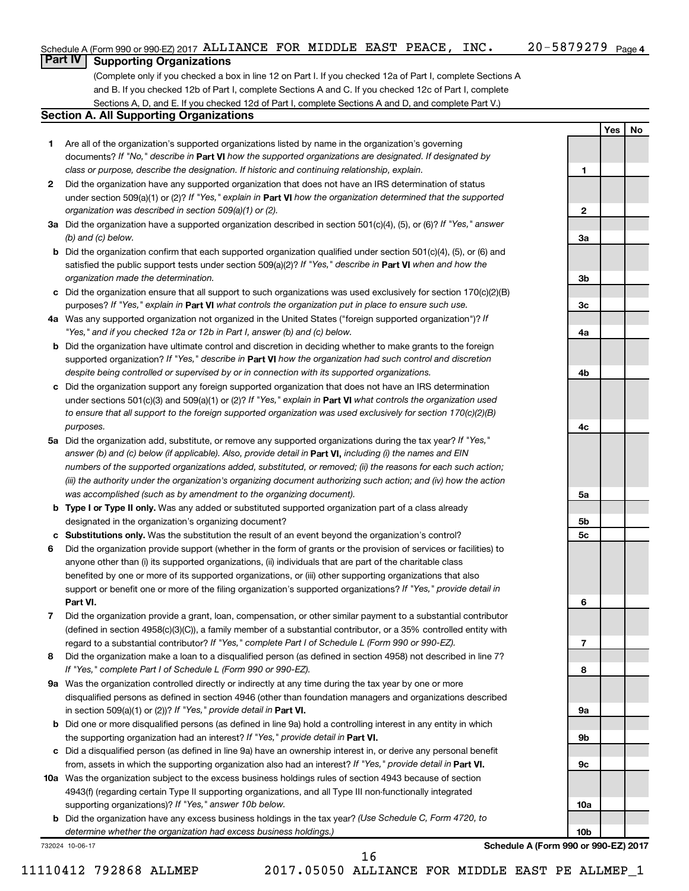**1**

**2**

**3a**

**3b**

**3c**

**4a**

**4b**

**4c**

**5a**

**5b 5c**

**6**

**7**

**8**

**9a**

**9b**

**9c**

**10a**

**10b**

**Yes No**

## **Part IV Supporting Organizations**

(Complete only if you checked a box in line 12 on Part I. If you checked 12a of Part I, complete Sections A and B. If you checked 12b of Part I, complete Sections A and C. If you checked 12c of Part I, complete Sections A, D, and E. If you checked 12d of Part I, complete Sections A and D, and complete Part V.)

#### **Section A. All Supporting Organizations**

- **1** Are all of the organization's supported organizations listed by name in the organization's governing documents? If "No," describe in Part VI how the supported organizations are designated. If designated by *class or purpose, describe the designation. If historic and continuing relationship, explain.*
- **2** Did the organization have any supported organization that does not have an IRS determination of status under section 509(a)(1) or (2)? If "Yes," explain in Part **VI** how the organization determined that the supported *organization was described in section 509(a)(1) or (2).*
- **3a** Did the organization have a supported organization described in section 501(c)(4), (5), or (6)? If "Yes," answer *(b) and (c) below.*
- **b** Did the organization confirm that each supported organization qualified under section 501(c)(4), (5), or (6) and satisfied the public support tests under section 509(a)(2)? If "Yes," describe in Part VI when and how the *organization made the determination.*
- **c** Did the organization ensure that all support to such organizations was used exclusively for section 170(c)(2)(B) purposes? If "Yes," explain in Part VI what controls the organization put in place to ensure such use.
- **4 a** *If* Was any supported organization not organized in the United States ("foreign supported organization")? *"Yes," and if you checked 12a or 12b in Part I, answer (b) and (c) below.*
- **b** Did the organization have ultimate control and discretion in deciding whether to make grants to the foreign supported organization? If "Yes," describe in Part VI how the organization had such control and discretion *despite being controlled or supervised by or in connection with its supported organizations.*
- **c** Did the organization support any foreign supported organization that does not have an IRS determination under sections 501(c)(3) and 509(a)(1) or (2)? If "Yes," explain in Part VI what controls the organization used *to ensure that all support to the foreign supported organization was used exclusively for section 170(c)(2)(B) purposes.*
- **5a** Did the organization add, substitute, or remove any supported organizations during the tax year? If "Yes," answer (b) and (c) below (if applicable). Also, provide detail in **Part VI,** including (i) the names and EIN *numbers of the supported organizations added, substituted, or removed; (ii) the reasons for each such action; (iii) the authority under the organization's organizing document authorizing such action; and (iv) how the action was accomplished (such as by amendment to the organizing document).*
- **b** Type I or Type II only. Was any added or substituted supported organization part of a class already designated in the organization's organizing document?
- **c Substitutions only.**  Was the substitution the result of an event beyond the organization's control?
- **6** Did the organization provide support (whether in the form of grants or the provision of services or facilities) to **Part VI.** support or benefit one or more of the filing organization's supported organizations? If "Yes," provide detail in anyone other than (i) its supported organizations, (ii) individuals that are part of the charitable class benefited by one or more of its supported organizations, or (iii) other supporting organizations that also
- **7** Did the organization provide a grant, loan, compensation, or other similar payment to a substantial contributor regard to a substantial contributor? If "Yes," complete Part I of Schedule L (Form 990 or 990-EZ). (defined in section 4958(c)(3)(C)), a family member of a substantial contributor, or a 35% controlled entity with
- **8** Did the organization make a loan to a disqualified person (as defined in section 4958) not described in line 7? *If "Yes," complete Part I of Schedule L (Form 990 or 990-EZ).*
- **9 a** Was the organization controlled directly or indirectly at any time during the tax year by one or more in section 509(a)(1) or (2))? If "Yes," provide detail in **Part VI.** disqualified persons as defined in section 4946 (other than foundation managers and organizations described
- **b** Did one or more disqualified persons (as defined in line 9a) hold a controlling interest in any entity in which the supporting organization had an interest? If "Yes," provide detail in Part VI.
- **c** Did a disqualified person (as defined in line 9a) have an ownership interest in, or derive any personal benefit from, assets in which the supporting organization also had an interest? If "Yes," provide detail in Part VI.
- **10 a** Was the organization subject to the excess business holdings rules of section 4943 because of section supporting organizations)? If "Yes," answer 10b below. 4943(f) (regarding certain Type II supporting organizations, and all Type III non-functionally integrated
	- **b** Did the organization have any excess business holdings in the tax year? (Use Schedule C, Form 4720, to *determine whether the organization had excess business holdings.)*

732024 10-06-17

**Schedule A (Form 990 or 990-EZ) 2017**

11110412 792868 ALLMEP 2017.05050 ALLIANCE FOR MIDDLE EAST PE ALLMEP\_1

16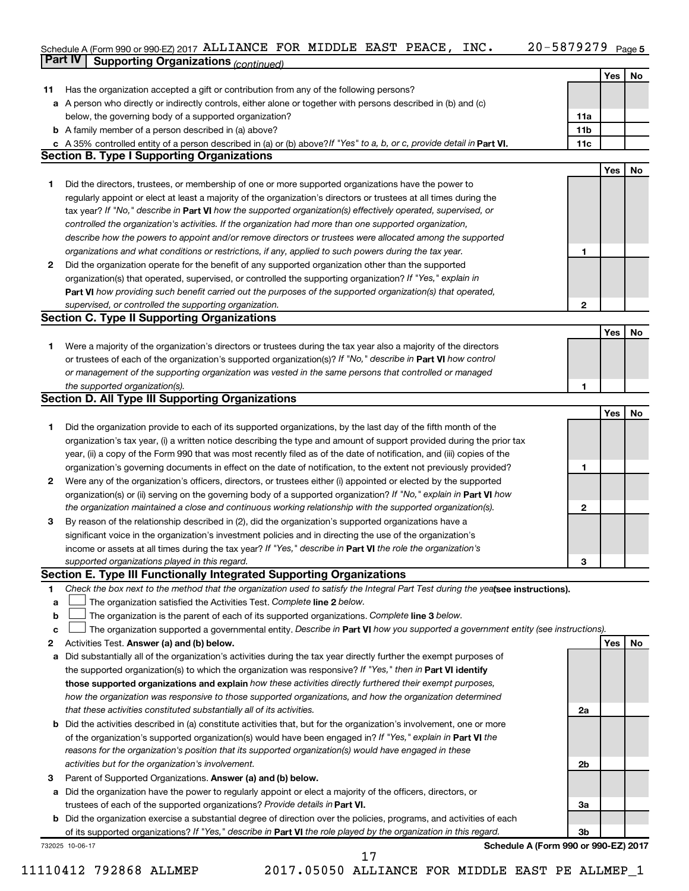#### 20-5879279 Page 5 Schedule A (Form 990 or 990-EZ) 2017 ALLIANCE FOR MIDDLE EAST PEACE, INC.  $20-5879279$  Page **Part IV Supporting Organizations** *(continued)* ALLIANCE FOR MIDDLE EAST PEACE, INC. 20-5879279

|    | <b>uit iv</b><br>Supporting Organizations (continued)                                                                           |                 |            |    |
|----|---------------------------------------------------------------------------------------------------------------------------------|-----------------|------------|----|
|    |                                                                                                                                 |                 | Yes        | No |
| 11 | Has the organization accepted a gift or contribution from any of the following persons?                                         |                 |            |    |
|    | a A person who directly or indirectly controls, either alone or together with persons described in (b) and (c)                  |                 |            |    |
|    | below, the governing body of a supported organization?                                                                          | 11a             |            |    |
|    | <b>b</b> A family member of a person described in (a) above?                                                                    | 11 <sub>b</sub> |            |    |
|    | c A 35% controlled entity of a person described in (a) or (b) above? If "Yes" to a, b, or c, provide detail in Part VI.         | 11c             |            |    |
|    | <b>Section B. Type I Supporting Organizations</b>                                                                               |                 |            |    |
|    |                                                                                                                                 |                 | <b>Yes</b> | No |
| 1. | Did the directors, trustees, or membership of one or more supported organizations have the power to                             |                 |            |    |
|    | regularly appoint or elect at least a majority of the organization's directors or trustees at all times during the              |                 |            |    |
|    | tax year? If "No," describe in Part VI how the supported organization(s) effectively operated, supervised, or                   |                 |            |    |
|    | controlled the organization's activities. If the organization had more than one supported organization,                         |                 |            |    |
|    | describe how the powers to appoint and/or remove directors or trustees were allocated among the supported                       |                 |            |    |
|    | organizations and what conditions or restrictions, if any, applied to such powers during the tax year.                          | 1               |            |    |
| 2  | Did the organization operate for the benefit of any supported organization other than the supported                             |                 |            |    |
|    | organization(s) that operated, supervised, or controlled the supporting organization? If "Yes," explain in                      |                 |            |    |
|    | Part VI how providing such benefit carried out the purposes of the supported organization(s) that operated,                     |                 |            |    |
|    | supervised, or controlled the supporting organization.                                                                          | 2               |            |    |
|    | <b>Section C. Type II Supporting Organizations</b>                                                                              |                 |            |    |
|    |                                                                                                                                 |                 | <b>Yes</b> | No |
| 1. | Were a majority of the organization's directors or trustees during the tax year also a majority of the directors                |                 |            |    |
|    | or trustees of each of the organization's supported organization(s)? If "No," describe in Part VI how control                   |                 |            |    |
|    |                                                                                                                                 |                 |            |    |
|    | or management of the supporting organization was vested in the same persons that controlled or managed                          |                 |            |    |
|    | the supported organization(s).                                                                                                  | 1               |            |    |
|    | <b>Section D. All Type III Supporting Organizations</b>                                                                         |                 |            |    |
|    |                                                                                                                                 |                 | <b>Yes</b> | No |
| 1  | Did the organization provide to each of its supported organizations, by the last day of the fifth month of the                  |                 |            |    |
|    | organization's tax year, (i) a written notice describing the type and amount of support provided during the prior tax           |                 |            |    |
|    | year, (ii) a copy of the Form 990 that was most recently filed as of the date of notification, and (iii) copies of the          |                 |            |    |
|    | organization's governing documents in effect on the date of notification, to the extent not previously provided?                | 1               |            |    |
| 2  | Were any of the organization's officers, directors, or trustees either (i) appointed or elected by the supported                |                 |            |    |
|    | organization(s) or (ii) serving on the governing body of a supported organization? If "No," explain in Part VI how              |                 |            |    |
|    | the organization maintained a close and continuous working relationship with the supported organization(s).                     | 2               |            |    |
| 3  | By reason of the relationship described in (2), did the organization's supported organizations have a                           |                 |            |    |
|    | significant voice in the organization's investment policies and in directing the use of the organization's                      |                 |            |    |
|    | income or assets at all times during the tax year? If "Yes," describe in Part VI the role the organization's                    |                 |            |    |
|    | supported organizations played in this regard.                                                                                  | З               |            |    |
|    | Section E. Type III Functionally Integrated Supporting Organizations                                                            |                 |            |    |
| 1  | Check the box next to the method that the organization used to satisfy the Integral Part Test during the yealsee instructions). |                 |            |    |
| а  | The organization satisfied the Activities Test. Complete line 2 below.                                                          |                 |            |    |
| b  | The organization is the parent of each of its supported organizations. Complete line 3 below.                                   |                 |            |    |
| с  | The organization supported a governmental entity. Describe in Part VI how you supported a government entity (see instructions). |                 |            |    |
| 2  | Activities Test. Answer (a) and (b) below.                                                                                      |                 | Yes        | No |
| а  | Did substantially all of the organization's activities during the tax year directly further the exempt purposes of              |                 |            |    |
|    | the supported organization(s) to which the organization was responsive? If "Yes," then in Part VI identify                      |                 |            |    |
|    | those supported organizations and explain how these activities directly furthered their exempt purposes,                        |                 |            |    |
|    | how the organization was responsive to those supported organizations, and how the organization determined                       |                 |            |    |
|    | that these activities constituted substantially all of its activities.                                                          | 2a              |            |    |
| b  | Did the activities described in (a) constitute activities that, but for the organization's involvement, one or more             |                 |            |    |
|    | of the organization's supported organization(s) would have been engaged in? If "Yes," explain in Part VI the                    |                 |            |    |
|    | reasons for the organization's position that its supported organization(s) would have engaged in these                          |                 |            |    |
|    | activities but for the organization's involvement.                                                                              | 2b              |            |    |
| З  | Parent of Supported Organizations. Answer (a) and (b) below.                                                                    |                 |            |    |
| а  | Did the organization have the power to regularly appoint or elect a majority of the officers, directors, or                     |                 |            |    |
|    | trustees of each of the supported organizations? Provide details in Part VI.                                                    | За              |            |    |
|    | Did the organization exercise a substantial degree of direction over the policies, programs, and activities of each             |                 |            |    |
| b  | of its supported organizations? If "Yes," describe in Part VI the role played by the organization in this regard.               | 3b              |            |    |
|    | Schedule A (Form 990 or 990-EZ) 2017                                                                                            |                 |            |    |
|    | 732025 10-06-17<br>17                                                                                                           |                 |            |    |

<sup>11110412 792868</sup> ALLMEP 2017.05050 ALLIANCE FOR MIDDLE EAST PE ALLMEP\_1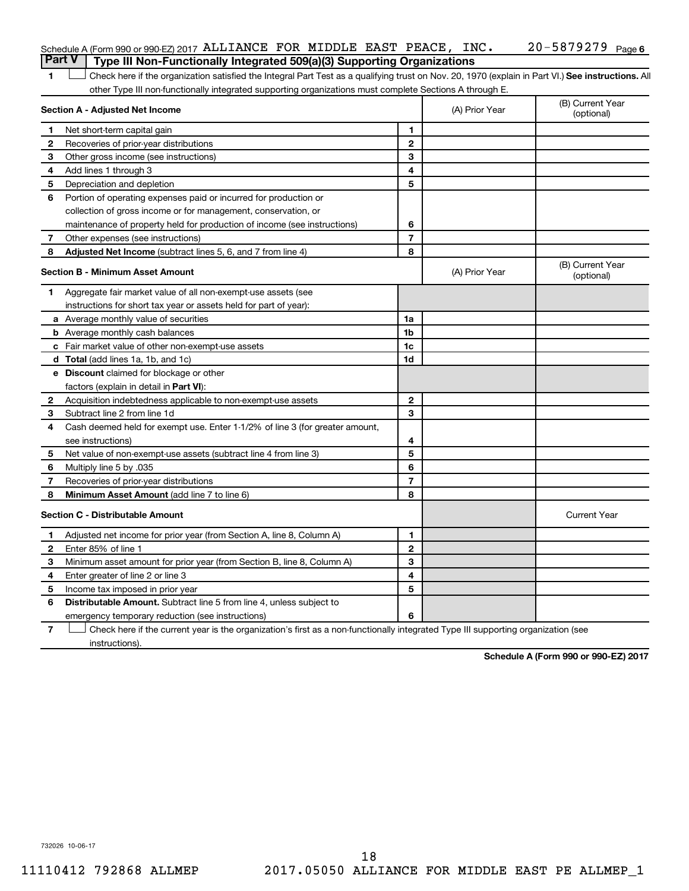| Schedule A (Form 990 or 990-EZ) 2017 ALLIANCE FOR MIDDLE EAST PEACE, INC.                                                   |  |   |  | $20 - 5879279$ Page 6 |  |
|-----------------------------------------------------------------------------------------------------------------------------|--|---|--|-----------------------|--|
| $\overline{R}$ and $\overline{M}$ $\overline{R}$ are constant $\overline{R}$ and $\overline{R}$ are constant $\overline{R}$ |  | . |  |                       |  |

**Part V Type III Non-Functionally Integrated 509(a)(3) Supporting Organizations** 

1 **Letter See instructions.** All Check here if the organization satisfied the Integral Part Test as a qualifying trust on Nov. 20, 1970 (explain in Part VI.) See instructions. All other Type III non-functionally integrated supporting organizations must complete Sections A through E.

|              | Section A - Adjusted Net Income                                              |                | (A) Prior Year | (B) Current Year<br>(optional) |
|--------------|------------------------------------------------------------------------------|----------------|----------------|--------------------------------|
| 1            | Net short-term capital gain                                                  | 1              |                |                                |
| $\mathbf{2}$ | Recoveries of prior-year distributions                                       | $\mathbf{2}$   |                |                                |
| З            | Other gross income (see instructions)                                        | 3              |                |                                |
| 4            | Add lines 1 through 3                                                        | 4              |                |                                |
| 5            | Depreciation and depletion                                                   | 5              |                |                                |
| 6            | Portion of operating expenses paid or incurred for production or             |                |                |                                |
|              | collection of gross income or for management, conservation, or               |                |                |                                |
|              | maintenance of property held for production of income (see instructions)     | 6              |                |                                |
| 7            | Other expenses (see instructions)                                            | $\overline{7}$ |                |                                |
| 8            | <b>Adjusted Net Income</b> (subtract lines 5, 6, and 7 from line 4)          | 8              |                |                                |
|              | <b>Section B - Minimum Asset Amount</b>                                      |                | (A) Prior Year | (B) Current Year<br>(optional) |
| 1            | Aggregate fair market value of all non-exempt-use assets (see                |                |                |                                |
|              | instructions for short tax year or assets held for part of year):            |                |                |                                |
|              | <b>a</b> Average monthly value of securities                                 | 1a             |                |                                |
|              | <b>b</b> Average monthly cash balances                                       | 1b             |                |                                |
|              | <b>c</b> Fair market value of other non-exempt-use assets                    | 1 <sub>c</sub> |                |                                |
|              | <b>d</b> Total (add lines 1a, 1b, and 1c)                                    | 1d             |                |                                |
|              | e Discount claimed for blockage or other                                     |                |                |                                |
|              | factors (explain in detail in <b>Part VI</b> ):                              |                |                |                                |
| $\mathbf{2}$ | Acquisition indebtedness applicable to non-exempt-use assets                 | $\mathbf{2}$   |                |                                |
| 3            | Subtract line 2 from line 1d                                                 | 3              |                |                                |
| 4            | Cash deemed held for exempt use. Enter 1-1/2% of line 3 (for greater amount, |                |                |                                |
|              | see instructions)                                                            | 4              |                |                                |
| 5            | Net value of non-exempt-use assets (subtract line 4 from line 3)             | 5              |                |                                |
| 6            | Multiply line 5 by .035                                                      | 6              |                |                                |
| 7            | Recoveries of prior-year distributions                                       | $\overline{7}$ |                |                                |
| 8            | Minimum Asset Amount (add line 7 to line 6)                                  | 8              |                |                                |
|              | <b>Section C - Distributable Amount</b>                                      |                |                | <b>Current Year</b>            |
| 1            | Adjusted net income for prior year (from Section A, line 8, Column A)        | 1              |                |                                |
| 2            | Enter 85% of line 1                                                          | $\overline{2}$ |                |                                |
| З            | Minimum asset amount for prior year (from Section B, line 8, Column A)       | 3              |                |                                |
| 4            | Enter greater of line 2 or line 3                                            | 4              |                |                                |
| 5            | Income tax imposed in prior year                                             | 5              |                |                                |
| 6            | <b>Distributable Amount.</b> Subtract line 5 from line 4, unless subject to  |                |                |                                |
|              | emergency temporary reduction (see instructions)                             | 6              |                |                                |
|              |                                                                              |                |                |                                |

**7** Check here if the current year is the organization's first as a non-functionally integrated Type III supporting organization (see † instructions).

**Schedule A (Form 990 or 990-EZ) 2017**

732026 10-06-17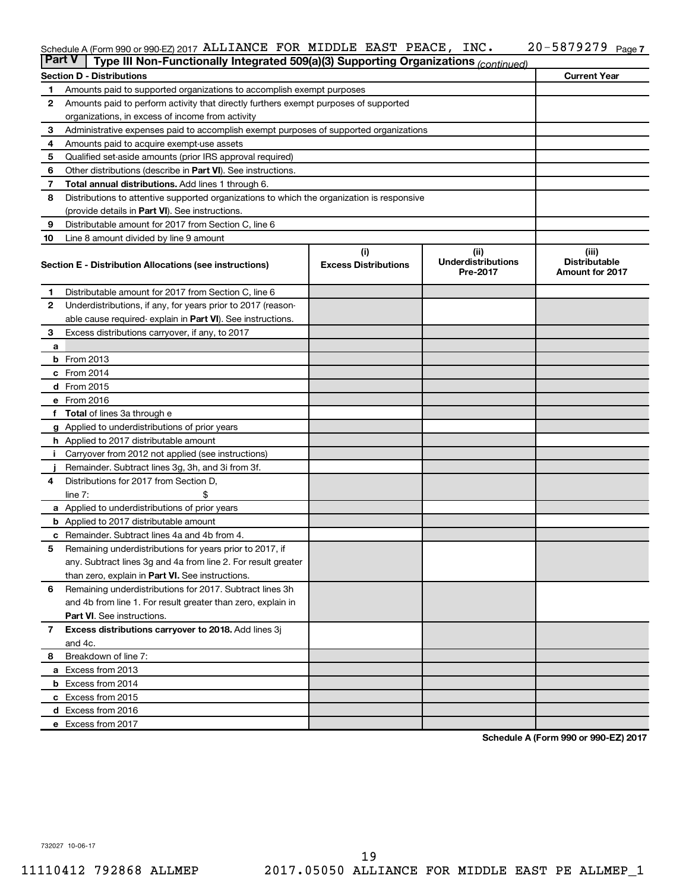#### Schedule A (Form 990 or 990-EZ) 2017 ALLIANCE FOR MIDDLE EAST PEACE, INC.  $20-5879279$  Page ALLIANCE FOR MIDDLE EAST PEACE, INC. 20-5879279

| <b>Part V</b> | Type III Non-Functionally Integrated 509(a)(3) Supporting Organizations (continued)        |                             |                                       |                                                |
|---------------|--------------------------------------------------------------------------------------------|-----------------------------|---------------------------------------|------------------------------------------------|
|               | <b>Section D - Distributions</b>                                                           |                             |                                       | <b>Current Year</b>                            |
| 1             | Amounts paid to supported organizations to accomplish exempt purposes                      |                             |                                       |                                                |
| $\mathbf{2}$  | Amounts paid to perform activity that directly furthers exempt purposes of supported       |                             |                                       |                                                |
|               | organizations, in excess of income from activity                                           |                             |                                       |                                                |
| 3             | Administrative expenses paid to accomplish exempt purposes of supported organizations      |                             |                                       |                                                |
| 4             | Amounts paid to acquire exempt-use assets                                                  |                             |                                       |                                                |
| 5             | Qualified set-aside amounts (prior IRS approval required)                                  |                             |                                       |                                                |
| 6             | Other distributions (describe in <b>Part VI</b> ). See instructions.                       |                             |                                       |                                                |
| 7             | Total annual distributions. Add lines 1 through 6.                                         |                             |                                       |                                                |
| 8             | Distributions to attentive supported organizations to which the organization is responsive |                             |                                       |                                                |
|               | (provide details in Part VI). See instructions.                                            |                             |                                       |                                                |
| 9             | Distributable amount for 2017 from Section C, line 6                                       |                             |                                       |                                                |
| 10            | Line 8 amount divided by line 9 amount                                                     |                             |                                       |                                                |
|               |                                                                                            | (i)                         | (ii)                                  | (iii)                                          |
|               | Section E - Distribution Allocations (see instructions)                                    | <b>Excess Distributions</b> | <b>Underdistributions</b><br>Pre-2017 | <b>Distributable</b><br><b>Amount for 2017</b> |
| 1             | Distributable amount for 2017 from Section C, line 6                                       |                             |                                       |                                                |
| $\mathbf{2}$  | Underdistributions, if any, for years prior to 2017 (reason-                               |                             |                                       |                                                |
|               | able cause required- explain in Part VI). See instructions.                                |                             |                                       |                                                |
| 3             | Excess distributions carryover, if any, to 2017                                            |                             |                                       |                                                |
| a             |                                                                                            |                             |                                       |                                                |
|               | <b>b</b> From 2013                                                                         |                             |                                       |                                                |
|               | c From 2014                                                                                |                             |                                       |                                                |
|               | d From 2015                                                                                |                             |                                       |                                                |
|               | e From 2016                                                                                |                             |                                       |                                                |
|               | f Total of lines 3a through e                                                              |                             |                                       |                                                |
|               | <b>g</b> Applied to underdistributions of prior years                                      |                             |                                       |                                                |
|               | <b>h</b> Applied to 2017 distributable amount                                              |                             |                                       |                                                |
| Ť.            | Carryover from 2012 not applied (see instructions)                                         |                             |                                       |                                                |
|               | Remainder. Subtract lines 3g, 3h, and 3i from 3f.                                          |                             |                                       |                                                |
| 4             | Distributions for 2017 from Section D,                                                     |                             |                                       |                                                |
|               | line $7:$                                                                                  |                             |                                       |                                                |
|               | a Applied to underdistributions of prior years                                             |                             |                                       |                                                |
|               | <b>b</b> Applied to 2017 distributable amount                                              |                             |                                       |                                                |
| c             | Remainder. Subtract lines 4a and 4b from 4.                                                |                             |                                       |                                                |
| 5             | Remaining underdistributions for years prior to 2017, if                                   |                             |                                       |                                                |
|               | any. Subtract lines 3g and 4a from line 2. For result greater                              |                             |                                       |                                                |
|               | than zero, explain in Part VI. See instructions.                                           |                             |                                       |                                                |
| 6             | Remaining underdistributions for 2017. Subtract lines 3h                                   |                             |                                       |                                                |
|               | and 4b from line 1. For result greater than zero, explain in                               |                             |                                       |                                                |
|               | <b>Part VI.</b> See instructions.                                                          |                             |                                       |                                                |
| $\mathbf{7}$  | Excess distributions carryover to 2018. Add lines 3j                                       |                             |                                       |                                                |
|               | and 4c.                                                                                    |                             |                                       |                                                |
| 8             | Breakdown of line 7:                                                                       |                             |                                       |                                                |
|               | a Excess from 2013                                                                         |                             |                                       |                                                |
|               | <b>b</b> Excess from 2014                                                                  |                             |                                       |                                                |
|               | c Excess from 2015                                                                         |                             |                                       |                                                |
|               | d Excess from 2016                                                                         |                             |                                       |                                                |
|               | e Excess from 2017                                                                         |                             |                                       |                                                |

**Schedule A (Form 990 or 990-EZ) 2017**

732027 10-06-17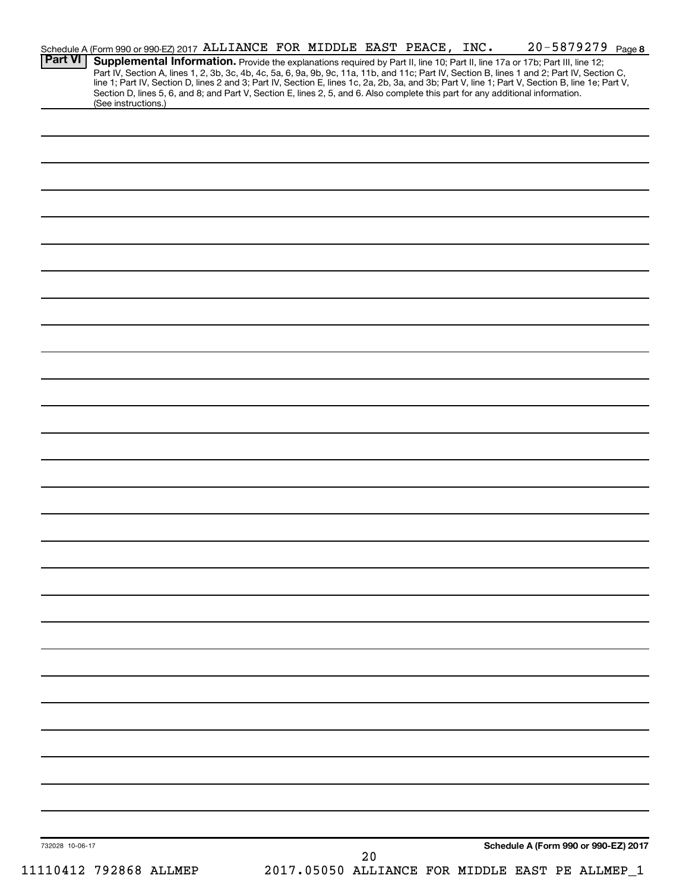|                 |                        | Schedule A (Form 990 or 990-EZ) 2017 ALLIANCE FOR MIDDLE EAST PEACE, INC.                                                       |  |    |  | 20-5879279 Page 8                                                                                                                                                                                                                                                             |  |
|-----------------|------------------------|---------------------------------------------------------------------------------------------------------------------------------|--|----|--|-------------------------------------------------------------------------------------------------------------------------------------------------------------------------------------------------------------------------------------------------------------------------------|--|
| <b>Part VI</b>  |                        |                                                                                                                                 |  |    |  | Supplemental Information. Provide the explanations required by Part II, line 10; Part II, line 17a or 17b; Part III, line 12;<br>Part IV, Section A, lines 1, 2, 3b, 3c, 4b, 4c, 5a, 6, 9a, 9b, 9c, 11a, 11b, and 11c; Part IV, Section B, lines 1 and 2; Part IV, Section C, |  |
|                 |                        |                                                                                                                                 |  |    |  | line 1; Part IV, Section D, lines 2 and 3; Part IV, Section E, lines 1c, 2a, 2b, 3a, and 3b; Part V, line 1; Part V, Section B, line 1e; Part V,                                                                                                                              |  |
|                 | (See instructions.)    | Section D, lines 5, 6, and 8; and Part V, Section E, lines 2, 5, and 6. Also complete this part for any additional information. |  |    |  |                                                                                                                                                                                                                                                                               |  |
|                 |                        |                                                                                                                                 |  |    |  |                                                                                                                                                                                                                                                                               |  |
|                 |                        |                                                                                                                                 |  |    |  |                                                                                                                                                                                                                                                                               |  |
|                 |                        |                                                                                                                                 |  |    |  |                                                                                                                                                                                                                                                                               |  |
|                 |                        |                                                                                                                                 |  |    |  |                                                                                                                                                                                                                                                                               |  |
|                 |                        |                                                                                                                                 |  |    |  |                                                                                                                                                                                                                                                                               |  |
|                 |                        |                                                                                                                                 |  |    |  |                                                                                                                                                                                                                                                                               |  |
|                 |                        |                                                                                                                                 |  |    |  |                                                                                                                                                                                                                                                                               |  |
|                 |                        |                                                                                                                                 |  |    |  |                                                                                                                                                                                                                                                                               |  |
|                 |                        |                                                                                                                                 |  |    |  |                                                                                                                                                                                                                                                                               |  |
|                 |                        |                                                                                                                                 |  |    |  |                                                                                                                                                                                                                                                                               |  |
|                 |                        |                                                                                                                                 |  |    |  |                                                                                                                                                                                                                                                                               |  |
|                 |                        |                                                                                                                                 |  |    |  |                                                                                                                                                                                                                                                                               |  |
|                 |                        |                                                                                                                                 |  |    |  |                                                                                                                                                                                                                                                                               |  |
|                 |                        |                                                                                                                                 |  |    |  |                                                                                                                                                                                                                                                                               |  |
|                 |                        |                                                                                                                                 |  |    |  |                                                                                                                                                                                                                                                                               |  |
|                 |                        |                                                                                                                                 |  |    |  |                                                                                                                                                                                                                                                                               |  |
|                 |                        |                                                                                                                                 |  |    |  |                                                                                                                                                                                                                                                                               |  |
|                 |                        |                                                                                                                                 |  |    |  |                                                                                                                                                                                                                                                                               |  |
|                 |                        |                                                                                                                                 |  |    |  |                                                                                                                                                                                                                                                                               |  |
|                 |                        |                                                                                                                                 |  |    |  |                                                                                                                                                                                                                                                                               |  |
|                 |                        |                                                                                                                                 |  |    |  |                                                                                                                                                                                                                                                                               |  |
|                 |                        |                                                                                                                                 |  |    |  |                                                                                                                                                                                                                                                                               |  |
|                 |                        |                                                                                                                                 |  |    |  |                                                                                                                                                                                                                                                                               |  |
|                 |                        |                                                                                                                                 |  |    |  |                                                                                                                                                                                                                                                                               |  |
|                 |                        |                                                                                                                                 |  |    |  |                                                                                                                                                                                                                                                                               |  |
|                 |                        |                                                                                                                                 |  |    |  |                                                                                                                                                                                                                                                                               |  |
|                 |                        |                                                                                                                                 |  |    |  |                                                                                                                                                                                                                                                                               |  |
|                 |                        |                                                                                                                                 |  |    |  |                                                                                                                                                                                                                                                                               |  |
|                 |                        |                                                                                                                                 |  |    |  |                                                                                                                                                                                                                                                                               |  |
|                 |                        |                                                                                                                                 |  |    |  |                                                                                                                                                                                                                                                                               |  |
|                 |                        |                                                                                                                                 |  |    |  |                                                                                                                                                                                                                                                                               |  |
|                 |                        |                                                                                                                                 |  |    |  |                                                                                                                                                                                                                                                                               |  |
|                 |                        |                                                                                                                                 |  |    |  |                                                                                                                                                                                                                                                                               |  |
|                 |                        |                                                                                                                                 |  |    |  |                                                                                                                                                                                                                                                                               |  |
|                 |                        |                                                                                                                                 |  |    |  |                                                                                                                                                                                                                                                                               |  |
|                 |                        |                                                                                                                                 |  |    |  |                                                                                                                                                                                                                                                                               |  |
|                 |                        |                                                                                                                                 |  |    |  |                                                                                                                                                                                                                                                                               |  |
|                 |                        |                                                                                                                                 |  |    |  |                                                                                                                                                                                                                                                                               |  |
|                 |                        |                                                                                                                                 |  |    |  |                                                                                                                                                                                                                                                                               |  |
|                 |                        |                                                                                                                                 |  |    |  |                                                                                                                                                                                                                                                                               |  |
|                 |                        |                                                                                                                                 |  |    |  |                                                                                                                                                                                                                                                                               |  |
|                 |                        |                                                                                                                                 |  |    |  |                                                                                                                                                                                                                                                                               |  |
|                 |                        |                                                                                                                                 |  |    |  |                                                                                                                                                                                                                                                                               |  |
|                 |                        |                                                                                                                                 |  |    |  | Schedule A (Form 990 or 990-EZ) 2017                                                                                                                                                                                                                                          |  |
| 732028 10-06-17 |                        |                                                                                                                                 |  | 20 |  |                                                                                                                                                                                                                                                                               |  |
|                 | 11110412 792868 ALLMEP |                                                                                                                                 |  |    |  | 2017.05050 ALLIANCE FOR MIDDLE EAST PE ALLMEP_1                                                                                                                                                                                                                               |  |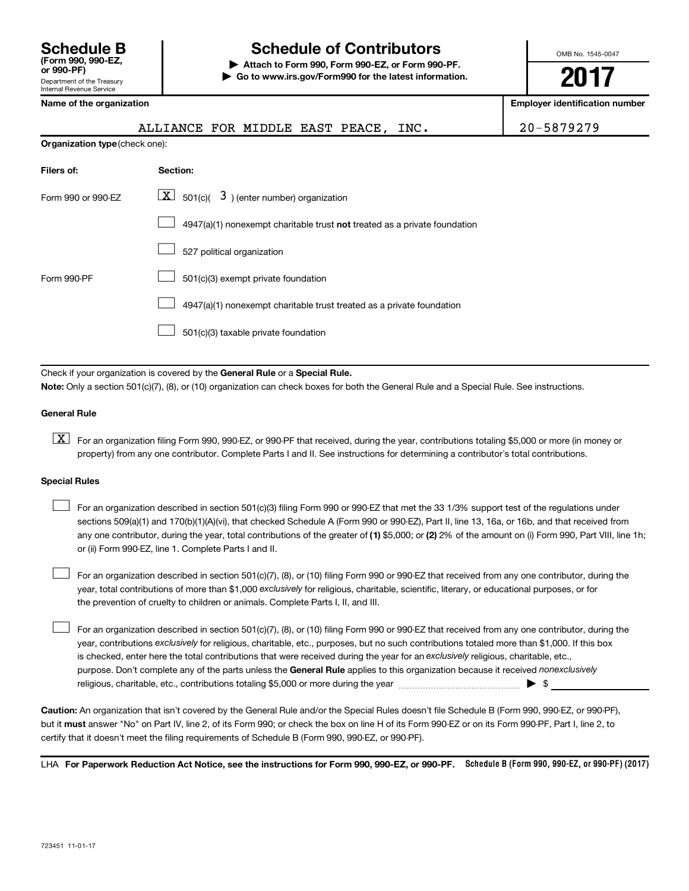# **Schedule B Schedule of Contributors**

**or 990-PF) | Attach to Form 990, Form 990-EZ, or Form 990-PF. | Go to www.irs.gov/Form990 for the latest information.** OMB No. 1545-0047

**2017**

**Employer identification number** 

|  | Name of the organization |
|--|--------------------------|

|                                       | ALLIANCE FOR MIDDLE EAST PEACE, |  |  | $\_$ INC . | 20-5879279 |
|---------------------------------------|---------------------------------|--|--|------------|------------|
| <b>Organization type (check one):</b> |                                 |  |  |            |            |
| Filers of:                            | Section:                        |  |  |            |            |
|                                       | $\overline{\phantom{a}}$        |  |  |            |            |

| Form 990 or 990-EZ | $\boxed{\mathbf{X}}$ 501(c)( 3) (enter number) organization               |
|--------------------|---------------------------------------------------------------------------|
|                    | 4947(a)(1) nonexempt charitable trust not treated as a private foundation |
|                    | 527 political organization                                                |
| Form 990-PF        | 501(c)(3) exempt private foundation                                       |
|                    | 4947(a)(1) nonexempt charitable trust treated as a private foundation     |
|                    | 501(c)(3) taxable private foundation                                      |

Check if your organization is covered by the General Rule or a Special Rule.

**Note:**  Only a section 501(c)(7), (8), or (10) organization can check boxes for both the General Rule and a Special Rule. See instructions.

#### **General Rule**

**K** For an organization filing Form 990, 990-EZ, or 990-PF that received, during the year, contributions totaling \$5,000 or more (in money or property) from any one contributor. Complete Parts I and II. See instructions for determining a contributor's total contributions.

#### **Special Rules**

 $\Box$ 

any one contributor, during the year, total contributions of the greater of (1) \$5,000; or (2) 2% of the amount on (i) Form 990, Part VIII, line 1h; For an organization described in section 501(c)(3) filing Form 990 or 990-EZ that met the 33 1/3% support test of the regulations under sections 509(a)(1) and 170(b)(1)(A)(vi), that checked Schedule A (Form 990 or 990-EZ), Part II, line 13, 16a, or 16b, and that received from or (ii) Form 990-EZ, line 1. Complete Parts I and II.  $\Box$ 

year, total contributions of more than \$1,000 *exclusively* for religious, charitable, scientific, literary, or educational purposes, or for For an organization described in section 501(c)(7), (8), or (10) filing Form 990 or 990-EZ that received from any one contributor, during the the prevention of cruelty to children or animals. Complete Parts I, II, and III.  $\Box$ 

purpose. Don't complete any of the parts unless the General Rule applies to this organization because it received nonexclusively year, contributions exclusively for religious, charitable, etc., purposes, but no such contributions totaled more than \$1,000. If this box is checked, enter here the total contributions that were received during the year for an exclusively religious, charitable, etc., For an organization described in section 501(c)(7), (8), or (10) filing Form 990 or 990-EZ that received from any one contributor, during the religious, charitable, etc., contributions totaling \$5,000 or more during the year  $\ldots$  $\ldots$  $\ldots$  $\ldots$  $\ldots$  $\ldots$ 

**Caution:**  An organization that isn't covered by the General Rule and/or the Special Rules doesn't file Schedule B (Form 990, 990-EZ, or 990-PF),  **must** but it answer "No" on Part IV, line 2, of its Form 990; or check the box on line H of its Form 990-EZ or on its Form 990-PF, Part I, line 2, to certify that it doesn't meet the filing requirements of Schedule B (Form 990, 990-EZ, or 990-PF).

LHA For Paperwork Reduction Act Notice, see the instructions for Form 990, 990-EZ, or 990-PF. Schedule B (Form 990, 990-EZ, or 990-PF) (2017)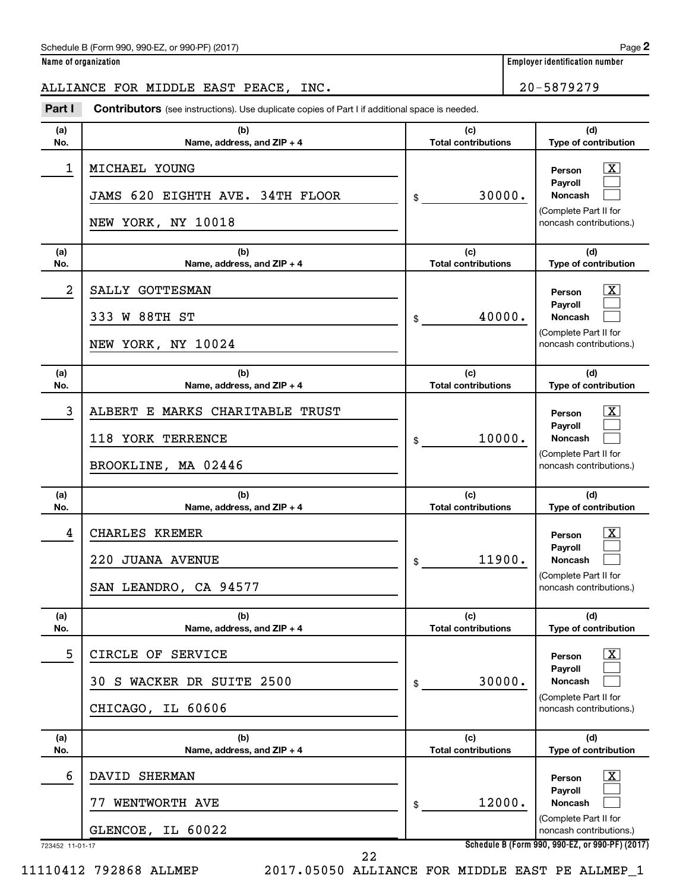#### Schedule B (Form 990, 990-EZ, or 990-PF) (2017)

### ALLIANCE FOR MIDDLE EAST PEACE, INC. 20-5879279

**Part I** Contributors (see instructions). Use duplicate copies of Part I if additional space is needed.

| (a)<br>No.           | (b)<br>Name, address, and ZIP + 4                                           | (c)<br><b>Total contributions</b> | (d)<br>Type of contribution                                                                                                                                |
|----------------------|-----------------------------------------------------------------------------|-----------------------------------|------------------------------------------------------------------------------------------------------------------------------------------------------------|
| 1                    | MICHAEL YOUNG<br>JAMS 620 EIGHTH AVE. 34TH FLOOR<br>NEW YORK, NY 10018      | 30000.<br>\$                      | $\overline{\mathbf{X}}$<br>Person<br>Payroll<br>Noncash<br>(Complete Part II for<br>noncash contributions.)                                                |
| (a)<br>No.           | (b)<br>Name, address, and ZIP + 4                                           | (c)<br><b>Total contributions</b> | (d)<br>Type of contribution                                                                                                                                |
| 2                    | SALLY GOTTESMAN<br>333 W 88TH ST<br>NEW YORK, NY 10024                      | 40000.<br>\$                      | $\mathbf{X}$<br>Person<br>Payroll<br>Noncash<br>(Complete Part II for<br>noncash contributions.)                                                           |
| (a)<br>No.           | (b)<br>Name, address, and ZIP + 4                                           | (c)<br><b>Total contributions</b> | (d)<br>Type of contribution                                                                                                                                |
| 3                    | ALBERT E MARKS CHARITABLE TRUST<br>118 YORK TERRENCE<br>BROOKLINE, MA 02446 | 10000.<br>\$                      | $\overline{\mathbf{X}}$<br>Person<br>Payroll<br><b>Noncash</b><br>(Complete Part II for<br>noncash contributions.)                                         |
|                      |                                                                             |                                   |                                                                                                                                                            |
| (a)<br>No.           | (b)<br>Name, address, and ZIP + 4                                           | (c)<br><b>Total contributions</b> | (d)<br>Type of contribution                                                                                                                                |
| 4                    | CHARLES KREMER<br>220 JUANA AVENUE<br>SAN LEANDRO, CA 94577                 | 11900.<br>\$                      | <u>x</u><br>Person<br>Payroll<br><b>Noncash</b><br>(Complete Part II for<br>noncash contributions.)                                                        |
| (a)<br>No.           | (b)<br>Name, address, and ZIP + 4                                           | (c)<br><b>Total contributions</b> | (d)<br><b>Type of contribution</b>                                                                                                                         |
| 5                    | CIRCLE OF SERVICE<br>S WACKER DR SUITE 2500<br>30.<br>CHICAGO, IL 60606     | 30000.<br>\$                      | $\boxed{\textbf{X}}$<br>Person<br>Payroll<br><b>Noncash</b><br>(Complete Part II for<br>noncash contributions.)                                            |
| (a)<br>No.           | (b)<br>Name, address, and ZIP + 4                                           | (c)<br><b>Total contributions</b> | (d)<br>Type of contribution                                                                                                                                |
| 6<br>723452 11-01-17 | DAVID SHERMAN<br>WENTWORTH AVE<br>77.<br>GLENCOE, IL 60022                  | 12000.<br>\$                      | $\mathbf{X}$<br>Person<br>Payroll<br><b>Noncash</b><br>(Complete Part II for<br>noncash contributions.)<br>Schedule B (Form 990, 990-EZ, or 990-PF) (2017) |

11110412 792868 ALLMEP 2017.05050 ALLIANCE FOR MIDDLE EAST PE ALLMEP\_1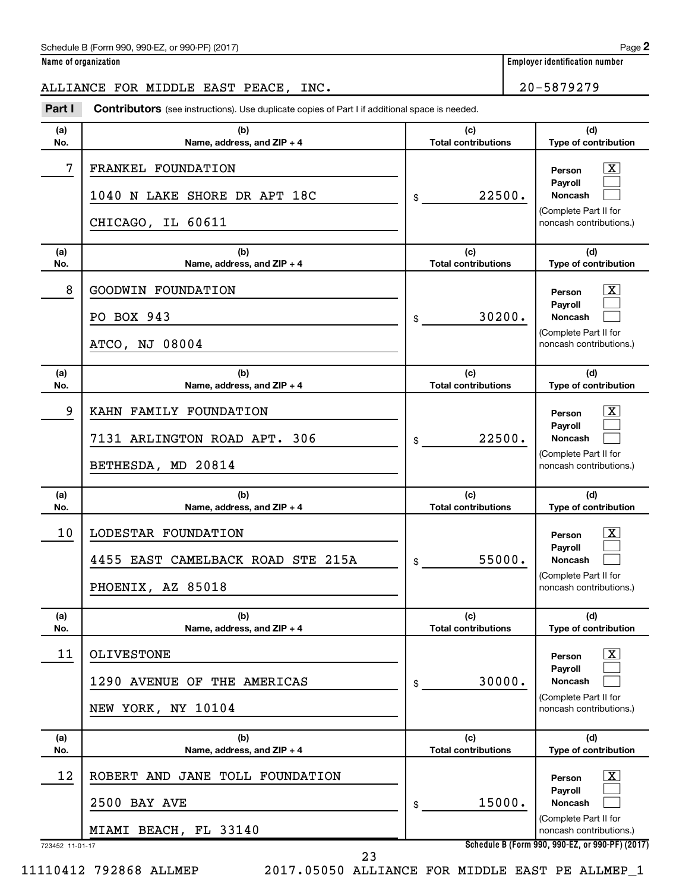#### Schedule B (Form 990, 990-EZ, or 990-PF) (2017)

#### ALLIANCE FOR MIDDLE EAST PEACE, INC. 20-5879279

**Part I** Contributors (see instructions). Use duplicate copies of Part I if additional space is needed.

| (a)<br>No.            | (b)<br>Name, address, and ZIP + 4                                               | (c)<br><b>Total contributions</b> | (d)<br>Type of contribution                                                                                                                                           |
|-----------------------|---------------------------------------------------------------------------------|-----------------------------------|-----------------------------------------------------------------------------------------------------------------------------------------------------------------------|
| 7                     | FRANKEL FOUNDATION<br>1040 N LAKE SHORE DR APT 18C<br>CHICAGO, IL 60611         | 22500.<br>\$                      | $\overline{\mathbf{X}}$<br>Person<br>Payroll<br><b>Noncash</b><br>(Complete Part II for<br>noncash contributions.)                                                    |
| (a)<br>No.            | (b)<br>Name, address, and ZIP + 4                                               | (c)<br><b>Total contributions</b> | (d)<br>Type of contribution                                                                                                                                           |
| 8                     | GOODWIN FOUNDATION<br>PO BOX 943<br>ATCO, NJ 08004                              | 30200.<br>\$                      | $\overline{\mathbf{X}}$<br>Person<br>Payroll<br><b>Noncash</b><br>(Complete Part II for<br>noncash contributions.)                                                    |
| (a)<br>No.            | (b)<br>Name, address, and ZIP + 4                                               | (c)<br><b>Total contributions</b> | (d)<br>Type of contribution                                                                                                                                           |
| 9                     | KAHN FAMILY FOUNDATION<br>7131 ARLINGTON ROAD APT. 306<br>BETHESDA, MD 20814    | 22500.<br>\$                      | $\overline{\mathbf{X}}$<br>Person<br>Payroll<br><b>Noncash</b><br>(Complete Part II for<br>noncash contributions.)                                                    |
| (a)<br>No.            | (b)<br>Name, address, and ZIP + 4                                               | (c)<br><b>Total contributions</b> | (d)<br>Type of contribution                                                                                                                                           |
| 10                    | LODESTAR FOUNDATION<br>4455 EAST CAMELBACK ROAD STE 215A<br>PHOENIX, AZ 85018   | 55000.<br>\$                      | $\overline{\mathbf{X}}$<br>Person<br>Payroll<br><b>Noncash</b><br>(Complete Part II for<br>noncash contributions.)                                                    |
| (a)<br>No.            | (b)<br>Name, address, and ZIP + 4                                               | (c)<br><b>Total contributions</b> | (d)<br>Type of contribution                                                                                                                                           |
| 11                    | OLIVESTONE<br>1290<br>AVENUE OF THE AMERICAS<br>NEW YORK, NY 10104              | 30000.<br>\$                      | $\boxed{\text{X}}$<br>Person<br>Payroll<br><b>Noncash</b><br>(Complete Part II for<br>noncash contributions.)                                                         |
| (a)<br>No.            |                                                                                 |                                   |                                                                                                                                                                       |
|                       | (b)<br>Name, address, and ZIP + 4                                               | (c)<br><b>Total contributions</b> | (d)<br>Type of contribution                                                                                                                                           |
| 12<br>723452 11-01-17 | ROBERT AND JANE TOLL FOUNDATION<br><b>2500 BAY AVE</b><br>MIAMI BEACH, FL 33140 | 15000.<br>\$                      | $\overline{\mathbf{X}}$<br>Person<br>Payroll<br><b>Noncash</b><br>(Complete Part II for<br>noncash contributions.)<br>Schedule B (Form 990, 990-EZ, or 990-PF) (2017) |

11110412 792868 ALLMEP 2017.05050 ALLIANCE FOR MIDDLE EAST PE ALLMEP\_1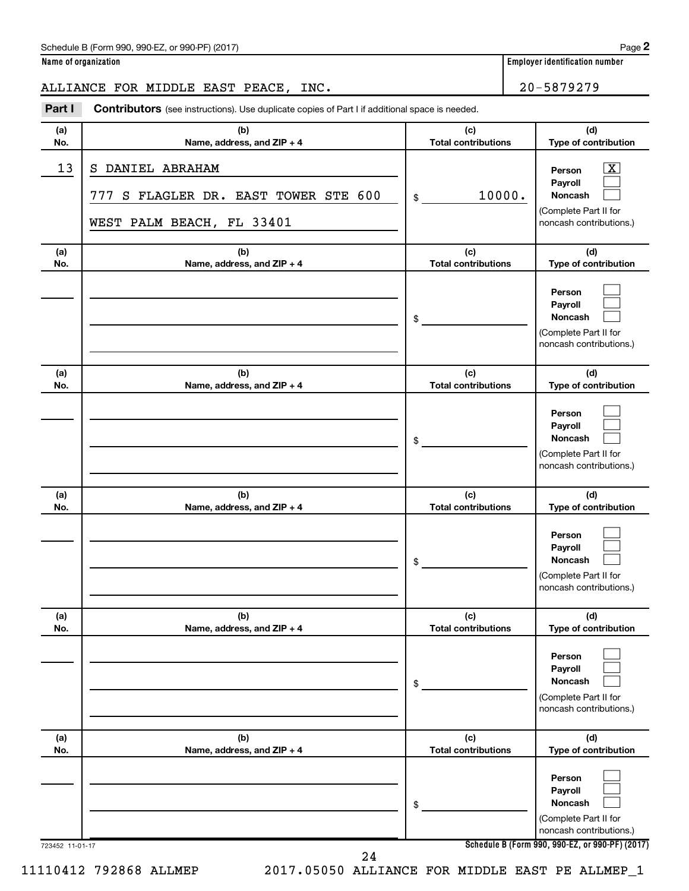#### Schedule B (Form 990, 990-EZ, or 990-PF) (2017)

#### ALLIANCE FOR MIDDLE EAST PEACE, INC. 20-5879279

**Part I** Contributors (see instructions). Use duplicate copies of Part I if additional space is needed.

| (a)<br>No. | (b)<br>Name, address, and ZIP + 4                                                           | (c)<br><b>Total contributions</b> | (d)<br>Type of contribution                                                                  |
|------------|---------------------------------------------------------------------------------------------|-----------------------------------|----------------------------------------------------------------------------------------------|
| 13         | DANIEL ABRAHAM<br>S<br>S FLAGLER DR. EAST TOWER STE 600<br>777<br>WEST PALM BEACH, FL 33401 | 10000.<br>\$                      | x<br>Person<br>Payroll<br><b>Noncash</b><br>(Complete Part II for<br>noncash contributions.) |
| (a)<br>No. | (b)<br>Name, address, and ZIP + 4                                                           | (c)<br><b>Total contributions</b> | (d)<br>Type of contribution                                                                  |
|            |                                                                                             | \$                                | Person<br>Payroll<br><b>Noncash</b><br>(Complete Part II for<br>noncash contributions.)      |
| (a)<br>No. | (b)<br>Name, address, and ZIP + 4                                                           | (c)<br><b>Total contributions</b> | (d)<br>Type of contribution                                                                  |
|            |                                                                                             | \$                                | Person<br>Payroll<br><b>Noncash</b><br>(Complete Part II for<br>noncash contributions.)      |
| (a)<br>No. | (b)<br>Name, address, and ZIP + 4                                                           | (c)<br><b>Total contributions</b> | (d)<br>Type of contribution                                                                  |
|            |                                                                                             | \$                                | Person<br>Payroll<br><b>Noncash</b><br>(Complete Part II for<br>noncash contributions.)      |
| (a)<br>No. | (b)<br>Name, address, and ZIP + 4                                                           | (c)<br><b>Total contributions</b> | (d)<br>Type of contribution                                                                  |
|            |                                                                                             | \$                                | Person<br>Payroll<br><b>Noncash</b><br>(Complete Part II for<br>noncash contributions.)      |
| (a)<br>No. | (b)<br>Name, address, and ZIP + 4                                                           | (c)<br><b>Total contributions</b> | (d)<br>Type of contribution                                                                  |
|            |                                                                                             | \$                                | Person<br>Payroll<br>Noncash<br>(Complete Part II for<br>noncash contributions.)             |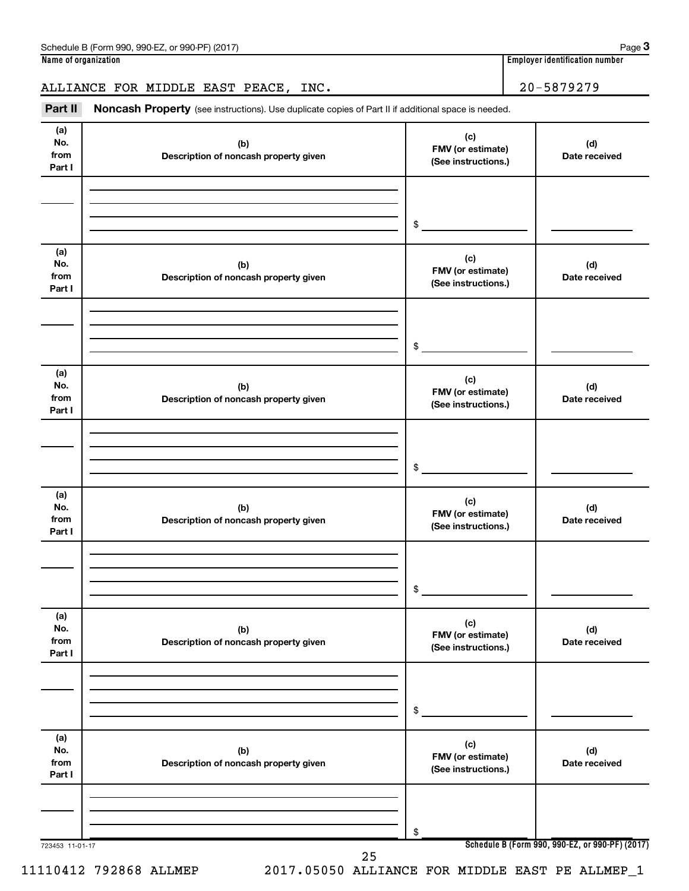#### ALLIANCE FOR MIDDLE EAST PEACE, INC. 20-5879279

Part II Noncash Property (see instructions). Use duplicate copies of Part II if additional space is needed.

| (a)<br>No.<br>from<br>Part I | (b)<br>Description of noncash property given | (c)<br>FMV (or estimate)<br>(See instructions.) | (d)<br>Date received                            |
|------------------------------|----------------------------------------------|-------------------------------------------------|-------------------------------------------------|
|                              |                                              |                                                 |                                                 |
|                              |                                              |                                                 |                                                 |
|                              |                                              | \$                                              |                                                 |
| (a)<br>No.<br>from<br>Part I | (b)<br>Description of noncash property given | (c)<br>FMV (or estimate)<br>(See instructions.) | (d)<br>Date received                            |
|                              |                                              |                                                 |                                                 |
|                              |                                              | \$                                              |                                                 |
| (a)<br>No.<br>from<br>Part I | (b)<br>Description of noncash property given | (c)<br>FMV (or estimate)<br>(See instructions.) | (d)<br>Date received                            |
|                              |                                              |                                                 |                                                 |
|                              |                                              | \$                                              |                                                 |
| (a)<br>No.<br>from<br>Part I | (b)<br>Description of noncash property given | (c)<br>FMV (or estimate)<br>(See instructions.) | (d)<br>Date received                            |
|                              |                                              |                                                 |                                                 |
|                              |                                              | \$                                              |                                                 |
| (a)<br>No.<br>from<br>Part I | (b)<br>Description of noncash property given | (c)<br>FMV (or estimate)<br>(See instructions.) | (d)<br>Date received                            |
|                              |                                              |                                                 |                                                 |
|                              |                                              | \$                                              |                                                 |
| (a)<br>No.<br>from<br>Part I | (b)<br>Description of noncash property given | (c)<br>FMV (or estimate)<br>(See instructions.) | (d)<br>Date received                            |
|                              |                                              |                                                 |                                                 |
|                              |                                              | \$                                              |                                                 |
| 723453 11-01-17              | 25                                           |                                                 | Schedule B (Form 990, 990-EZ, or 990-PF) (2017) |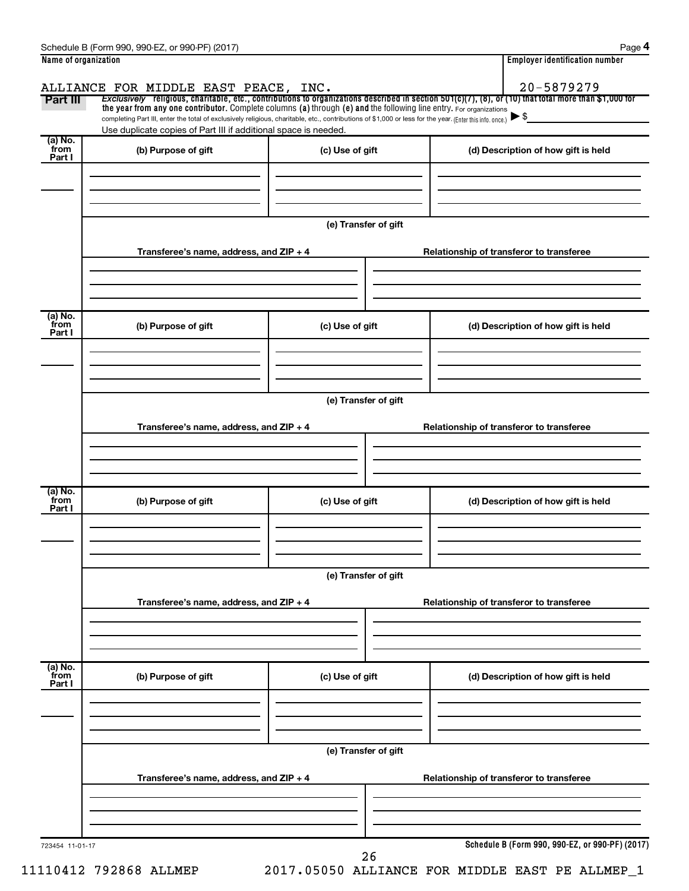| Name of organization      |                                                                                                                                                                                                                             |                      | <b>Employer identification number</b>                                                                                                                               |
|---------------------------|-----------------------------------------------------------------------------------------------------------------------------------------------------------------------------------------------------------------------------|----------------------|---------------------------------------------------------------------------------------------------------------------------------------------------------------------|
| Part III                  | ALLIANCE FOR MIDDLE EAST PEACE, INC.                                                                                                                                                                                        |                      | 20-5879279<br>Exclusively religious, charitable, etc., contributions to organizations described in section 501(c)(7), (8), or (10) that total more than \$1,000 for |
|                           | the year from any one contributor. Complete columns (a) through (e) and the following line entry. For organizations                                                                                                         |                      | $\blacktriangleright$ \$                                                                                                                                            |
|                           | completing Part III, enter the total of exclusively religious, charitable, etc., contributions of \$1,000 or less for the year. (Enter this info. once.)<br>Use duplicate copies of Part III if additional space is needed. |                      |                                                                                                                                                                     |
| (a) No.<br>from           | (b) Purpose of gift                                                                                                                                                                                                         | (c) Use of gift      | (d) Description of how gift is held                                                                                                                                 |
| Part I                    |                                                                                                                                                                                                                             |                      |                                                                                                                                                                     |
|                           |                                                                                                                                                                                                                             |                      |                                                                                                                                                                     |
|                           |                                                                                                                                                                                                                             | (e) Transfer of gift |                                                                                                                                                                     |
|                           | Transferee's name, address, and ZIP + 4                                                                                                                                                                                     |                      | Relationship of transferor to transferee                                                                                                                            |
|                           |                                                                                                                                                                                                                             |                      |                                                                                                                                                                     |
| (a) No.<br>from           |                                                                                                                                                                                                                             |                      |                                                                                                                                                                     |
| Part I                    | (b) Purpose of gift                                                                                                                                                                                                         | (c) Use of gift      | (d) Description of how gift is held                                                                                                                                 |
|                           |                                                                                                                                                                                                                             |                      |                                                                                                                                                                     |
|                           |                                                                                                                                                                                                                             | (e) Transfer of gift |                                                                                                                                                                     |
|                           | Transferee's name, address, and ZIP + 4                                                                                                                                                                                     |                      | Relationship of transferor to transferee                                                                                                                            |
|                           |                                                                                                                                                                                                                             |                      |                                                                                                                                                                     |
|                           |                                                                                                                                                                                                                             |                      |                                                                                                                                                                     |
| (a) No.<br>from<br>Part I | (b) Purpose of gift                                                                                                                                                                                                         | (c) Use of gift      | (d) Description of how gift is held                                                                                                                                 |
|                           |                                                                                                                                                                                                                             |                      |                                                                                                                                                                     |
|                           |                                                                                                                                                                                                                             | (e) Transfer of gift |                                                                                                                                                                     |
|                           | Transferee's name, address, and ZIP + 4                                                                                                                                                                                     |                      | Relationship of transferor to transferee                                                                                                                            |
|                           |                                                                                                                                                                                                                             |                      |                                                                                                                                                                     |
| (a) No.<br>from           |                                                                                                                                                                                                                             |                      |                                                                                                                                                                     |
| Part I                    | (b) Purpose of gift                                                                                                                                                                                                         | (c) Use of gift      | (d) Description of how gift is held                                                                                                                                 |
|                           |                                                                                                                                                                                                                             |                      |                                                                                                                                                                     |
|                           |                                                                                                                                                                                                                             | (e) Transfer of gift |                                                                                                                                                                     |
|                           | Transferee's name, address, and ZIP + 4                                                                                                                                                                                     |                      | Relationship of transferor to transferee                                                                                                                            |
|                           |                                                                                                                                                                                                                             |                      |                                                                                                                                                                     |
| 723454 11-01-17           |                                                                                                                                                                                                                             |                      | Schedule B (Form 990, 990-EZ, or 990-PF) (2017)                                                                                                                     |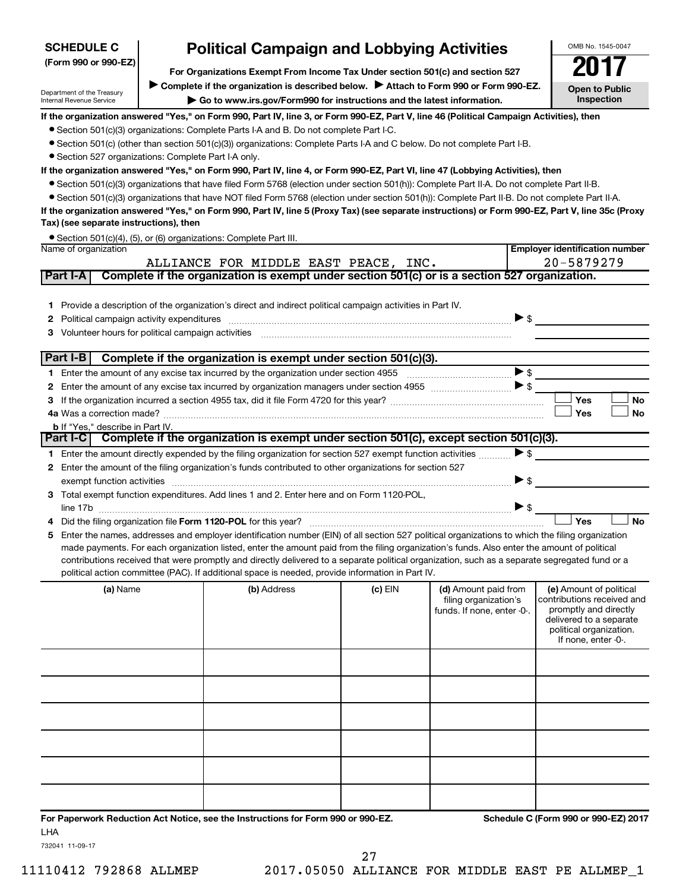| <b>SCHEDULE C</b>                       |                                                                                                                                                                        | OMB No. 1545-0047<br><b>Political Campaign and Lobbying Activities</b>                                                                           |         |                            |                                                  |  |
|-----------------------------------------|------------------------------------------------------------------------------------------------------------------------------------------------------------------------|--------------------------------------------------------------------------------------------------------------------------------------------------|---------|----------------------------|--------------------------------------------------|--|
| (Form 990 or 990-EZ)                    |                                                                                                                                                                        |                                                                                                                                                  |         |                            |                                                  |  |
|                                         | For Organizations Exempt From Income Tax Under section 501(c) and section 527<br>Complete if the organization is described below. > Attach to Form 990 or Form 990-EZ. |                                                                                                                                                  |         |                            |                                                  |  |
| Department of the Treasury              |                                                                                                                                                                        |                                                                                                                                                  |         |                            | <b>Open to Public</b>                            |  |
| Internal Revenue Service                |                                                                                                                                                                        | Go to www.irs.gov/Form990 for instructions and the latest information.                                                                           |         |                            | Inspection                                       |  |
|                                         |                                                                                                                                                                        | If the organization answered "Yes," on Form 990, Part IV, line 3, or Form 990-EZ, Part V, line 46 (Political Campaign Activities), then          |         |                            |                                                  |  |
|                                         |                                                                                                                                                                        | • Section 501(c)(3) organizations: Complete Parts I-A and B. Do not complete Part I-C.                                                           |         |                            |                                                  |  |
|                                         |                                                                                                                                                                        | • Section 501(c) (other than section 501(c)(3)) organizations: Complete Parts I-A and C below. Do not complete Part I-B.                         |         |                            |                                                  |  |
|                                         | • Section 527 organizations: Complete Part I-A only.                                                                                                                   |                                                                                                                                                  |         |                            |                                                  |  |
|                                         |                                                                                                                                                                        | If the organization answered "Yes," on Form 990, Part IV, line 4, or Form 990-EZ, Part VI, line 47 (Lobbying Activities), then                   |         |                            |                                                  |  |
|                                         |                                                                                                                                                                        | ● Section 501(c)(3) organizations that have filed Form 5768 (election under section 501(h)): Complete Part II-A. Do not complete Part II-B.      |         |                            |                                                  |  |
|                                         |                                                                                                                                                                        | • Section 501(c)(3) organizations that have NOT filed Form 5768 (election under section 501(h)): Complete Part II-B. Do not complete Part II-A.  |         |                            |                                                  |  |
| Tax) (see separate instructions), then  |                                                                                                                                                                        | If the organization answered "Yes," on Form 990, Part IV, line 5 (Proxy Tax) (see separate instructions) or Form 990-EZ, Part V, line 35c (Proxy |         |                            |                                                  |  |
|                                         |                                                                                                                                                                        | • Section 501(c)(4), (5), or (6) organizations: Complete Part III.                                                                               |         |                            |                                                  |  |
| Name of organization                    |                                                                                                                                                                        |                                                                                                                                                  |         |                            | <b>Employer identification number</b>            |  |
|                                         |                                                                                                                                                                        | ALLIANCE FOR MIDDLE EAST PEACE, INC.                                                                                                             |         |                            | 20-5879279                                       |  |
| Part I-A                                |                                                                                                                                                                        | Complete if the organization is exempt under section 501(c) or is a section 527 organization.                                                    |         |                            |                                                  |  |
|                                         |                                                                                                                                                                        |                                                                                                                                                  |         |                            |                                                  |  |
| 1.                                      |                                                                                                                                                                        | Provide a description of the organization's direct and indirect political campaign activities in Part IV.                                        |         |                            |                                                  |  |
|                                         |                                                                                                                                                                        | Political campaign activity expenditures [11] matter contracts and contracts are provided as a political campaign activity expenditures          |         | $\triangleright$ \$        |                                                  |  |
| З                                       |                                                                                                                                                                        |                                                                                                                                                  |         |                            |                                                  |  |
| Part I-B                                |                                                                                                                                                                        |                                                                                                                                                  |         |                            |                                                  |  |
|                                         |                                                                                                                                                                        | Complete if the organization is exempt under section 501(c)(3).                                                                                  |         |                            |                                                  |  |
|                                         |                                                                                                                                                                        |                                                                                                                                                  |         |                            |                                                  |  |
|                                         |                                                                                                                                                                        | Enter the amount of any excise tax incurred by organization managers under section 4955 [1001] [1001] \$                                         |         |                            | Yes<br>No                                        |  |
|                                         |                                                                                                                                                                        |                                                                                                                                                  |         |                            | No<br>Yes                                        |  |
| <b>b</b> If "Yes," describe in Part IV. |                                                                                                                                                                        |                                                                                                                                                  |         |                            |                                                  |  |
| Part I-C                                |                                                                                                                                                                        | Complete if the organization is exempt under section 501(c), except section 501(c)(3).                                                           |         |                            |                                                  |  |
|                                         |                                                                                                                                                                        | 1 Enter the amount directly expended by the filing organization for section 527 exempt function activities                                       |         | $\blacktriangleright$ \$   |                                                  |  |
| 2                                       |                                                                                                                                                                        | Enter the amount of the filing organization's funds contributed to other organizations for section 527                                           |         |                            |                                                  |  |
| exempt function activities              |                                                                                                                                                                        |                                                                                                                                                  |         | $\blacktriangleright$ \$   |                                                  |  |
| з                                       |                                                                                                                                                                        | Total exempt function expenditures. Add lines 1 and 2. Enter here and on Form 1120-POL,                                                          |         |                            |                                                  |  |
|                                         |                                                                                                                                                                        |                                                                                                                                                  |         | $\blacktriangleright$ \$   |                                                  |  |
|                                         |                                                                                                                                                                        |                                                                                                                                                  |         |                            | Yes<br>No                                        |  |
|                                         |                                                                                                                                                                        | Enter the names, addresses and employer identification number (EIN) of all section 527 political organizations to which the filing organization  |         |                            |                                                  |  |
|                                         |                                                                                                                                                                        | made payments. For each organization listed, enter the amount paid from the filing organization's funds. Also enter the amount of political      |         |                            |                                                  |  |
|                                         |                                                                                                                                                                        | contributions received that were promptly and directly delivered to a separate political organization, such as a separate segregated fund or a   |         |                            |                                                  |  |
|                                         |                                                                                                                                                                        | political action committee (PAC). If additional space is needed, provide information in Part IV.                                                 |         |                            |                                                  |  |
| (a) Name                                |                                                                                                                                                                        | (b) Address                                                                                                                                      | (c) EIN | (d) Amount paid from       | (e) Amount of political                          |  |
|                                         |                                                                                                                                                                        |                                                                                                                                                  |         | filing organization's      | contributions received and                       |  |
|                                         |                                                                                                                                                                        |                                                                                                                                                  |         | funds. If none, enter -0-. | promptly and directly<br>delivered to a separate |  |
|                                         |                                                                                                                                                                        |                                                                                                                                                  |         |                            | political organization.                          |  |
|                                         |                                                                                                                                                                        |                                                                                                                                                  |         |                            | If none, enter -0-.                              |  |
|                                         |                                                                                                                                                                        |                                                                                                                                                  |         |                            |                                                  |  |
|                                         |                                                                                                                                                                        |                                                                                                                                                  |         |                            |                                                  |  |
|                                         |                                                                                                                                                                        |                                                                                                                                                  |         |                            |                                                  |  |
|                                         |                                                                                                                                                                        |                                                                                                                                                  |         |                            |                                                  |  |
|                                         |                                                                                                                                                                        |                                                                                                                                                  |         |                            |                                                  |  |
|                                         |                                                                                                                                                                        |                                                                                                                                                  |         |                            |                                                  |  |
|                                         |                                                                                                                                                                        |                                                                                                                                                  |         |                            |                                                  |  |
|                                         |                                                                                                                                                                        |                                                                                                                                                  |         |                            |                                                  |  |
|                                         |                                                                                                                                                                        |                                                                                                                                                  |         |                            |                                                  |  |

**For Paperwork Reduction Act Notice, see the Instructions for Form 990 or 990-EZ. Schedule C (Form 990 or 990-EZ) 2017** LHA

732041 11-09-17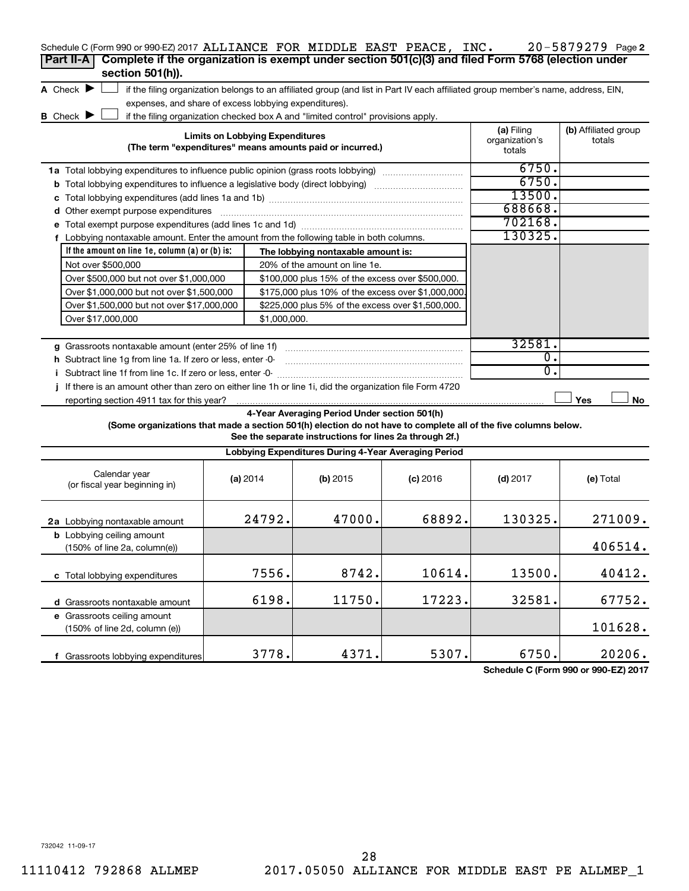| Schedule C (Form 990 or 990-EZ) 2017 ALLIANCE FOR MIDDLE EAST PEACE, INC.                                                                                                 |                                                                                                                                   |                                                      |            |                                        | 20-5879279 Page 2              |  |
|---------------------------------------------------------------------------------------------------------------------------------------------------------------------------|-----------------------------------------------------------------------------------------------------------------------------------|------------------------------------------------------|------------|----------------------------------------|--------------------------------|--|
| Part II-A   Complete if the organization is exempt under section 501(c)(3) and filed Form 5768 (election under<br>section 501(h)).                                        |                                                                                                                                   |                                                      |            |                                        |                                |  |
| A Check $\blacktriangleright$                                                                                                                                             | if the filing organization belongs to an affiliated group (and list in Part IV each affiliated group member's name, address, EIN, |                                                      |            |                                        |                                |  |
|                                                                                                                                                                           | expenses, and share of excess lobbying expenditures).                                                                             |                                                      |            |                                        |                                |  |
| B Check $\blacktriangleright$                                                                                                                                             | if the filing organization checked box A and "limited control" provisions apply.                                                  |                                                      |            |                                        |                                |  |
|                                                                                                                                                                           | <b>Limits on Lobbying Expenditures</b><br>(The term "expenditures" means amounts paid or incurred.)                               |                                                      |            | (a) Filing<br>organization's<br>totals | (b) Affiliated group<br>totals |  |
| 1a Total lobbying expenditures to influence public opinion (grass roots lobbying)                                                                                         |                                                                                                                                   |                                                      |            | 6750.                                  |                                |  |
|                                                                                                                                                                           |                                                                                                                                   |                                                      |            | 6750.                                  |                                |  |
|                                                                                                                                                                           |                                                                                                                                   |                                                      |            | 13500.                                 |                                |  |
| d Other exempt purpose expenditures                                                                                                                                       |                                                                                                                                   |                                                      |            | 688668.                                |                                |  |
|                                                                                                                                                                           |                                                                                                                                   |                                                      |            | 702168.                                |                                |  |
| f Lobbying nontaxable amount. Enter the amount from the following table in both columns.                                                                                  |                                                                                                                                   |                                                      |            | 130325.                                |                                |  |
| If the amount on line 1e, column (a) or (b) is:                                                                                                                           |                                                                                                                                   | The lobbying nontaxable amount is:                   |            |                                        |                                |  |
| Not over \$500,000                                                                                                                                                        |                                                                                                                                   | 20% of the amount on line 1e.                        |            |                                        |                                |  |
| Over \$500,000 but not over \$1,000,000                                                                                                                                   |                                                                                                                                   | \$100,000 plus 15% of the excess over \$500,000.     |            |                                        |                                |  |
| Over \$1,000,000 but not over \$1,500,000                                                                                                                                 |                                                                                                                                   | \$175,000 plus 10% of the excess over \$1,000,000    |            |                                        |                                |  |
| Over \$1,500,000 but not over \$17,000,000                                                                                                                                |                                                                                                                                   | \$225,000 plus 5% of the excess over \$1,500,000.    |            |                                        |                                |  |
| Over \$17,000,000                                                                                                                                                         | \$1,000,000.                                                                                                                      |                                                      |            |                                        |                                |  |
|                                                                                                                                                                           |                                                                                                                                   |                                                      |            |                                        |                                |  |
| g Grassroots nontaxable amount (enter 25% of line 1f)                                                                                                                     |                                                                                                                                   |                                                      |            | 32581.                                 |                                |  |
| h Subtract line 1g from line 1a. If zero or less, enter -0-                                                                                                               |                                                                                                                                   |                                                      |            | 0.                                     |                                |  |
| Subtract line 1f from line 1c. If zero or less, enter -0-<br>Ť                                                                                                            |                                                                                                                                   | 0.                                                   |            |                                        |                                |  |
| If there is an amount other than zero on either line 1h or line 1i, did the organization file Form 4720                                                                   |                                                                                                                                   |                                                      |            |                                        |                                |  |
| reporting section 4911 tax for this year?                                                                                                                                 |                                                                                                                                   |                                                      |            |                                        | Yes<br>No                      |  |
|                                                                                                                                                                           |                                                                                                                                   | 4-Year Averaging Period Under section 501(h)         |            |                                        |                                |  |
| (Some organizations that made a section 501(h) election do not have to complete all of the five columns below.<br>See the separate instructions for lines 2a through 2f.) |                                                                                                                                   |                                                      |            |                                        |                                |  |
|                                                                                                                                                                           |                                                                                                                                   | Lobbying Expenditures During 4-Year Averaging Period |            |                                        |                                |  |
| Calendar year<br>(or fiscal year beginning in)                                                                                                                            | (a) 2014                                                                                                                          | (b) 2015                                             | $(c)$ 2016 | $(d)$ 2017                             | (e) Total                      |  |
| 2a Lobbying nontaxable amount                                                                                                                                             | 24792.                                                                                                                            | 47000.                                               | 68892.     | 130325.                                | 271009.                        |  |
| <b>b</b> Lobbying ceiling amount                                                                                                                                          |                                                                                                                                   |                                                      |            |                                        |                                |  |

7556. 8742. 10614. 13500. 40412.

6198. 11750. 17223. 32581. 67752.

3778. 4371. 5307. 6750. 20206.

**Schedule C (Form 990 or 990-EZ) 2017**

406514.

101628.

**c** Total lobbying expenditures

(150% of line 2a, column(e))

**d** Grassroots nontaxable amount **e** Grassroots ceiling amount

(150% of line 2d, column (e))

**f** Grassroots lobbying expenditures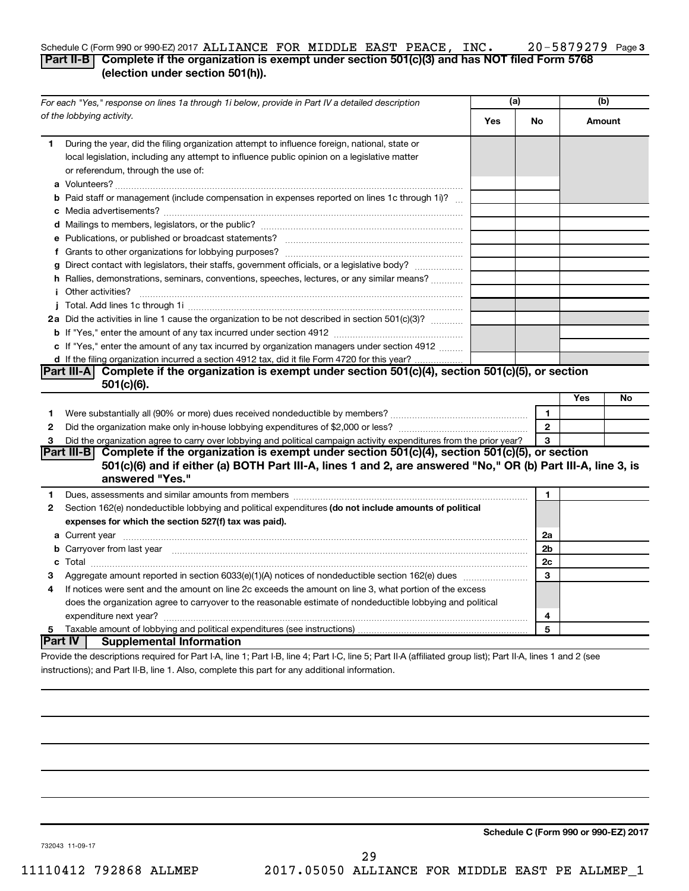#### 20-5879279 Page 3 Schedule C (Form 990 or 990-EZ) 2017 ALLIANCE FOR MIDDLE EAST PEACE, INC.  $20-5879279$  Page **Part II-B Complete if the organization is exempt under section 501(c)(3) and has NOT filed Form 5768**

## **(election under section 501(h)).**

|                | For each "Yes," response on lines 1a through 1i below, provide in Part IV a detailed description                                                                                                                                               | (b)<br>(a)<br>Yes<br>No<br>Amount |              |     |    |
|----------------|------------------------------------------------------------------------------------------------------------------------------------------------------------------------------------------------------------------------------------------------|-----------------------------------|--------------|-----|----|
|                | of the lobbying activity.                                                                                                                                                                                                                      |                                   |              |     |    |
| 1              | During the year, did the filing organization attempt to influence foreign, national, state or<br>local legislation, including any attempt to influence public opinion on a legislative matter<br>or referendum, through the use of:            |                                   |              |     |    |
|                | <b>b</b> Paid staff or management (include compensation in expenses reported on lines 1c through 1i)?                                                                                                                                          |                                   |              |     |    |
|                |                                                                                                                                                                                                                                                |                                   |              |     |    |
|                |                                                                                                                                                                                                                                                |                                   |              |     |    |
|                |                                                                                                                                                                                                                                                |                                   |              |     |    |
|                | g Direct contact with legislators, their staffs, government officials, or a legislative body?<br>h Rallies, demonstrations, seminars, conventions, speeches, lectures, or any similar means?                                                   |                                   |              |     |    |
|                | <i>i</i> Other activities?                                                                                                                                                                                                                     |                                   |              |     |    |
|                | 2a Did the activities in line 1 cause the organization to be not described in section 501(c)(3)?                                                                                                                                               |                                   |              |     |    |
|                |                                                                                                                                                                                                                                                |                                   |              |     |    |
|                | c If "Yes," enter the amount of any tax incurred by organization managers under section 4912                                                                                                                                                   |                                   |              |     |    |
|                | d If the filing organization incurred a section 4912 tax, did it file Form 4720 for this year?                                                                                                                                                 |                                   |              |     |    |
|                | Part III-A Complete if the organization is exempt under section $501(c)(4)$ , section $501(c)(5)$ , or section                                                                                                                                 |                                   |              |     |    |
|                | $501(c)(6)$ .                                                                                                                                                                                                                                  |                                   |              |     |    |
|                |                                                                                                                                                                                                                                                |                                   |              | Yes | No |
| 1              |                                                                                                                                                                                                                                                |                                   | 1            |     |    |
| $\mathbf{2}$   |                                                                                                                                                                                                                                                |                                   | $\mathbf{2}$ |     |    |
| з              | Did the organization agree to carry over lobbying and political campaign activity expenditures from the prior year?                                                                                                                            |                                   | 3            |     |    |
|                | Complete if the organization is exempt under section 501(c)(4), section 501(c)(5), or section<br>Part III-B<br>501(c)(6) and if either (a) BOTH Part III-A, lines 1 and 2, are answered "No," OR (b) Part III-A, line 3, is<br>answered "Yes." |                                   |              |     |    |
| 1.             | Dues, assessments and similar amounts from members [11] matter content and similar amounts from members [11] matter content and similar amounts from members [11] matter content and similar amounts from members [11] matter                  |                                   | 1            |     |    |
| 2              | Section 162(e) nondeductible lobbying and political expenditures (do not include amounts of political                                                                                                                                          |                                   |              |     |    |
|                | expenses for which the section 527(f) tax was paid).                                                                                                                                                                                           |                                   |              |     |    |
|                |                                                                                                                                                                                                                                                |                                   | 2a           |     |    |
|                | b Carryover from last year manufactured and content to content the content of the content of the content of the content of the content of the content of the content of the content of the content of the content of the conte                 |                                   | 2b           |     |    |
|                |                                                                                                                                                                                                                                                |                                   | 2c           |     |    |
| з              |                                                                                                                                                                                                                                                |                                   | 3            |     |    |
| 4              | If notices were sent and the amount on line 2c exceeds the amount on line 3, what portion of the excess                                                                                                                                        |                                   |              |     |    |
|                | does the organization agree to carryover to the reasonable estimate of nondeductible lobbying and political                                                                                                                                    |                                   |              |     |    |
|                |                                                                                                                                                                                                                                                |                                   | 4            |     |    |
| 5              |                                                                                                                                                                                                                                                |                                   | 5            |     |    |
| <b>Part IV</b> | <b>Supplemental Information</b>                                                                                                                                                                                                                |                                   |              |     |    |
|                | Provide the descriptions required for Part I-A, line 1; Part I-B, line 4; Part I-C, line 5; Part II-A (affiliated group list); Part II-A, lines 1 and 2 (see                                                                                   |                                   |              |     |    |

instructions); and Part II-B, line 1. Also, complete this part for any additional information.

**Schedule C (Form 990 or 990-EZ) 2017**

732043 11-09-17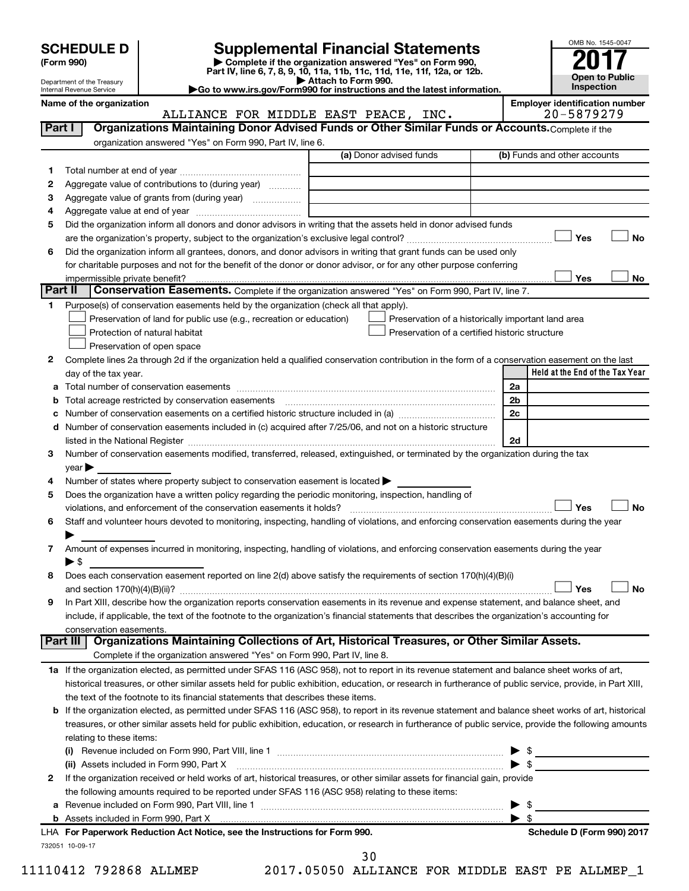| <b>SCHEDULE D</b> |  |
|-------------------|--|
|-------------------|--|

| (Form 990) |
|------------|
|            |

# **SCHEDULE D Supplemental Financial Statements**<br> **Form 990 2017**<br> **Part IV** line 6.7.8.9.10, 11a, 11b, 11d, 11d, 11d, 11d, 11d, 12a, 0r, 12b

**(Form 990) | Complete if the organization answered "Yes" on Form 990, Part IV, line 6, 7, 8, 9, 10, 11a, 11b, 11c, 11d, 11e, 11f, 12a, or 12b.**



Department of the Treasury Internal Revenue Service **Name of the organization Employer identification number**

**| Attach to Form 990. |Go to www.irs.gov/Form990 for instructions and the latest information.**

|         | ALLIANCE FOR MIDDLE EAST PEACE, INC.                                                                                                                      |                                                | 20-5879279                                         |
|---------|-----------------------------------------------------------------------------------------------------------------------------------------------------------|------------------------------------------------|----------------------------------------------------|
| Part I  | Organizations Maintaining Donor Advised Funds or Other Similar Funds or Accounts. Complete if the                                                         |                                                |                                                    |
|         | organization answered "Yes" on Form 990, Part IV, line 6.                                                                                                 |                                                |                                                    |
|         |                                                                                                                                                           | (a) Donor advised funds                        | (b) Funds and other accounts                       |
| 1.      |                                                                                                                                                           |                                                |                                                    |
| 2       | Aggregate value of contributions to (during year)                                                                                                         |                                                |                                                    |
| з       | Aggregate value of grants from (during year)                                                                                                              |                                                |                                                    |
| 4       |                                                                                                                                                           |                                                |                                                    |
| 5       | Did the organization inform all donors and donor advisors in writing that the assets held in donor advised funds                                          |                                                |                                                    |
|         |                                                                                                                                                           |                                                | Yes<br>No                                          |
| 6       | Did the organization inform all grantees, donors, and donor advisors in writing that grant funds can be used only                                         |                                                |                                                    |
|         | for charitable purposes and not for the benefit of the donor or donor advisor, or for any other purpose conferring                                        |                                                |                                                    |
|         | impermissible private benefit?                                                                                                                            |                                                | Yes<br>No                                          |
| Part II | <b>Conservation Easements.</b> Complete if the organization answered "Yes" on Form 990, Part IV, line 7.                                                  |                                                |                                                    |
| 1.      | Purpose(s) of conservation easements held by the organization (check all that apply).                                                                     |                                                |                                                    |
|         | Preservation of land for public use (e.g., recreation or education)                                                                                       |                                                | Preservation of a historically important land area |
|         | Protection of natural habitat                                                                                                                             | Preservation of a certified historic structure |                                                    |
|         | Preservation of open space                                                                                                                                |                                                |                                                    |
| 2       | Complete lines 2a through 2d if the organization held a qualified conservation contribution in the form of a conservation easement on the last            |                                                |                                                    |
|         | day of the tax year.                                                                                                                                      |                                                | Held at the End of the Tax Year                    |
|         |                                                                                                                                                           |                                                | 2a                                                 |
| b       | Total acreage restricted by conservation easements                                                                                                        |                                                | 2b                                                 |
| с       |                                                                                                                                                           |                                                | 2c                                                 |
| d       | Number of conservation easements included in (c) acquired after 7/25/06, and not on a historic structure                                                  |                                                |                                                    |
|         |                                                                                                                                                           |                                                | 2d                                                 |
| 3       | Number of conservation easements modified, transferred, released, extinguished, or terminated by the organization during the tax                          |                                                |                                                    |
|         | year                                                                                                                                                      |                                                |                                                    |
| 4       | Number of states where property subject to conservation easement is located >                                                                             |                                                |                                                    |
| 5       | Does the organization have a written policy regarding the periodic monitoring, inspection, handling of                                                    |                                                |                                                    |
|         | violations, and enforcement of the conservation easements it holds?                                                                                       |                                                | Yes<br>No                                          |
| 6       | Staff and volunteer hours devoted to monitoring, inspecting, handling of violations, and enforcing conservation easements during the year                 |                                                |                                                    |
|         |                                                                                                                                                           |                                                |                                                    |
| 7       | Amount of expenses incurred in monitoring, inspecting, handling of violations, and enforcing conservation easements during the year                       |                                                |                                                    |
|         | $\blacktriangleright$ \$                                                                                                                                  |                                                |                                                    |
| 8       | Does each conservation easement reported on line 2(d) above satisfy the requirements of section 170(h)(4)(B)(i)                                           |                                                |                                                    |
|         |                                                                                                                                                           |                                                | No<br>Yes                                          |
| 9       | In Part XIII, describe how the organization reports conservation easements in its revenue and expense statement, and balance sheet, and                   |                                                |                                                    |
|         | include, if applicable, the text of the footnote to the organization's financial statements that describes the organization's accounting for              |                                                |                                                    |
|         | conservation easements.                                                                                                                                   |                                                |                                                    |
|         | Organizations Maintaining Collections of Art, Historical Treasures, or Other Similar Assets.<br>Part III                                                  |                                                |                                                    |
|         | Complete if the organization answered "Yes" on Form 990, Part IV, line 8.                                                                                 |                                                |                                                    |
|         | 1a If the organization elected, as permitted under SFAS 116 (ASC 958), not to report in its revenue statement and balance sheet works of art,             |                                                |                                                    |
|         | historical treasures, or other similar assets held for public exhibition, education, or research in furtherance of public service, provide, in Part XIII, |                                                |                                                    |
|         | the text of the footnote to its financial statements that describes these items.                                                                          |                                                |                                                    |
|         | b If the organization elected, as permitted under SFAS 116 (ASC 958), to report in its revenue statement and balance sheet works of art, historical       |                                                |                                                    |
|         | treasures, or other similar assets held for public exhibition, education, or research in furtherance of public service, provide the following amounts     |                                                |                                                    |
|         | relating to these items:                                                                                                                                  |                                                |                                                    |
|         | (i)                                                                                                                                                       |                                                | \$                                                 |
|         | (ii) Assets included in Form 990, Part X [11] [2000] [2010] Assets included in Form 990, Part X [11] [11] [200                                            |                                                | $\blacktriangleright$ \$                           |
| 2       | If the organization received or held works of art, historical treasures, or other similar assets for financial gain, provide                              |                                                |                                                    |
|         | the following amounts required to be reported under SFAS 116 (ASC 958) relating to these items:                                                           |                                                |                                                    |
| а       | Revenue included on Form 990, Part VIII, line 1 [2000] [2000] [2000] [2000] [3000] [3000] [3000] [3000] [3000                                             |                                                | -\$                                                |
|         |                                                                                                                                                           |                                                | - \$                                               |
|         | LHA For Paperwork Reduction Act Notice, see the Instructions for Form 990.                                                                                |                                                | Schedule D (Form 990) 2017                         |
|         | 732051 10-09-17                                                                                                                                           | 30                                             |                                                    |
|         |                                                                                                                                                           |                                                |                                                    |

11110412 792868 ALLMEP 2017.05050 ALLIANCE FOR MIDDLE EAST PE ALLMEP\_1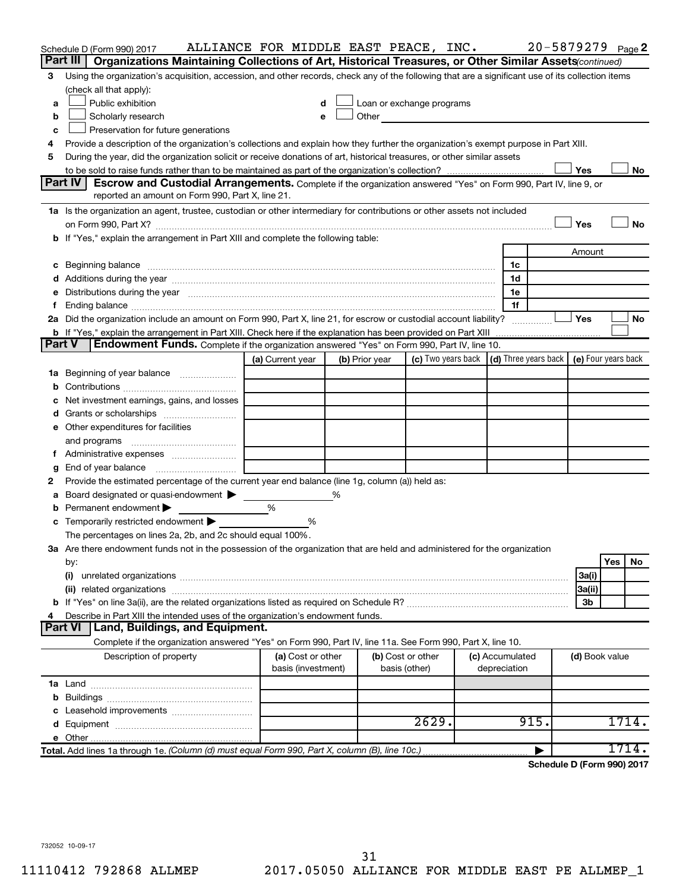| Part III<br>Organizations Maintaining Collections of Art, Historical Treasures, or Other Similar Assets (continued)<br>Using the organization's acquisition, accession, and other records, check any of the following that are a significant use of its collection items<br>З<br>(check all that apply):<br>Public exhibition<br>Loan or exchange programs<br>a<br>Other and the contract of the contract of the contract of the contract of the contract of the contract of the contract of the contract of the contract of the contract of the contract of the contract of the contract of the<br>Scholarly research<br>b<br>Preservation for future generations<br>c<br>Provide a description of the organization's collections and explain how they further the organization's exempt purpose in Part XIII.<br>4<br>During the year, did the organization solicit or receive donations of art, historical treasures, or other similar assets<br>5<br>Yes<br>No<br>Part IV<br><b>Escrow and Custodial Arrangements.</b> Complete if the organization answered "Yes" on Form 990, Part IV, line 9, or<br>reported an amount on Form 990, Part X, line 21.<br>1a Is the organization an agent, trustee, custodian or other intermediary for contributions or other assets not included<br>Yes<br><b>No</b><br>b If "Yes," explain the arrangement in Part XIII and complete the following table:<br>Amount<br>1c<br>1d<br>e Distributions during the year manufactured and continuum control of the control of the control of the state of the control of the control of the control of the control of the control of the control of the control of the<br>1e<br>1f<br>f.<br>2a Did the organization include an amount on Form 990, Part X, line 21, for escrow or custodial account liability?<br>Yes<br>No<br><b>b</b> If "Yes," explain the arrangement in Part XIII. Check here if the explanation has been provided on Part XIII<br><b>Part V</b><br><b>Endowment Funds.</b> Complete if the organization answered "Yes" on Form 990, Part IV, line 10.<br>(c) Two years back $\vert$ (d) Three years back $\vert$ (e) Four years back<br>(a) Current year<br>(b) Prior year<br>1a Beginning of year balance<br>b<br>Net investment earnings, gains, and losses<br>c<br>e Other expenditures for facilities<br>and programs<br>g<br>Provide the estimated percentage of the current year end balance (line 1g, column (a)) held as:<br>2<br>Board designated or quasi-endowment ><br>%<br>а<br>Permanent endowment<br>%<br>b<br><b>c</b> Temporarily restricted endowment $\blacktriangleright$<br>%<br>The percentages on lines 2a, 2b, and 2c should equal 100%.<br>3a Are there endowment funds not in the possession of the organization that are held and administered for the organization<br>Yes<br>No<br>by:<br>(i)<br>3a(i)<br>3a(ii)<br>3b<br>Describe in Part XIII the intended uses of the organization's endowment funds.<br>4<br><b>Land, Buildings, and Equipment.</b><br><b>Part VI</b><br>Complete if the organization answered "Yes" on Form 990, Part IV, line 11a. See Form 990, Part X, line 10.<br>Description of property<br>(a) Cost or other<br>(b) Cost or other<br>(c) Accumulated<br>(d) Book value<br>basis (investment)<br>depreciation<br>basis (other)<br>2629.<br>915.<br>1714.<br>1714<br>Total. Add lines 1a through 1e. (Column (d) must equal Form 990, Part X, column (B), line 10c.) | Schedule D (Form 990) 2017 | ALLIANCE FOR MIDDLE EAST PEACE, INC. |  |  | 20-5879279 Page 2 |  |  |
|-----------------------------------------------------------------------------------------------------------------------------------------------------------------------------------------------------------------------------------------------------------------------------------------------------------------------------------------------------------------------------------------------------------------------------------------------------------------------------------------------------------------------------------------------------------------------------------------------------------------------------------------------------------------------------------------------------------------------------------------------------------------------------------------------------------------------------------------------------------------------------------------------------------------------------------------------------------------------------------------------------------------------------------------------------------------------------------------------------------------------------------------------------------------------------------------------------------------------------------------------------------------------------------------------------------------------------------------------------------------------------------------------------------------------------------------------------------------------------------------------------------------------------------------------------------------------------------------------------------------------------------------------------------------------------------------------------------------------------------------------------------------------------------------------------------------------------------------------------------------------------------------------------------------------------------------------------------------------------------------------------------------------------------------------------------------------------------------------------------------------------------------------------------------------------------------------------------------------------------------------------------------------------------------------------------------------------------------------------------------------------------------------------------------------------------------------------------------------------------------------------------------------------------------------------------------------------------------------------------------------------------------------------------------------------------------------------------------------------------------------------------------------------------------------------------------------------------------------------------------------------------------------------------------------------------------------------------------------------------------------------------------------------------------------------------------------------------------------------------------------------------------------------------------------------------------------------------------------------------------------------------------------------------------------------------------------------------------------------------------------------------------------------------------------------------|----------------------------|--------------------------------------|--|--|-------------------|--|--|
|                                                                                                                                                                                                                                                                                                                                                                                                                                                                                                                                                                                                                                                                                                                                                                                                                                                                                                                                                                                                                                                                                                                                                                                                                                                                                                                                                                                                                                                                                                                                                                                                                                                                                                                                                                                                                                                                                                                                                                                                                                                                                                                                                                                                                                                                                                                                                                                                                                                                                                                                                                                                                                                                                                                                                                                                                                                                                                                                                                                                                                                                                                                                                                                                                                                                                                                                                                                                                                   |                            |                                      |  |  |                   |  |  |
|                                                                                                                                                                                                                                                                                                                                                                                                                                                                                                                                                                                                                                                                                                                                                                                                                                                                                                                                                                                                                                                                                                                                                                                                                                                                                                                                                                                                                                                                                                                                                                                                                                                                                                                                                                                                                                                                                                                                                                                                                                                                                                                                                                                                                                                                                                                                                                                                                                                                                                                                                                                                                                                                                                                                                                                                                                                                                                                                                                                                                                                                                                                                                                                                                                                                                                                                                                                                                                   |                            |                                      |  |  |                   |  |  |
|                                                                                                                                                                                                                                                                                                                                                                                                                                                                                                                                                                                                                                                                                                                                                                                                                                                                                                                                                                                                                                                                                                                                                                                                                                                                                                                                                                                                                                                                                                                                                                                                                                                                                                                                                                                                                                                                                                                                                                                                                                                                                                                                                                                                                                                                                                                                                                                                                                                                                                                                                                                                                                                                                                                                                                                                                                                                                                                                                                                                                                                                                                                                                                                                                                                                                                                                                                                                                                   |                            |                                      |  |  |                   |  |  |
|                                                                                                                                                                                                                                                                                                                                                                                                                                                                                                                                                                                                                                                                                                                                                                                                                                                                                                                                                                                                                                                                                                                                                                                                                                                                                                                                                                                                                                                                                                                                                                                                                                                                                                                                                                                                                                                                                                                                                                                                                                                                                                                                                                                                                                                                                                                                                                                                                                                                                                                                                                                                                                                                                                                                                                                                                                                                                                                                                                                                                                                                                                                                                                                                                                                                                                                                                                                                                                   |                            |                                      |  |  |                   |  |  |
|                                                                                                                                                                                                                                                                                                                                                                                                                                                                                                                                                                                                                                                                                                                                                                                                                                                                                                                                                                                                                                                                                                                                                                                                                                                                                                                                                                                                                                                                                                                                                                                                                                                                                                                                                                                                                                                                                                                                                                                                                                                                                                                                                                                                                                                                                                                                                                                                                                                                                                                                                                                                                                                                                                                                                                                                                                                                                                                                                                                                                                                                                                                                                                                                                                                                                                                                                                                                                                   |                            |                                      |  |  |                   |  |  |
|                                                                                                                                                                                                                                                                                                                                                                                                                                                                                                                                                                                                                                                                                                                                                                                                                                                                                                                                                                                                                                                                                                                                                                                                                                                                                                                                                                                                                                                                                                                                                                                                                                                                                                                                                                                                                                                                                                                                                                                                                                                                                                                                                                                                                                                                                                                                                                                                                                                                                                                                                                                                                                                                                                                                                                                                                                                                                                                                                                                                                                                                                                                                                                                                                                                                                                                                                                                                                                   |                            |                                      |  |  |                   |  |  |
|                                                                                                                                                                                                                                                                                                                                                                                                                                                                                                                                                                                                                                                                                                                                                                                                                                                                                                                                                                                                                                                                                                                                                                                                                                                                                                                                                                                                                                                                                                                                                                                                                                                                                                                                                                                                                                                                                                                                                                                                                                                                                                                                                                                                                                                                                                                                                                                                                                                                                                                                                                                                                                                                                                                                                                                                                                                                                                                                                                                                                                                                                                                                                                                                                                                                                                                                                                                                                                   |                            |                                      |  |  |                   |  |  |
|                                                                                                                                                                                                                                                                                                                                                                                                                                                                                                                                                                                                                                                                                                                                                                                                                                                                                                                                                                                                                                                                                                                                                                                                                                                                                                                                                                                                                                                                                                                                                                                                                                                                                                                                                                                                                                                                                                                                                                                                                                                                                                                                                                                                                                                                                                                                                                                                                                                                                                                                                                                                                                                                                                                                                                                                                                                                                                                                                                                                                                                                                                                                                                                                                                                                                                                                                                                                                                   |                            |                                      |  |  |                   |  |  |
|                                                                                                                                                                                                                                                                                                                                                                                                                                                                                                                                                                                                                                                                                                                                                                                                                                                                                                                                                                                                                                                                                                                                                                                                                                                                                                                                                                                                                                                                                                                                                                                                                                                                                                                                                                                                                                                                                                                                                                                                                                                                                                                                                                                                                                                                                                                                                                                                                                                                                                                                                                                                                                                                                                                                                                                                                                                                                                                                                                                                                                                                                                                                                                                                                                                                                                                                                                                                                                   |                            |                                      |  |  |                   |  |  |
|                                                                                                                                                                                                                                                                                                                                                                                                                                                                                                                                                                                                                                                                                                                                                                                                                                                                                                                                                                                                                                                                                                                                                                                                                                                                                                                                                                                                                                                                                                                                                                                                                                                                                                                                                                                                                                                                                                                                                                                                                                                                                                                                                                                                                                                                                                                                                                                                                                                                                                                                                                                                                                                                                                                                                                                                                                                                                                                                                                                                                                                                                                                                                                                                                                                                                                                                                                                                                                   |                            |                                      |  |  |                   |  |  |
|                                                                                                                                                                                                                                                                                                                                                                                                                                                                                                                                                                                                                                                                                                                                                                                                                                                                                                                                                                                                                                                                                                                                                                                                                                                                                                                                                                                                                                                                                                                                                                                                                                                                                                                                                                                                                                                                                                                                                                                                                                                                                                                                                                                                                                                                                                                                                                                                                                                                                                                                                                                                                                                                                                                                                                                                                                                                                                                                                                                                                                                                                                                                                                                                                                                                                                                                                                                                                                   |                            |                                      |  |  |                   |  |  |
|                                                                                                                                                                                                                                                                                                                                                                                                                                                                                                                                                                                                                                                                                                                                                                                                                                                                                                                                                                                                                                                                                                                                                                                                                                                                                                                                                                                                                                                                                                                                                                                                                                                                                                                                                                                                                                                                                                                                                                                                                                                                                                                                                                                                                                                                                                                                                                                                                                                                                                                                                                                                                                                                                                                                                                                                                                                                                                                                                                                                                                                                                                                                                                                                                                                                                                                                                                                                                                   |                            |                                      |  |  |                   |  |  |
|                                                                                                                                                                                                                                                                                                                                                                                                                                                                                                                                                                                                                                                                                                                                                                                                                                                                                                                                                                                                                                                                                                                                                                                                                                                                                                                                                                                                                                                                                                                                                                                                                                                                                                                                                                                                                                                                                                                                                                                                                                                                                                                                                                                                                                                                                                                                                                                                                                                                                                                                                                                                                                                                                                                                                                                                                                                                                                                                                                                                                                                                                                                                                                                                                                                                                                                                                                                                                                   |                            |                                      |  |  |                   |  |  |
|                                                                                                                                                                                                                                                                                                                                                                                                                                                                                                                                                                                                                                                                                                                                                                                                                                                                                                                                                                                                                                                                                                                                                                                                                                                                                                                                                                                                                                                                                                                                                                                                                                                                                                                                                                                                                                                                                                                                                                                                                                                                                                                                                                                                                                                                                                                                                                                                                                                                                                                                                                                                                                                                                                                                                                                                                                                                                                                                                                                                                                                                                                                                                                                                                                                                                                                                                                                                                                   |                            |                                      |  |  |                   |  |  |
|                                                                                                                                                                                                                                                                                                                                                                                                                                                                                                                                                                                                                                                                                                                                                                                                                                                                                                                                                                                                                                                                                                                                                                                                                                                                                                                                                                                                                                                                                                                                                                                                                                                                                                                                                                                                                                                                                                                                                                                                                                                                                                                                                                                                                                                                                                                                                                                                                                                                                                                                                                                                                                                                                                                                                                                                                                                                                                                                                                                                                                                                                                                                                                                                                                                                                                                                                                                                                                   |                            |                                      |  |  |                   |  |  |
|                                                                                                                                                                                                                                                                                                                                                                                                                                                                                                                                                                                                                                                                                                                                                                                                                                                                                                                                                                                                                                                                                                                                                                                                                                                                                                                                                                                                                                                                                                                                                                                                                                                                                                                                                                                                                                                                                                                                                                                                                                                                                                                                                                                                                                                                                                                                                                                                                                                                                                                                                                                                                                                                                                                                                                                                                                                                                                                                                                                                                                                                                                                                                                                                                                                                                                                                                                                                                                   |                            |                                      |  |  |                   |  |  |
|                                                                                                                                                                                                                                                                                                                                                                                                                                                                                                                                                                                                                                                                                                                                                                                                                                                                                                                                                                                                                                                                                                                                                                                                                                                                                                                                                                                                                                                                                                                                                                                                                                                                                                                                                                                                                                                                                                                                                                                                                                                                                                                                                                                                                                                                                                                                                                                                                                                                                                                                                                                                                                                                                                                                                                                                                                                                                                                                                                                                                                                                                                                                                                                                                                                                                                                                                                                                                                   |                            |                                      |  |  |                   |  |  |
|                                                                                                                                                                                                                                                                                                                                                                                                                                                                                                                                                                                                                                                                                                                                                                                                                                                                                                                                                                                                                                                                                                                                                                                                                                                                                                                                                                                                                                                                                                                                                                                                                                                                                                                                                                                                                                                                                                                                                                                                                                                                                                                                                                                                                                                                                                                                                                                                                                                                                                                                                                                                                                                                                                                                                                                                                                                                                                                                                                                                                                                                                                                                                                                                                                                                                                                                                                                                                                   |                            |                                      |  |  |                   |  |  |
|                                                                                                                                                                                                                                                                                                                                                                                                                                                                                                                                                                                                                                                                                                                                                                                                                                                                                                                                                                                                                                                                                                                                                                                                                                                                                                                                                                                                                                                                                                                                                                                                                                                                                                                                                                                                                                                                                                                                                                                                                                                                                                                                                                                                                                                                                                                                                                                                                                                                                                                                                                                                                                                                                                                                                                                                                                                                                                                                                                                                                                                                                                                                                                                                                                                                                                                                                                                                                                   |                            |                                      |  |  |                   |  |  |
|                                                                                                                                                                                                                                                                                                                                                                                                                                                                                                                                                                                                                                                                                                                                                                                                                                                                                                                                                                                                                                                                                                                                                                                                                                                                                                                                                                                                                                                                                                                                                                                                                                                                                                                                                                                                                                                                                                                                                                                                                                                                                                                                                                                                                                                                                                                                                                                                                                                                                                                                                                                                                                                                                                                                                                                                                                                                                                                                                                                                                                                                                                                                                                                                                                                                                                                                                                                                                                   |                            |                                      |  |  |                   |  |  |
|                                                                                                                                                                                                                                                                                                                                                                                                                                                                                                                                                                                                                                                                                                                                                                                                                                                                                                                                                                                                                                                                                                                                                                                                                                                                                                                                                                                                                                                                                                                                                                                                                                                                                                                                                                                                                                                                                                                                                                                                                                                                                                                                                                                                                                                                                                                                                                                                                                                                                                                                                                                                                                                                                                                                                                                                                                                                                                                                                                                                                                                                                                                                                                                                                                                                                                                                                                                                                                   |                            |                                      |  |  |                   |  |  |
|                                                                                                                                                                                                                                                                                                                                                                                                                                                                                                                                                                                                                                                                                                                                                                                                                                                                                                                                                                                                                                                                                                                                                                                                                                                                                                                                                                                                                                                                                                                                                                                                                                                                                                                                                                                                                                                                                                                                                                                                                                                                                                                                                                                                                                                                                                                                                                                                                                                                                                                                                                                                                                                                                                                                                                                                                                                                                                                                                                                                                                                                                                                                                                                                                                                                                                                                                                                                                                   |                            |                                      |  |  |                   |  |  |
|                                                                                                                                                                                                                                                                                                                                                                                                                                                                                                                                                                                                                                                                                                                                                                                                                                                                                                                                                                                                                                                                                                                                                                                                                                                                                                                                                                                                                                                                                                                                                                                                                                                                                                                                                                                                                                                                                                                                                                                                                                                                                                                                                                                                                                                                                                                                                                                                                                                                                                                                                                                                                                                                                                                                                                                                                                                                                                                                                                                                                                                                                                                                                                                                                                                                                                                                                                                                                                   |                            |                                      |  |  |                   |  |  |
|                                                                                                                                                                                                                                                                                                                                                                                                                                                                                                                                                                                                                                                                                                                                                                                                                                                                                                                                                                                                                                                                                                                                                                                                                                                                                                                                                                                                                                                                                                                                                                                                                                                                                                                                                                                                                                                                                                                                                                                                                                                                                                                                                                                                                                                                                                                                                                                                                                                                                                                                                                                                                                                                                                                                                                                                                                                                                                                                                                                                                                                                                                                                                                                                                                                                                                                                                                                                                                   |                            |                                      |  |  |                   |  |  |
|                                                                                                                                                                                                                                                                                                                                                                                                                                                                                                                                                                                                                                                                                                                                                                                                                                                                                                                                                                                                                                                                                                                                                                                                                                                                                                                                                                                                                                                                                                                                                                                                                                                                                                                                                                                                                                                                                                                                                                                                                                                                                                                                                                                                                                                                                                                                                                                                                                                                                                                                                                                                                                                                                                                                                                                                                                                                                                                                                                                                                                                                                                                                                                                                                                                                                                                                                                                                                                   |                            |                                      |  |  |                   |  |  |
|                                                                                                                                                                                                                                                                                                                                                                                                                                                                                                                                                                                                                                                                                                                                                                                                                                                                                                                                                                                                                                                                                                                                                                                                                                                                                                                                                                                                                                                                                                                                                                                                                                                                                                                                                                                                                                                                                                                                                                                                                                                                                                                                                                                                                                                                                                                                                                                                                                                                                                                                                                                                                                                                                                                                                                                                                                                                                                                                                                                                                                                                                                                                                                                                                                                                                                                                                                                                                                   |                            |                                      |  |  |                   |  |  |
|                                                                                                                                                                                                                                                                                                                                                                                                                                                                                                                                                                                                                                                                                                                                                                                                                                                                                                                                                                                                                                                                                                                                                                                                                                                                                                                                                                                                                                                                                                                                                                                                                                                                                                                                                                                                                                                                                                                                                                                                                                                                                                                                                                                                                                                                                                                                                                                                                                                                                                                                                                                                                                                                                                                                                                                                                                                                                                                                                                                                                                                                                                                                                                                                                                                                                                                                                                                                                                   |                            |                                      |  |  |                   |  |  |
|                                                                                                                                                                                                                                                                                                                                                                                                                                                                                                                                                                                                                                                                                                                                                                                                                                                                                                                                                                                                                                                                                                                                                                                                                                                                                                                                                                                                                                                                                                                                                                                                                                                                                                                                                                                                                                                                                                                                                                                                                                                                                                                                                                                                                                                                                                                                                                                                                                                                                                                                                                                                                                                                                                                                                                                                                                                                                                                                                                                                                                                                                                                                                                                                                                                                                                                                                                                                                                   |                            |                                      |  |  |                   |  |  |
|                                                                                                                                                                                                                                                                                                                                                                                                                                                                                                                                                                                                                                                                                                                                                                                                                                                                                                                                                                                                                                                                                                                                                                                                                                                                                                                                                                                                                                                                                                                                                                                                                                                                                                                                                                                                                                                                                                                                                                                                                                                                                                                                                                                                                                                                                                                                                                                                                                                                                                                                                                                                                                                                                                                                                                                                                                                                                                                                                                                                                                                                                                                                                                                                                                                                                                                                                                                                                                   |                            |                                      |  |  |                   |  |  |
|                                                                                                                                                                                                                                                                                                                                                                                                                                                                                                                                                                                                                                                                                                                                                                                                                                                                                                                                                                                                                                                                                                                                                                                                                                                                                                                                                                                                                                                                                                                                                                                                                                                                                                                                                                                                                                                                                                                                                                                                                                                                                                                                                                                                                                                                                                                                                                                                                                                                                                                                                                                                                                                                                                                                                                                                                                                                                                                                                                                                                                                                                                                                                                                                                                                                                                                                                                                                                                   |                            |                                      |  |  |                   |  |  |
|                                                                                                                                                                                                                                                                                                                                                                                                                                                                                                                                                                                                                                                                                                                                                                                                                                                                                                                                                                                                                                                                                                                                                                                                                                                                                                                                                                                                                                                                                                                                                                                                                                                                                                                                                                                                                                                                                                                                                                                                                                                                                                                                                                                                                                                                                                                                                                                                                                                                                                                                                                                                                                                                                                                                                                                                                                                                                                                                                                                                                                                                                                                                                                                                                                                                                                                                                                                                                                   |                            |                                      |  |  |                   |  |  |
|                                                                                                                                                                                                                                                                                                                                                                                                                                                                                                                                                                                                                                                                                                                                                                                                                                                                                                                                                                                                                                                                                                                                                                                                                                                                                                                                                                                                                                                                                                                                                                                                                                                                                                                                                                                                                                                                                                                                                                                                                                                                                                                                                                                                                                                                                                                                                                                                                                                                                                                                                                                                                                                                                                                                                                                                                                                                                                                                                                                                                                                                                                                                                                                                                                                                                                                                                                                                                                   |                            |                                      |  |  |                   |  |  |
|                                                                                                                                                                                                                                                                                                                                                                                                                                                                                                                                                                                                                                                                                                                                                                                                                                                                                                                                                                                                                                                                                                                                                                                                                                                                                                                                                                                                                                                                                                                                                                                                                                                                                                                                                                                                                                                                                                                                                                                                                                                                                                                                                                                                                                                                                                                                                                                                                                                                                                                                                                                                                                                                                                                                                                                                                                                                                                                                                                                                                                                                                                                                                                                                                                                                                                                                                                                                                                   |                            |                                      |  |  |                   |  |  |
|                                                                                                                                                                                                                                                                                                                                                                                                                                                                                                                                                                                                                                                                                                                                                                                                                                                                                                                                                                                                                                                                                                                                                                                                                                                                                                                                                                                                                                                                                                                                                                                                                                                                                                                                                                                                                                                                                                                                                                                                                                                                                                                                                                                                                                                                                                                                                                                                                                                                                                                                                                                                                                                                                                                                                                                                                                                                                                                                                                                                                                                                                                                                                                                                                                                                                                                                                                                                                                   |                            |                                      |  |  |                   |  |  |
|                                                                                                                                                                                                                                                                                                                                                                                                                                                                                                                                                                                                                                                                                                                                                                                                                                                                                                                                                                                                                                                                                                                                                                                                                                                                                                                                                                                                                                                                                                                                                                                                                                                                                                                                                                                                                                                                                                                                                                                                                                                                                                                                                                                                                                                                                                                                                                                                                                                                                                                                                                                                                                                                                                                                                                                                                                                                                                                                                                                                                                                                                                                                                                                                                                                                                                                                                                                                                                   |                            |                                      |  |  |                   |  |  |
|                                                                                                                                                                                                                                                                                                                                                                                                                                                                                                                                                                                                                                                                                                                                                                                                                                                                                                                                                                                                                                                                                                                                                                                                                                                                                                                                                                                                                                                                                                                                                                                                                                                                                                                                                                                                                                                                                                                                                                                                                                                                                                                                                                                                                                                                                                                                                                                                                                                                                                                                                                                                                                                                                                                                                                                                                                                                                                                                                                                                                                                                                                                                                                                                                                                                                                                                                                                                                                   |                            |                                      |  |  |                   |  |  |
|                                                                                                                                                                                                                                                                                                                                                                                                                                                                                                                                                                                                                                                                                                                                                                                                                                                                                                                                                                                                                                                                                                                                                                                                                                                                                                                                                                                                                                                                                                                                                                                                                                                                                                                                                                                                                                                                                                                                                                                                                                                                                                                                                                                                                                                                                                                                                                                                                                                                                                                                                                                                                                                                                                                                                                                                                                                                                                                                                                                                                                                                                                                                                                                                                                                                                                                                                                                                                                   |                            |                                      |  |  |                   |  |  |
|                                                                                                                                                                                                                                                                                                                                                                                                                                                                                                                                                                                                                                                                                                                                                                                                                                                                                                                                                                                                                                                                                                                                                                                                                                                                                                                                                                                                                                                                                                                                                                                                                                                                                                                                                                                                                                                                                                                                                                                                                                                                                                                                                                                                                                                                                                                                                                                                                                                                                                                                                                                                                                                                                                                                                                                                                                                                                                                                                                                                                                                                                                                                                                                                                                                                                                                                                                                                                                   |                            |                                      |  |  |                   |  |  |
|                                                                                                                                                                                                                                                                                                                                                                                                                                                                                                                                                                                                                                                                                                                                                                                                                                                                                                                                                                                                                                                                                                                                                                                                                                                                                                                                                                                                                                                                                                                                                                                                                                                                                                                                                                                                                                                                                                                                                                                                                                                                                                                                                                                                                                                                                                                                                                                                                                                                                                                                                                                                                                                                                                                                                                                                                                                                                                                                                                                                                                                                                                                                                                                                                                                                                                                                                                                                                                   |                            |                                      |  |  |                   |  |  |
|                                                                                                                                                                                                                                                                                                                                                                                                                                                                                                                                                                                                                                                                                                                                                                                                                                                                                                                                                                                                                                                                                                                                                                                                                                                                                                                                                                                                                                                                                                                                                                                                                                                                                                                                                                                                                                                                                                                                                                                                                                                                                                                                                                                                                                                                                                                                                                                                                                                                                                                                                                                                                                                                                                                                                                                                                                                                                                                                                                                                                                                                                                                                                                                                                                                                                                                                                                                                                                   |                            |                                      |  |  |                   |  |  |
|                                                                                                                                                                                                                                                                                                                                                                                                                                                                                                                                                                                                                                                                                                                                                                                                                                                                                                                                                                                                                                                                                                                                                                                                                                                                                                                                                                                                                                                                                                                                                                                                                                                                                                                                                                                                                                                                                                                                                                                                                                                                                                                                                                                                                                                                                                                                                                                                                                                                                                                                                                                                                                                                                                                                                                                                                                                                                                                                                                                                                                                                                                                                                                                                                                                                                                                                                                                                                                   |                            |                                      |  |  |                   |  |  |
|                                                                                                                                                                                                                                                                                                                                                                                                                                                                                                                                                                                                                                                                                                                                                                                                                                                                                                                                                                                                                                                                                                                                                                                                                                                                                                                                                                                                                                                                                                                                                                                                                                                                                                                                                                                                                                                                                                                                                                                                                                                                                                                                                                                                                                                                                                                                                                                                                                                                                                                                                                                                                                                                                                                                                                                                                                                                                                                                                                                                                                                                                                                                                                                                                                                                                                                                                                                                                                   |                            |                                      |  |  |                   |  |  |
|                                                                                                                                                                                                                                                                                                                                                                                                                                                                                                                                                                                                                                                                                                                                                                                                                                                                                                                                                                                                                                                                                                                                                                                                                                                                                                                                                                                                                                                                                                                                                                                                                                                                                                                                                                                                                                                                                                                                                                                                                                                                                                                                                                                                                                                                                                                                                                                                                                                                                                                                                                                                                                                                                                                                                                                                                                                                                                                                                                                                                                                                                                                                                                                                                                                                                                                                                                                                                                   |                            |                                      |  |  |                   |  |  |
|                                                                                                                                                                                                                                                                                                                                                                                                                                                                                                                                                                                                                                                                                                                                                                                                                                                                                                                                                                                                                                                                                                                                                                                                                                                                                                                                                                                                                                                                                                                                                                                                                                                                                                                                                                                                                                                                                                                                                                                                                                                                                                                                                                                                                                                                                                                                                                                                                                                                                                                                                                                                                                                                                                                                                                                                                                                                                                                                                                                                                                                                                                                                                                                                                                                                                                                                                                                                                                   |                            |                                      |  |  |                   |  |  |
|                                                                                                                                                                                                                                                                                                                                                                                                                                                                                                                                                                                                                                                                                                                                                                                                                                                                                                                                                                                                                                                                                                                                                                                                                                                                                                                                                                                                                                                                                                                                                                                                                                                                                                                                                                                                                                                                                                                                                                                                                                                                                                                                                                                                                                                                                                                                                                                                                                                                                                                                                                                                                                                                                                                                                                                                                                                                                                                                                                                                                                                                                                                                                                                                                                                                                                                                                                                                                                   |                            |                                      |  |  |                   |  |  |
|                                                                                                                                                                                                                                                                                                                                                                                                                                                                                                                                                                                                                                                                                                                                                                                                                                                                                                                                                                                                                                                                                                                                                                                                                                                                                                                                                                                                                                                                                                                                                                                                                                                                                                                                                                                                                                                                                                                                                                                                                                                                                                                                                                                                                                                                                                                                                                                                                                                                                                                                                                                                                                                                                                                                                                                                                                                                                                                                                                                                                                                                                                                                                                                                                                                                                                                                                                                                                                   |                            |                                      |  |  |                   |  |  |
|                                                                                                                                                                                                                                                                                                                                                                                                                                                                                                                                                                                                                                                                                                                                                                                                                                                                                                                                                                                                                                                                                                                                                                                                                                                                                                                                                                                                                                                                                                                                                                                                                                                                                                                                                                                                                                                                                                                                                                                                                                                                                                                                                                                                                                                                                                                                                                                                                                                                                                                                                                                                                                                                                                                                                                                                                                                                                                                                                                                                                                                                                                                                                                                                                                                                                                                                                                                                                                   |                            |                                      |  |  |                   |  |  |
|                                                                                                                                                                                                                                                                                                                                                                                                                                                                                                                                                                                                                                                                                                                                                                                                                                                                                                                                                                                                                                                                                                                                                                                                                                                                                                                                                                                                                                                                                                                                                                                                                                                                                                                                                                                                                                                                                                                                                                                                                                                                                                                                                                                                                                                                                                                                                                                                                                                                                                                                                                                                                                                                                                                                                                                                                                                                                                                                                                                                                                                                                                                                                                                                                                                                                                                                                                                                                                   |                            |                                      |  |  |                   |  |  |
|                                                                                                                                                                                                                                                                                                                                                                                                                                                                                                                                                                                                                                                                                                                                                                                                                                                                                                                                                                                                                                                                                                                                                                                                                                                                                                                                                                                                                                                                                                                                                                                                                                                                                                                                                                                                                                                                                                                                                                                                                                                                                                                                                                                                                                                                                                                                                                                                                                                                                                                                                                                                                                                                                                                                                                                                                                                                                                                                                                                                                                                                                                                                                                                                                                                                                                                                                                                                                                   |                            |                                      |  |  |                   |  |  |

**Schedule D (Form 990) 2017**

732052 10-09-17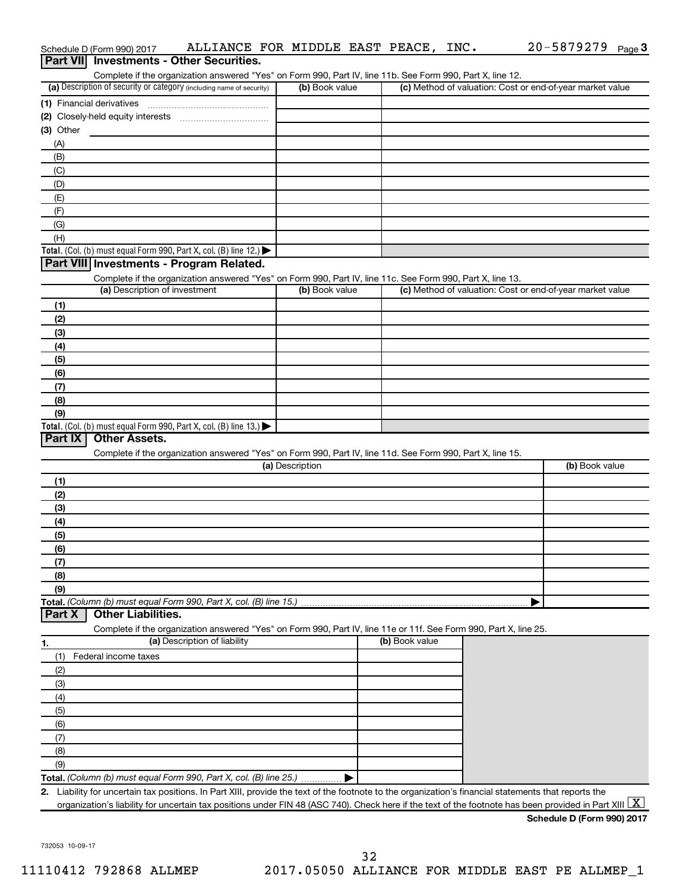| <b>Part VII</b> Investments - Other Securities.<br>Complete if the organization answered "Yes" on Form 990, Part IV, line 11b. See Form 990, Part X, line 12. |                 |                |                                                           |
|---------------------------------------------------------------------------------------------------------------------------------------------------------------|-----------------|----------------|-----------------------------------------------------------|
| (a) Description of security or category (including name of security)                                                                                          | (b) Book value  |                | (c) Method of valuation: Cost or end-of-year market value |
| (1) Financial derivatives                                                                                                                                     |                 |                |                                                           |
|                                                                                                                                                               |                 |                |                                                           |
| (3) Other                                                                                                                                                     |                 |                |                                                           |
| (A)                                                                                                                                                           |                 |                |                                                           |
| (B)                                                                                                                                                           |                 |                |                                                           |
| (C)                                                                                                                                                           |                 |                |                                                           |
| (D)                                                                                                                                                           |                 |                |                                                           |
| (E)                                                                                                                                                           |                 |                |                                                           |
| (F)                                                                                                                                                           |                 |                |                                                           |
| (G)<br>(H)                                                                                                                                                    |                 |                |                                                           |
| Total. (Col. (b) must equal Form 990, Part X, col. (B) line 12.)                                                                                              |                 |                |                                                           |
| Part VIII Investments - Program Related.                                                                                                                      |                 |                |                                                           |
| Complete if the organization answered "Yes" on Form 990, Part IV, line 11c. See Form 990, Part X, line 13.                                                    |                 |                |                                                           |
| (a) Description of investment                                                                                                                                 | (b) Book value  |                | (c) Method of valuation: Cost or end-of-year market value |
| (1)                                                                                                                                                           |                 |                |                                                           |
| (2)                                                                                                                                                           |                 |                |                                                           |
| (3)                                                                                                                                                           |                 |                |                                                           |
| (4)                                                                                                                                                           |                 |                |                                                           |
| (5)                                                                                                                                                           |                 |                |                                                           |
| (6)                                                                                                                                                           |                 |                |                                                           |
| (7)                                                                                                                                                           |                 |                |                                                           |
| (8)                                                                                                                                                           |                 |                |                                                           |
| (9)                                                                                                                                                           |                 |                |                                                           |
| Total. (Col. (b) must equal Form 990, Part X, col. (B) line 13.)<br><b>Part IX</b><br><b>Other Assets.</b>                                                    |                 |                |                                                           |
| Complete if the organization answered "Yes" on Form 990, Part IV, line 11d. See Form 990, Part X, line 15.                                                    |                 |                |                                                           |
|                                                                                                                                                               | (a) Description |                | (b) Book value                                            |
| (1)                                                                                                                                                           |                 |                |                                                           |
| (2)                                                                                                                                                           |                 |                |                                                           |
| (3)                                                                                                                                                           |                 |                |                                                           |
| (4)                                                                                                                                                           |                 |                |                                                           |
| (5)                                                                                                                                                           |                 |                |                                                           |
| (6)                                                                                                                                                           |                 |                |                                                           |
| (7)                                                                                                                                                           |                 |                |                                                           |
| (8)                                                                                                                                                           |                 |                |                                                           |
| (9)                                                                                                                                                           |                 |                |                                                           |
| Total. (Column (b) must equal Form 990, Part X, col. (B) line 15.)                                                                                            |                 |                |                                                           |
| <b>Other Liabilities.</b><br><b>Part X</b>                                                                                                                    |                 |                |                                                           |
| Complete if the organization answered "Yes" on Form 990, Part IV, line 11e or 11f. See Form 990, Part X, line 25.<br>(a) Description of liability             |                 | (b) Book value |                                                           |
| 1.<br>Federal income taxes                                                                                                                                    |                 |                |                                                           |
| (1)<br>(2)                                                                                                                                                    |                 |                |                                                           |
| (3)                                                                                                                                                           |                 |                |                                                           |
| (4)                                                                                                                                                           |                 |                |                                                           |
| (5)                                                                                                                                                           |                 |                |                                                           |
| (6)                                                                                                                                                           |                 |                |                                                           |
| (7)                                                                                                                                                           |                 |                |                                                           |
| (8)                                                                                                                                                           |                 |                |                                                           |
| (9)                                                                                                                                                           |                 |                |                                                           |
| Total. (Column (b) must equal Form 990, Part X, col. (B) line 25.)                                                                                            |                 |                |                                                           |
| 2. Liability for uncertain tax positions. In Part XIII, provide the text of the footnote to the organization's financial statements that reports the          |                 |                |                                                           |
| organization's liability for uncertain tax positions under FIN 48 (ASC 740). Check here if the text of the footnote has been provided in Part XIII $ X $      |                 |                |                                                           |
|                                                                                                                                                               |                 |                | Schedule D (Form 990) 2017                                |

Schedule D (Form 990) 2017 ALLIANCE FOR MIDDLE EAST PEACE , INC 20-5879279 <sub>Page</sub> 3

ALLIANCE FOR MIDDLE EAST PEACE, INC. 20-5879279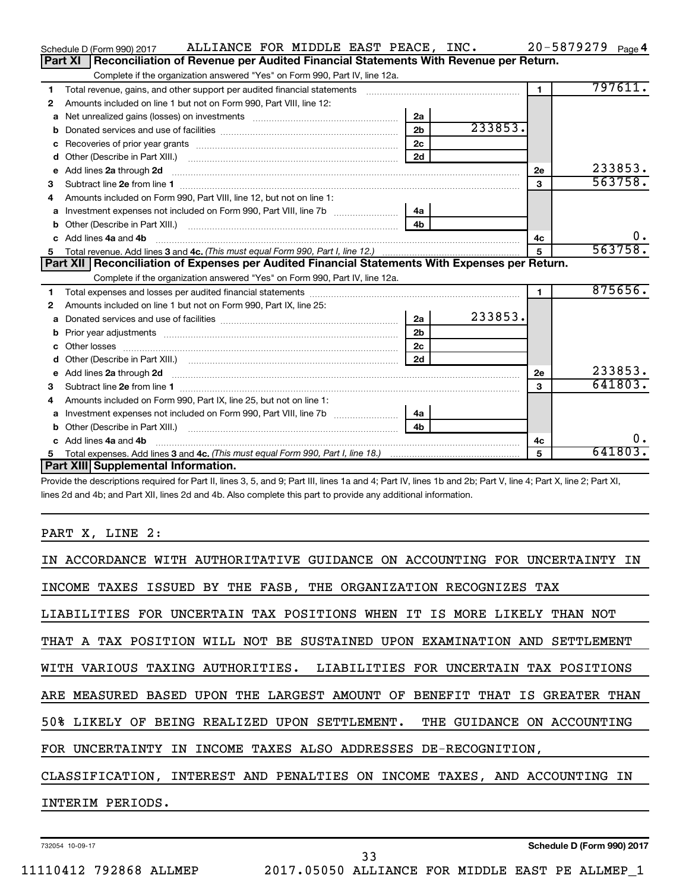|    | ALLIANCE FOR MIDDLE EAST PEACE, INC.<br>Schedule D (Form 990) 2017                                              |                |         |                | $20 - 5879279$ Page 4 |
|----|-----------------------------------------------------------------------------------------------------------------|----------------|---------|----------------|-----------------------|
|    | Reconciliation of Revenue per Audited Financial Statements With Revenue per Return.<br><b>Part XI</b>           |                |         |                |                       |
|    | Complete if the organization answered "Yes" on Form 990, Part IV, line 12a.                                     |                |         |                |                       |
| 1  | Total revenue, gains, and other support per audited financial statements                                        |                |         | $\overline{1}$ | 797611.               |
| 2  | Amounts included on line 1 but not on Form 990, Part VIII, line 12:                                             |                |         |                |                       |
| a  |                                                                                                                 | 2a             |         |                |                       |
| b  |                                                                                                                 | 2 <sub>b</sub> | 233853. |                |                       |
| c  |                                                                                                                 | 2c             |         |                |                       |
| d  |                                                                                                                 | 2d             |         |                |                       |
| е  |                                                                                                                 |                |         | <b>2e</b>      | 233853.               |
| З  |                                                                                                                 |                |         | 3              | 563758.               |
| 4  | Amounts included on Form 990, Part VIII, line 12, but not on line 1:                                            |                |         |                |                       |
|    |                                                                                                                 | l 4a           |         |                |                       |
| b  | Other (Describe in Part XIII.) (2000) (2000) (2000) (2010) (2010) (2010) (2010) (2010) (2010) (2010) (2010) (20 | 4 <sub>b</sub> |         |                |                       |
| c. | Add lines 4a and 4b                                                                                             |                |         | 4с             | 0.                    |
|    |                                                                                                                 |                |         | 5              | 563758.               |
|    |                                                                                                                 |                |         |                |                       |
|    | Part XII   Reconciliation of Expenses per Audited Financial Statements With Expenses per Return.                |                |         |                |                       |
|    | Complete if the organization answered "Yes" on Form 990, Part IV, line 12a.                                     |                |         |                |                       |
| 1  |                                                                                                                 |                |         | $\mathbf{1}$   | 875656.               |
| 2  | Amounts included on line 1 but not on Form 990, Part IX, line 25:                                               |                |         |                |                       |
| a  |                                                                                                                 | 2a             | 233853. |                |                       |
| b  | Prior year adjustments [ www.communications of the contract of the contract of the contract of the contract of  | 2 <sub>b</sub> |         |                |                       |
| c. |                                                                                                                 | 2 <sub>c</sub> |         |                |                       |
| d  |                                                                                                                 | 2d             |         |                |                       |
|    |                                                                                                                 |                |         | <b>2e</b>      | 233853.               |
| З  |                                                                                                                 |                |         | 3              | 641803.               |
| 4  | Amounts included on Form 990, Part IX, line 25, but not on line 1:                                              |                |         |                |                       |
| a  |                                                                                                                 | 4a             |         |                |                       |
| b  |                                                                                                                 | 4 <sub>b</sub> |         |                |                       |
| c. | Add lines 4a and 4b                                                                                             |                |         | 4с             | 0.                    |
|    | Part XIII Supplemental Information.                                                                             |                |         | 5              | 641803.               |

Provide the descriptions required for Part II, lines 3, 5, and 9; Part III, lines 1a and 4; Part IV, lines 1b and 2b; Part V, line 4; Part X, line 2; Part XI, lines 2d and 4b; and Part XII, lines 2d and 4b. Also complete this part to provide any additional information.

#### PART X, LINE 2:

| IN ACCORDANCE WITH AUTHORITATIVE GUIDANCE ON ACCOUNTING FOR UNCERTAINTY<br>IN |
|-------------------------------------------------------------------------------|
| INCOME TAXES ISSUED BY THE FASB, THE ORGANIZATION RECOGNIZES TAX              |
| LIABILITIES FOR UNCERTAIN TAX POSITIONS WHEN IT IS MORE LIKELY THAN NOT       |
| THAT A TAX POSITION WILL NOT BE SUSTAINED UPON EXAMINATION AND SETTLEMENT     |
| WITH VARIOUS TAXING AUTHORITIES. LIABILITIES FOR UNCERTAIN TAX POSITIONS      |
| ARE MEASURED BASED UPON THE LARGEST AMOUNT OF BENEFIT THAT IS GREATER THAN    |
| 50% LIKELY OF BEING REALIZED UPON SETTLEMENT. THE GUIDANCE ON ACCOUNTING      |
| FOR UNCERTAINTY IN INCOME TAXES ALSO ADDRESSES DE-RECOGNITION,                |
| CLASSIFICATION, INTEREST AND PENALTIES ON INCOME TAXES, AND ACCOUNTING IN     |
| INTERIM PERIODS.                                                              |
|                                                                               |

33

732054 10-09-17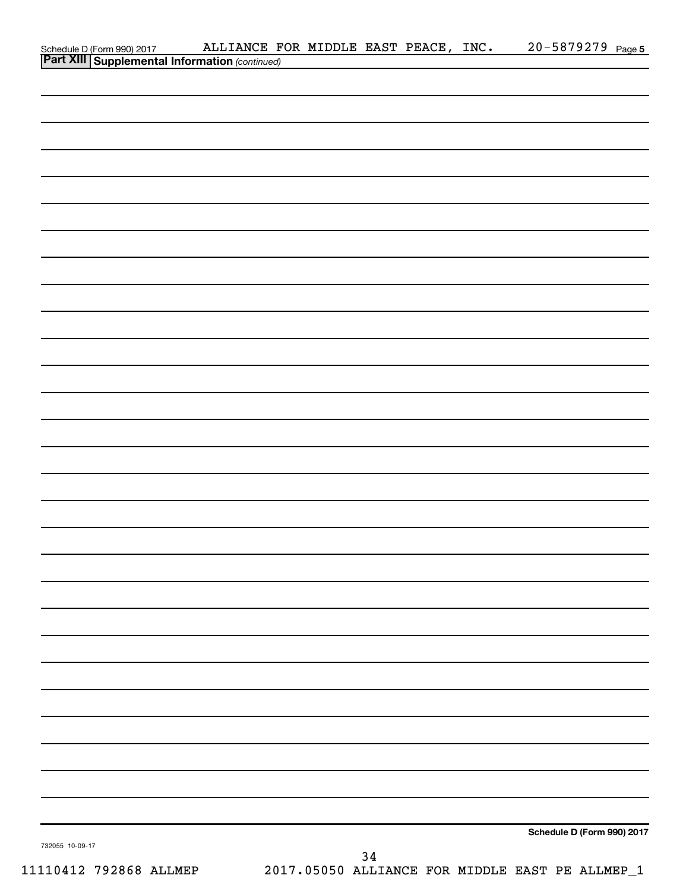|                                                                                         | ALLIANCE FOR MIDDLE EAST PEACE, INC. 20-5879279 Page 5 |    |  |                            |  |
|-----------------------------------------------------------------------------------------|--------------------------------------------------------|----|--|----------------------------|--|
| Schedule D (Form 990) 2017 ALLIANCE F<br>Part XIII Supplemental Information (continued) |                                                        |    |  |                            |  |
|                                                                                         |                                                        |    |  |                            |  |
|                                                                                         |                                                        |    |  |                            |  |
|                                                                                         |                                                        |    |  |                            |  |
|                                                                                         |                                                        |    |  |                            |  |
|                                                                                         |                                                        |    |  |                            |  |
|                                                                                         |                                                        |    |  |                            |  |
|                                                                                         |                                                        |    |  |                            |  |
|                                                                                         |                                                        |    |  |                            |  |
|                                                                                         |                                                        |    |  |                            |  |
|                                                                                         |                                                        |    |  |                            |  |
|                                                                                         |                                                        |    |  |                            |  |
|                                                                                         |                                                        |    |  |                            |  |
|                                                                                         |                                                        |    |  |                            |  |
|                                                                                         |                                                        |    |  |                            |  |
|                                                                                         |                                                        |    |  |                            |  |
|                                                                                         |                                                        |    |  |                            |  |
|                                                                                         |                                                        |    |  |                            |  |
|                                                                                         |                                                        |    |  |                            |  |
|                                                                                         |                                                        |    |  |                            |  |
|                                                                                         |                                                        |    |  |                            |  |
|                                                                                         |                                                        |    |  |                            |  |
|                                                                                         |                                                        |    |  |                            |  |
|                                                                                         |                                                        |    |  |                            |  |
|                                                                                         |                                                        |    |  |                            |  |
|                                                                                         |                                                        |    |  |                            |  |
|                                                                                         |                                                        |    |  |                            |  |
|                                                                                         |                                                        |    |  |                            |  |
|                                                                                         |                                                        |    |  |                            |  |
|                                                                                         |                                                        |    |  |                            |  |
|                                                                                         |                                                        |    |  |                            |  |
|                                                                                         |                                                        |    |  |                            |  |
|                                                                                         |                                                        |    |  |                            |  |
|                                                                                         |                                                        |    |  |                            |  |
|                                                                                         |                                                        |    |  |                            |  |
|                                                                                         |                                                        |    |  |                            |  |
|                                                                                         |                                                        |    |  |                            |  |
|                                                                                         |                                                        |    |  |                            |  |
|                                                                                         |                                                        |    |  |                            |  |
|                                                                                         |                                                        |    |  |                            |  |
|                                                                                         |                                                        |    |  |                            |  |
|                                                                                         |                                                        |    |  |                            |  |
| 732055 10-09-17                                                                         |                                                        |    |  | Schedule D (Form 990) 2017 |  |
|                                                                                         |                                                        | 21 |  |                            |  |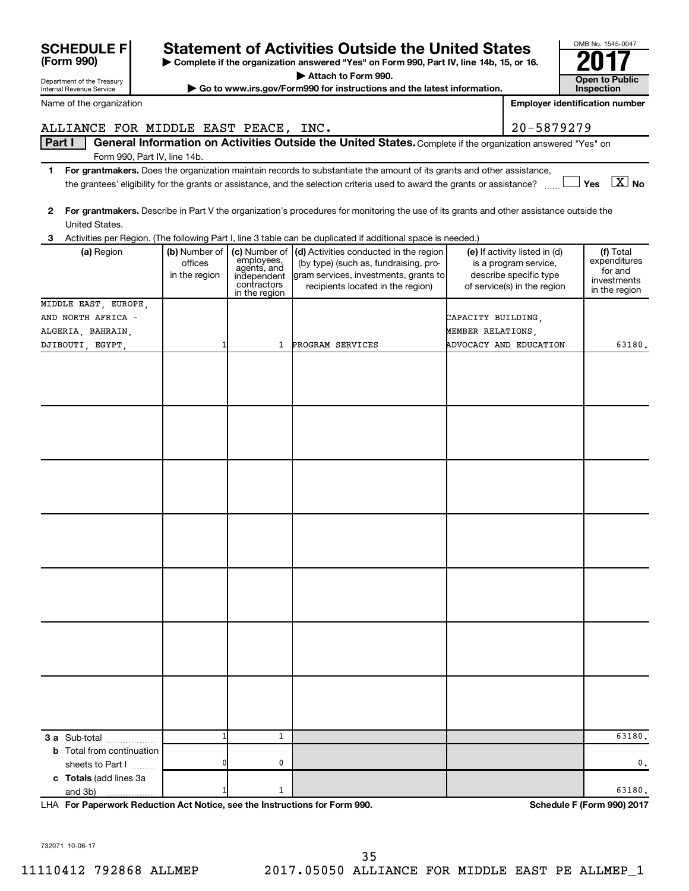| <b>SCHEDULE F</b>                                      |                                           |                                                                                           | <b>Statement of Activities Outside the United States</b>                                                                                                                                                                                             |                    |                                                                                                                 | OMB No. 1545-0047                                                    |
|--------------------------------------------------------|-------------------------------------------|-------------------------------------------------------------------------------------------|------------------------------------------------------------------------------------------------------------------------------------------------------------------------------------------------------------------------------------------------------|--------------------|-----------------------------------------------------------------------------------------------------------------|----------------------------------------------------------------------|
| (Form 990)                                             |                                           |                                                                                           | Complete if the organization answered "Yes" on Form 990, Part IV, line 14b, 15, or 16.                                                                                                                                                               |                    |                                                                                                                 |                                                                      |
| Department of the Treasury<br>Internal Revenue Service |                                           |                                                                                           | Attach to Form 990.<br>Go to www.irs.gov/Form990 for instructions and the latest information.                                                                                                                                                        |                    |                                                                                                                 | <b>Open to Public</b><br>Inspection                                  |
| Name of the organization                               |                                           |                                                                                           |                                                                                                                                                                                                                                                      |                    |                                                                                                                 | <b>Employer identification number</b>                                |
| ALLIANCE FOR MIDDLE EAST PEACE, INC.                   |                                           |                                                                                           |                                                                                                                                                                                                                                                      |                    | 20-5879279                                                                                                      |                                                                      |
| Part I                                                 |                                           |                                                                                           | General Information on Activities Outside the United States. Complete if the organization answered "Yes" on                                                                                                                                          |                    |                                                                                                                 |                                                                      |
| Form 990, Part IV, line 14b.                           |                                           |                                                                                           |                                                                                                                                                                                                                                                      |                    |                                                                                                                 |                                                                      |
| 1.                                                     |                                           |                                                                                           | For grantmakers. Does the organization maintain records to substantiate the amount of its grants and other assistance,<br>the grantees' eligibility for the grants or assistance, and the selection criteria used to award the grants or assistance? |                    |                                                                                                                 | $\boxed{\text{X}}$ No<br>Yes                                         |
| 2<br>United States.                                    |                                           |                                                                                           | For grantmakers. Describe in Part V the organization's procedures for monitoring the use of its grants and other assistance outside the                                                                                                              |                    |                                                                                                                 |                                                                      |
| 3                                                      |                                           |                                                                                           | Activities per Region. (The following Part I, line 3 table can be duplicated if additional space is needed.)                                                                                                                                         |                    |                                                                                                                 |                                                                      |
| (a) Region                                             | (b) Number of<br>offices<br>in the region | (c) Number of<br>employees,<br>agents, and<br>independent<br>contractors<br>in the region | (d) Activities conducted in the region<br>(by type) (such as, fundraising, pro-<br>gram services, investments, grants to<br>recipients located in the region)                                                                                        |                    | (e) If activity listed in (d)<br>is a program service,<br>describe specific type<br>of service(s) in the region | (f) Total<br>expenditures<br>for and<br>investments<br>in the region |
| MIDDLE EAST, EUROPE,                                   |                                           |                                                                                           |                                                                                                                                                                                                                                                      |                    |                                                                                                                 |                                                                      |
| AND NORTH AFRICA -                                     |                                           |                                                                                           |                                                                                                                                                                                                                                                      | CAPACITY BUILDING, |                                                                                                                 |                                                                      |
| ALGERIA, BAHRAIN,                                      |                                           | $\mathbf{1}$                                                                              | PROGRAM SERVICES                                                                                                                                                                                                                                     | MEMBER RELATIONS,  | ADVOCACY AND EDUCATION                                                                                          |                                                                      |
| DJIBOUTI, EGYPT,                                       | 1                                         |                                                                                           |                                                                                                                                                                                                                                                      |                    |                                                                                                                 | 63180.                                                               |
|                                                        |                                           |                                                                                           |                                                                                                                                                                                                                                                      |                    |                                                                                                                 |                                                                      |
|                                                        |                                           |                                                                                           |                                                                                                                                                                                                                                                      |                    |                                                                                                                 |                                                                      |
|                                                        |                                           |                                                                                           |                                                                                                                                                                                                                                                      |                    |                                                                                                                 |                                                                      |
|                                                        |                                           |                                                                                           |                                                                                                                                                                                                                                                      |                    |                                                                                                                 |                                                                      |
|                                                        |                                           |                                                                                           |                                                                                                                                                                                                                                                      |                    |                                                                                                                 |                                                                      |
|                                                        |                                           |                                                                                           |                                                                                                                                                                                                                                                      |                    |                                                                                                                 |                                                                      |
|                                                        |                                           |                                                                                           |                                                                                                                                                                                                                                                      |                    |                                                                                                                 |                                                                      |
| 3 a Sub-total                                          |                                           | 1                                                                                         |                                                                                                                                                                                                                                                      |                    |                                                                                                                 | 63180.                                                               |
| <b>b</b> Total from continuation<br>sheets to Part I   | 0                                         | 0                                                                                         |                                                                                                                                                                                                                                                      |                    |                                                                                                                 | 0.                                                                   |
| c Totals (add lines 3a<br>and 3b)                      |                                           | $\mathbf{1}$                                                                              |                                                                                                                                                                                                                                                      |                    |                                                                                                                 | 63180.                                                               |

**For Paperwork Reduction Act Notice, see the Instructions for Form 990. Schedule F (Form 990) 2017** LHA

OMB No. 1545-0047

732071 10-06-17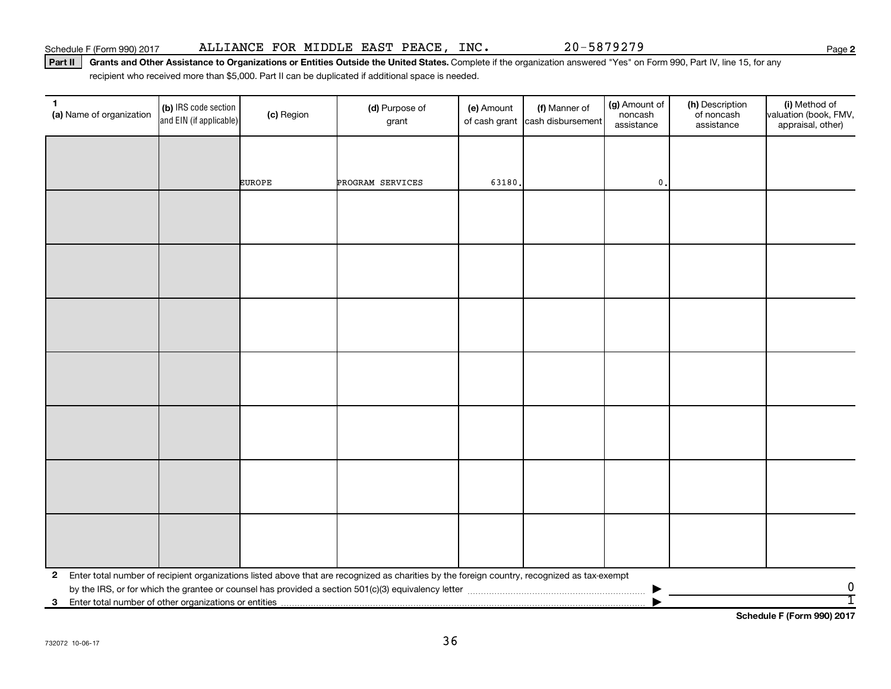Part II | Grants and Other Assistance to Organizations or Entities Outside the United States. Complete if the organization answered "Yes" on Form 990, Part IV, line 15, for any recipient who received more than \$5,000. Part II can be duplicated if additional space is needed.

| $\mathbf{1}$<br>(a) Name of organization | (b) IRS code section<br>and EIN (if applicable) | (c) Region    | (d) Purpose of<br>grant                                                                                                                      | (e) Amount | (f) Manner of<br>of cash grant cash disbursement | (g) Amount of<br>noncash<br>assistance | (h) Description<br>of noncash<br>assistance | (i) Method of<br>valuation (book, FMV,<br>appraisal, other) |
|------------------------------------------|-------------------------------------------------|---------------|----------------------------------------------------------------------------------------------------------------------------------------------|------------|--------------------------------------------------|----------------------------------------|---------------------------------------------|-------------------------------------------------------------|
|                                          |                                                 |               |                                                                                                                                              |            |                                                  |                                        |                                             |                                                             |
|                                          |                                                 |               |                                                                                                                                              |            |                                                  |                                        |                                             |                                                             |
|                                          |                                                 | <b>EUROPE</b> | PROGRAM SERVICES                                                                                                                             | 63180.     |                                                  | $\mathbf{0}$ .                         |                                             |                                                             |
|                                          |                                                 |               |                                                                                                                                              |            |                                                  |                                        |                                             |                                                             |
|                                          |                                                 |               |                                                                                                                                              |            |                                                  |                                        |                                             |                                                             |
|                                          |                                                 |               |                                                                                                                                              |            |                                                  |                                        |                                             |                                                             |
|                                          |                                                 |               |                                                                                                                                              |            |                                                  |                                        |                                             |                                                             |
|                                          |                                                 |               |                                                                                                                                              |            |                                                  |                                        |                                             |                                                             |
|                                          |                                                 |               |                                                                                                                                              |            |                                                  |                                        |                                             |                                                             |
|                                          |                                                 |               |                                                                                                                                              |            |                                                  |                                        |                                             |                                                             |
|                                          |                                                 |               |                                                                                                                                              |            |                                                  |                                        |                                             |                                                             |
|                                          |                                                 |               |                                                                                                                                              |            |                                                  |                                        |                                             |                                                             |
|                                          |                                                 |               |                                                                                                                                              |            |                                                  |                                        |                                             |                                                             |
|                                          |                                                 |               |                                                                                                                                              |            |                                                  |                                        |                                             |                                                             |
|                                          |                                                 |               |                                                                                                                                              |            |                                                  |                                        |                                             |                                                             |
|                                          |                                                 |               |                                                                                                                                              |            |                                                  |                                        |                                             |                                                             |
|                                          |                                                 |               |                                                                                                                                              |            |                                                  |                                        |                                             |                                                             |
|                                          |                                                 |               |                                                                                                                                              |            |                                                  |                                        |                                             |                                                             |
|                                          |                                                 |               |                                                                                                                                              |            |                                                  |                                        |                                             |                                                             |
|                                          |                                                 |               |                                                                                                                                              |            |                                                  |                                        |                                             |                                                             |
| $\mathbf{2}$                             |                                                 |               | Enter total number of recipient organizations listed above that are recognized as charities by the foreign country, recognized as tax-exempt |            |                                                  |                                        |                                             |                                                             |
|                                          |                                                 |               |                                                                                                                                              |            |                                                  |                                        |                                             | 0                                                           |
|                                          |                                                 |               |                                                                                                                                              |            |                                                  |                                        |                                             | $\overline{1}$                                              |

**Schedule F (Form 990) 2017**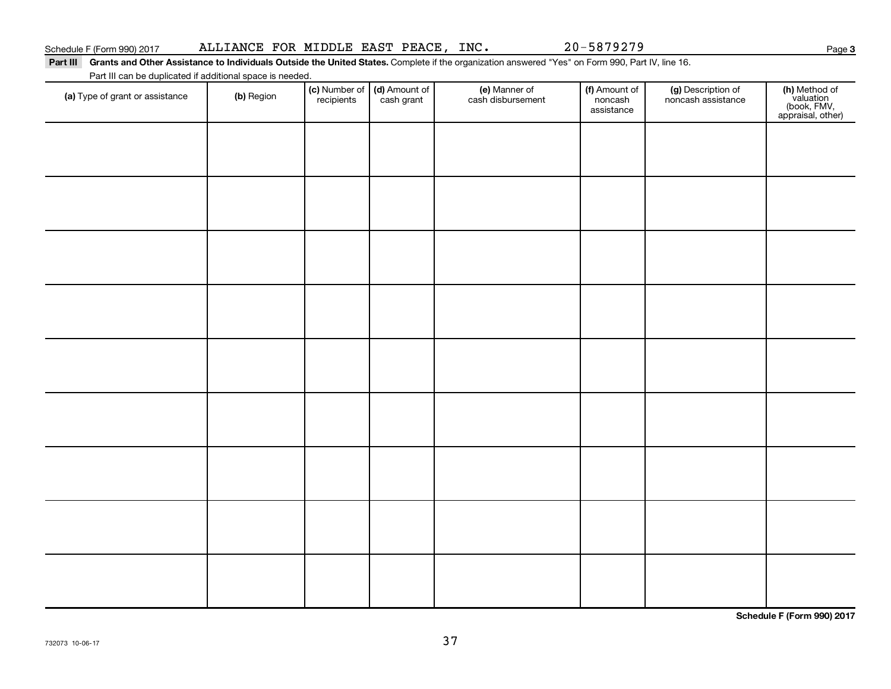| Schedule F (Form 990) 2017 |                 |                                |                   | Page |
|----------------------------|-----------------|--------------------------------|-------------------|------|
|                            | ALLIANCE<br>FOR | INC.<br>. MIDDLE EAST<br>PEACE | 5879270<br>$20 -$ |      |

**Part III Grants and Other Assistance to Individuals Outside the United States.**  Complete if the organization answered "Yes" on Form 990, Part IV, line 16. Part III can be duplicated if additional space is needed.

| (a) Type of grant or assistance | (b) Region | (c) Number of (d) Amount of recipients cash grant | (e) Manner of<br>cash disbursement | (f) Amount of<br>noncash<br>assistance | (g) Description of<br>noncash assistance | (h) Method of<br>valuation<br>(book, FMV,<br>appraisal, other) |
|---------------------------------|------------|---------------------------------------------------|------------------------------------|----------------------------------------|------------------------------------------|----------------------------------------------------------------|
|                                 |            |                                                   |                                    |                                        |                                          |                                                                |
|                                 |            |                                                   |                                    |                                        |                                          |                                                                |
|                                 |            |                                                   |                                    |                                        |                                          |                                                                |
|                                 |            |                                                   |                                    |                                        |                                          |                                                                |
|                                 |            |                                                   |                                    |                                        |                                          |                                                                |
|                                 |            |                                                   |                                    |                                        |                                          |                                                                |
|                                 |            |                                                   |                                    |                                        |                                          |                                                                |
|                                 |            |                                                   |                                    |                                        |                                          |                                                                |
|                                 |            |                                                   |                                    |                                        |                                          |                                                                |

**Schedule F (Form 990) 2017**

**3**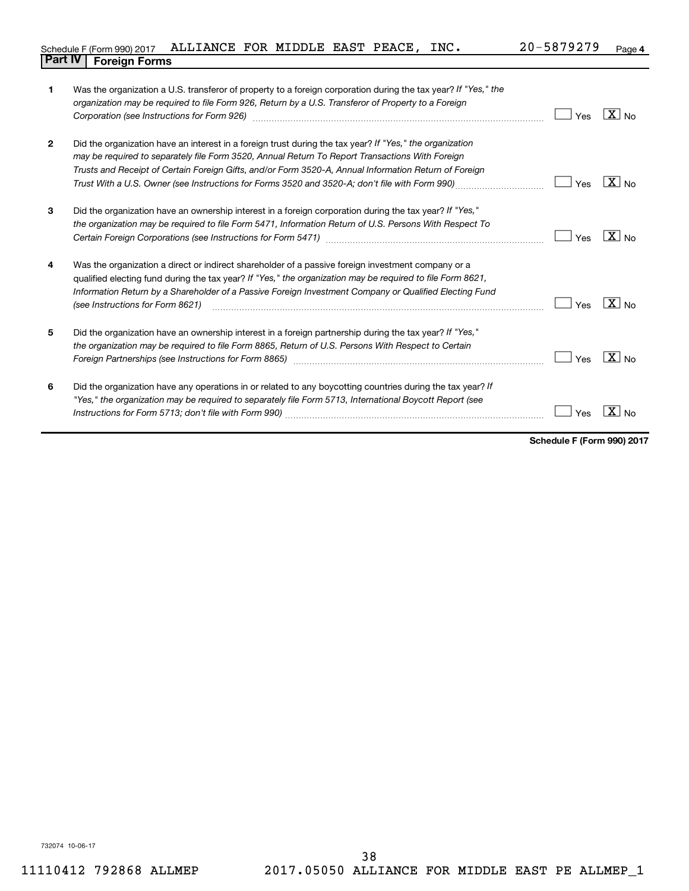| Schedule F (Form 990) 2017 ALLIANCE FOR MIDDLE EAST PEACE, |  |  | INC. | 20-5879279 | Page |
|------------------------------------------------------------|--|--|------|------------|------|
| <b>Part IV   Foreign Forms</b>                             |  |  |      |            |      |

| 1            | Was the organization a U.S. transferor of property to a foreign corporation during the tax year? If "Yes," the<br>organization may be required to file Form 926, Return by a U.S. Transferor of Property to a Foreign<br>Corporation (see Instructions for Form 926) manufactured contract to the contract of the contract of the contract of                                                                          | Yes | $\boxed{\text{X}}$ No |
|--------------|------------------------------------------------------------------------------------------------------------------------------------------------------------------------------------------------------------------------------------------------------------------------------------------------------------------------------------------------------------------------------------------------------------------------|-----|-----------------------|
| $\mathbf{2}$ | Did the organization have an interest in a foreign trust during the tax year? If "Yes," the organization<br>may be required to separately file Form 3520, Annual Return To Report Transactions With Foreign<br>Trusts and Receipt of Certain Foreign Gifts, and/or Form 3520-A, Annual Information Return of Foreign<br>Trust With a U.S. Owner (see Instructions for Forms 3520 and 3520-A, don't file with Form 990) | Yes | $ X _{\sf No}$        |
| 3            | Did the organization have an ownership interest in a foreign corporation during the tax year? If "Yes,"<br>the organization may be required to file Form 5471, Information Return of U.S. Persons With Respect To                                                                                                                                                                                                      | Yes | $ X _{\text{No}}$     |
| 4            | Was the organization a direct or indirect shareholder of a passive foreign investment company or a<br>qualified electing fund during the tax year? If "Yes," the organization may be required to file Form 8621,<br>Information Return by a Shareholder of a Passive Foreign Investment Company or Qualified Electing Fund<br>(see Instructions for Form 8621)                                                         | Yes | $\boxed{\text{X}}$ No |
| 5            | Did the organization have an ownership interest in a foreign partnership during the tax year? If "Yes,"<br>the organization may be required to file Form 8865, Return of U.S. Persons With Respect to Certain                                                                                                                                                                                                          | Yes | $\boxed{\text{X}}$ No |
| 6            | Did the organization have any operations in or related to any boycotting countries during the tax year? If<br>"Yes," the organization may be required to separately file Form 5713, International Boycott Report (see                                                                                                                                                                                                  | Yes | $\mathbf{X}$<br>No    |

**Schedule F (Form 990) 2017**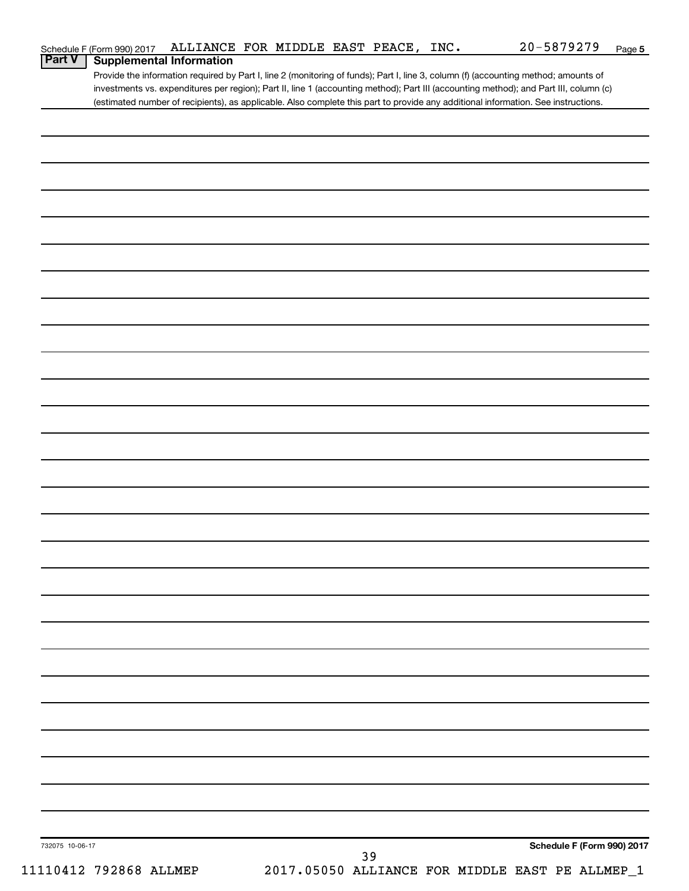|                 | Schedule F (Form 990) 2017      | ALLIANCE FOR MIDDLE EAST PEACE, INC. |  |    |  | $20 - 5879279$                                                                                                                        | Page 5 |
|-----------------|---------------------------------|--------------------------------------|--|----|--|---------------------------------------------------------------------------------------------------------------------------------------|--------|
| <b>Part V</b>   | <b>Supplemental Information</b> |                                      |  |    |  |                                                                                                                                       |        |
|                 |                                 |                                      |  |    |  | Provide the information required by Part I, line 2 (monitoring of funds); Part I, line 3, column (f) (accounting method; amounts of   |        |
|                 |                                 |                                      |  |    |  | investments vs. expenditures per region); Part II, line 1 (accounting method); Part III (accounting method); and Part III, column (c) |        |
|                 |                                 |                                      |  |    |  | (estimated number of recipients), as applicable. Also complete this part to provide any additional information. See instructions.     |        |
|                 |                                 |                                      |  |    |  |                                                                                                                                       |        |
|                 |                                 |                                      |  |    |  |                                                                                                                                       |        |
|                 |                                 |                                      |  |    |  |                                                                                                                                       |        |
|                 |                                 |                                      |  |    |  |                                                                                                                                       |        |
|                 |                                 |                                      |  |    |  |                                                                                                                                       |        |
|                 |                                 |                                      |  |    |  |                                                                                                                                       |        |
|                 |                                 |                                      |  |    |  |                                                                                                                                       |        |
|                 |                                 |                                      |  |    |  |                                                                                                                                       |        |
|                 |                                 |                                      |  |    |  |                                                                                                                                       |        |
|                 |                                 |                                      |  |    |  |                                                                                                                                       |        |
|                 |                                 |                                      |  |    |  |                                                                                                                                       |        |
|                 |                                 |                                      |  |    |  |                                                                                                                                       |        |
|                 |                                 |                                      |  |    |  |                                                                                                                                       |        |
|                 |                                 |                                      |  |    |  |                                                                                                                                       |        |
|                 |                                 |                                      |  |    |  |                                                                                                                                       |        |
|                 |                                 |                                      |  |    |  |                                                                                                                                       |        |
|                 |                                 |                                      |  |    |  |                                                                                                                                       |        |
|                 |                                 |                                      |  |    |  |                                                                                                                                       |        |
|                 |                                 |                                      |  |    |  |                                                                                                                                       |        |
|                 |                                 |                                      |  |    |  |                                                                                                                                       |        |
|                 |                                 |                                      |  |    |  |                                                                                                                                       |        |
|                 |                                 |                                      |  |    |  |                                                                                                                                       |        |
|                 |                                 |                                      |  |    |  |                                                                                                                                       |        |
|                 |                                 |                                      |  |    |  |                                                                                                                                       |        |
|                 |                                 |                                      |  |    |  |                                                                                                                                       |        |
|                 |                                 |                                      |  |    |  |                                                                                                                                       |        |
|                 |                                 |                                      |  |    |  |                                                                                                                                       |        |
|                 |                                 |                                      |  |    |  |                                                                                                                                       |        |
|                 |                                 |                                      |  |    |  |                                                                                                                                       |        |
|                 |                                 |                                      |  |    |  |                                                                                                                                       |        |
|                 |                                 |                                      |  |    |  |                                                                                                                                       |        |
|                 |                                 |                                      |  |    |  |                                                                                                                                       |        |
|                 |                                 |                                      |  |    |  |                                                                                                                                       |        |
|                 |                                 |                                      |  |    |  |                                                                                                                                       |        |
|                 |                                 |                                      |  |    |  |                                                                                                                                       |        |
|                 |                                 |                                      |  |    |  |                                                                                                                                       |        |
|                 |                                 |                                      |  |    |  |                                                                                                                                       |        |
|                 |                                 |                                      |  |    |  |                                                                                                                                       |        |
|                 |                                 |                                      |  |    |  |                                                                                                                                       |        |
|                 |                                 |                                      |  |    |  |                                                                                                                                       |        |
|                 |                                 |                                      |  |    |  |                                                                                                                                       |        |
|                 |                                 |                                      |  |    |  |                                                                                                                                       |        |
|                 |                                 |                                      |  |    |  |                                                                                                                                       |        |
|                 |                                 |                                      |  |    |  |                                                                                                                                       |        |
|                 |                                 |                                      |  |    |  |                                                                                                                                       |        |
|                 |                                 |                                      |  |    |  |                                                                                                                                       |        |
|                 |                                 |                                      |  |    |  |                                                                                                                                       |        |
|                 |                                 |                                      |  |    |  |                                                                                                                                       |        |
|                 |                                 |                                      |  |    |  |                                                                                                                                       |        |
|                 |                                 |                                      |  |    |  |                                                                                                                                       |        |
|                 |                                 |                                      |  |    |  |                                                                                                                                       |        |
|                 |                                 |                                      |  |    |  |                                                                                                                                       |        |
|                 |                                 |                                      |  |    |  |                                                                                                                                       |        |
|                 |                                 |                                      |  |    |  |                                                                                                                                       |        |
|                 |                                 |                                      |  |    |  |                                                                                                                                       |        |
| 732075 10-06-17 |                                 |                                      |  |    |  | Schedule F (Form 990) 2017                                                                                                            |        |
|                 |                                 |                                      |  | 39 |  |                                                                                                                                       |        |
|                 | 11110412 792868 ALLMEP          |                                      |  |    |  | 2017.05050 ALLIANCE FOR MIDDLE EAST PE ALLMEP_1                                                                                       |        |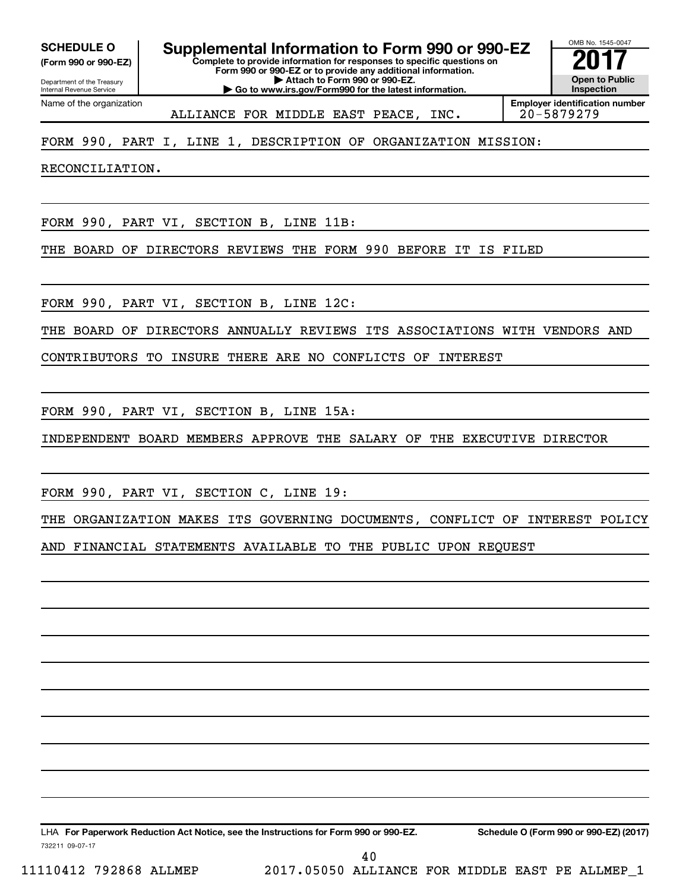**(Form 990 or 990-EZ)**

Department of the Treasury Internal Revenue Service Name of the organization

**Complete to provide information for responses to specific questions on SCHEDULE O Supplemental Information to Form 990 or 990-EZ** <br> **Complete to provide information for responses to specific questions on** 

**Form 990 or 990-EZ or to provide any additional information. | Attach to Form 990 or 990-EZ.**

**| Go to www.irs.gov/Form990 for the latest information.**

OMB No. 1545-0047 **Open to Public Inspection**

ALLIANCE FOR MIDDLE EAST PEACE, INC. 20-5879279

**Employer identification number**

## FORM 990, PART I, LINE 1, DESCRIPTION OF ORGANIZATION MISSION:

RECONCILIATION.

FORM 990, PART VI, SECTION B, LINE 11B:

THE BOARD OF DIRECTORS REVIEWS THE FORM 990 BEFORE IT IS FILED

FORM 990, PART VI, SECTION B, LINE 12C:

THE BOARD OF DIRECTORS ANNUALLY REVIEWS ITS ASSOCIATIONS WITH VENDORS AND

CONTRIBUTORS TO INSURE THERE ARE NO CONFLICTS OF INTEREST

FORM 990, PART VI, SECTION B, LINE 15A:

INDEPENDENT BOARD MEMBERS APPROVE THE SALARY OF THE EXECUTIVE DIRECTOR

FORM 990, PART VI, SECTION C, LINE 19:

THE ORGANIZATION MAKES ITS GOVERNING DOCUMENTS, CONFLICT OF INTEREST POLICY AND FINANCIAL STATEMENTS AVAILABLE TO THE PUBLIC UPON REQUEST

732211 09-07-17 LHA For Paperwork Reduction Act Notice, see the Instructions for Form 990 or 990-EZ. Schedule O (Form 990 or 990-EZ) (2017)

11110412 792868 ALLMEP 2017.05050 ALLIANCE FOR MIDDLE EAST PE ALLMEP\_1 40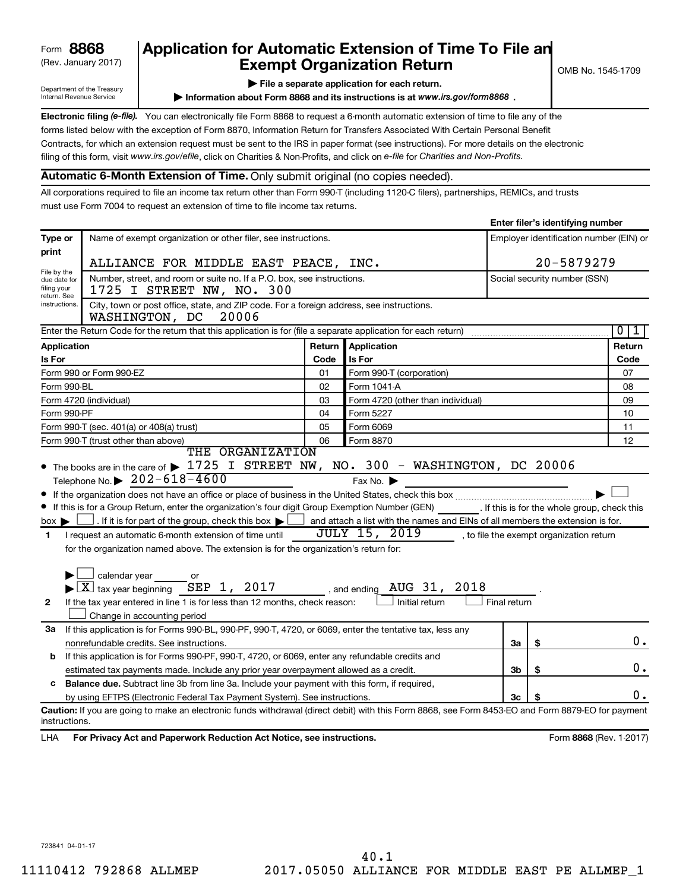| 8868<br>Form |  |
|--------------|--|
|--------------|--|

## (Rev. January 2017) **Exempt Organization Return** and  $\overline{\text{C}}$  OMB No. 1545-1709 **Form 8868 Application for Automatic Extension of Time To File an**<br>**Exempt Organization Beturn**

**Enter filer's identifying number**

Department of the Treasury Internal Revenue Service

**| File a separate application for each return.**

**Information about Form 8868 and its instructions is at www.irs.gov/form8868.** 

Electronic filing (e-file). You can electronically file Form 8868 to request a 6-month automatic extension of time to file any of the filing of this form, visit www.irs.gov/efile, click on Charities & Non-Profits, and click on e-file for Charities and Non-Profits. forms listed below with the exception of Form 8870, Information Return for Transfers Associated With Certain Personal Benefit Contracts, for which an extension request must be sent to the IRS in paper format (see instructions). For more details on the electronic

#### **Automatic 6-Month Extension of Time.** Only submit original (no copies needed).

All corporations required to file an income tax return other than Form 990-T (including 1120-C filers), partnerships, REMICs, and trusts must use Form 7004 to request an extension of time to file income tax returns.

|                                             |                                                                                                                                                                                                                                                                                                                                                                                                                                                                                                                                                                                                                                                   |           |                                                                        |              | Enter mer 3 identifying number           |                                         |  |  |
|---------------------------------------------|---------------------------------------------------------------------------------------------------------------------------------------------------------------------------------------------------------------------------------------------------------------------------------------------------------------------------------------------------------------------------------------------------------------------------------------------------------------------------------------------------------------------------------------------------------------------------------------------------------------------------------------------------|-----------|------------------------------------------------------------------------|--------------|------------------------------------------|-----------------------------------------|--|--|
| Type or                                     | Name of exempt organization or other filer, see instructions.                                                                                                                                                                                                                                                                                                                                                                                                                                                                                                                                                                                     |           |                                                                        |              |                                          | Employer identification number (EIN) or |  |  |
| print                                       |                                                                                                                                                                                                                                                                                                                                                                                                                                                                                                                                                                                                                                                   |           |                                                                        |              |                                          |                                         |  |  |
| File by the                                 | ALLIANCE FOR MIDDLE EAST PEACE, INC.                                                                                                                                                                                                                                                                                                                                                                                                                                                                                                                                                                                                              |           |                                                                        |              | 20-5879279                               |                                         |  |  |
| due date for<br>filing your<br>return. See  | Number, street, and room or suite no. If a P.O. box, see instructions.<br>1725 I STREET NW, NO. 300                                                                                                                                                                                                                                                                                                                                                                                                                                                                                                                                               |           |                                                                        |              | Social security number (SSN)             |                                         |  |  |
| instructions.                               | City, town or post office, state, and ZIP code. For a foreign address, see instructions.<br>WASHINGTON, DC<br>20006                                                                                                                                                                                                                                                                                                                                                                                                                                                                                                                               |           |                                                                        |              |                                          |                                         |  |  |
|                                             | Enter the Return Code for the return that this application is for (file a separate application for each return)                                                                                                                                                                                                                                                                                                                                                                                                                                                                                                                                   |           |                                                                        |              |                                          | $\overline{0}$<br>ı                     |  |  |
| Application                                 |                                                                                                                                                                                                                                                                                                                                                                                                                                                                                                                                                                                                                                                   | Return    | Application                                                            |              |                                          | Return                                  |  |  |
| Is For                                      |                                                                                                                                                                                                                                                                                                                                                                                                                                                                                                                                                                                                                                                   | Code      | Is For                                                                 |              |                                          | Code                                    |  |  |
|                                             | Form 990 or Form 990-EZ                                                                                                                                                                                                                                                                                                                                                                                                                                                                                                                                                                                                                           | 01        | Form 990-T (corporation)                                               |              |                                          | 07                                      |  |  |
| Form 990-BL                                 |                                                                                                                                                                                                                                                                                                                                                                                                                                                                                                                                                                                                                                                   | 02        | Form 1041-A                                                            |              |                                          | 08                                      |  |  |
|                                             | Form 4720 (individual)                                                                                                                                                                                                                                                                                                                                                                                                                                                                                                                                                                                                                            | 03        | Form 4720 (other than individual)                                      |              |                                          | 09                                      |  |  |
| Form 990-PF                                 |                                                                                                                                                                                                                                                                                                                                                                                                                                                                                                                                                                                                                                                   | 04        | Form 5227                                                              |              |                                          | 10                                      |  |  |
|                                             | Form 990-T (sec. 401(a) or 408(a) trust)                                                                                                                                                                                                                                                                                                                                                                                                                                                                                                                                                                                                          | 05        | Form 6069                                                              |              |                                          | 11                                      |  |  |
|                                             | Form 990-T (trust other than above)<br>THE ORGANIZATION                                                                                                                                                                                                                                                                                                                                                                                                                                                                                                                                                                                           | Form 8870 |                                                                        |              | 12                                       |                                         |  |  |
| $box \rightarrow \Box$<br>1<br>$\mathbf{2}$ | • If this is for a Group Return, enter the organization's four digit Group Exemption Number (GEN) [16] If this is for the whole group, check this<br>. If it is for part of the group, check this box $\blacktriangleright$   and attach a list with the names and EINs of all members the extension is for.<br>I request an automatic 6-month extension of time until<br>for the organization named above. The extension is for the organization's return for:<br>$\Box$ calendar year<br>$\blacktriangleright$ $\boxed{\text{X}}$ tax year beginning SEP 1, 2017<br>If the tax year entered in line 1 is for less than 12 months, check reason: |           | <b>JULY 15, 2019</b><br>AUG 31, 2018<br>, and ending<br>Initial return | Final return | , to file the exempt organization return |                                         |  |  |
|                                             | Change in accounting period                                                                                                                                                                                                                                                                                                                                                                                                                                                                                                                                                                                                                       |           |                                                                        |              |                                          |                                         |  |  |
| За                                          | If this application is for Forms 990-BL, 990-PF, 990-T, 4720, or 6069, enter the tentative tax, less any                                                                                                                                                                                                                                                                                                                                                                                                                                                                                                                                          |           |                                                                        |              |                                          |                                         |  |  |
|                                             | nonrefundable credits. See instructions.                                                                                                                                                                                                                                                                                                                                                                                                                                                                                                                                                                                                          |           |                                                                        | За           | \$                                       | 0.                                      |  |  |
| b                                           | If this application is for Forms 990-PF, 990-T, 4720, or 6069, enter any refundable credits and                                                                                                                                                                                                                                                                                                                                                                                                                                                                                                                                                   |           |                                                                        |              |                                          |                                         |  |  |
|                                             | estimated tax payments made. Include any prior year overpayment allowed as a credit.                                                                                                                                                                                                                                                                                                                                                                                                                                                                                                                                                              |           |                                                                        | 3b           | \$                                       | 0.                                      |  |  |
| c                                           | Balance due. Subtract line 3b from line 3a. Include your payment with this form, if required,                                                                                                                                                                                                                                                                                                                                                                                                                                                                                                                                                     |           |                                                                        |              |                                          |                                         |  |  |
|                                             | by using EFTPS (Electronic Federal Tax Payment System). See instructions.                                                                                                                                                                                                                                                                                                                                                                                                                                                                                                                                                                         |           |                                                                        | Зс           |                                          | 0.                                      |  |  |
| instructions.                               | Caution: If you are going to make an electronic funds withdrawal (direct debit) with this Form 8868, see Form 8453-EO and Form 8879-EO for payment                                                                                                                                                                                                                                                                                                                                                                                                                                                                                                |           |                                                                        |              |                                          |                                         |  |  |
| LHA                                         | For Privacy Act and Paperwork Reduction Act Notice, see instructions.                                                                                                                                                                                                                                                                                                                                                                                                                                                                                                                                                                             |           |                                                                        |              |                                          | Form 8868 (Rev. 1-2017)                 |  |  |

723841 04-01-17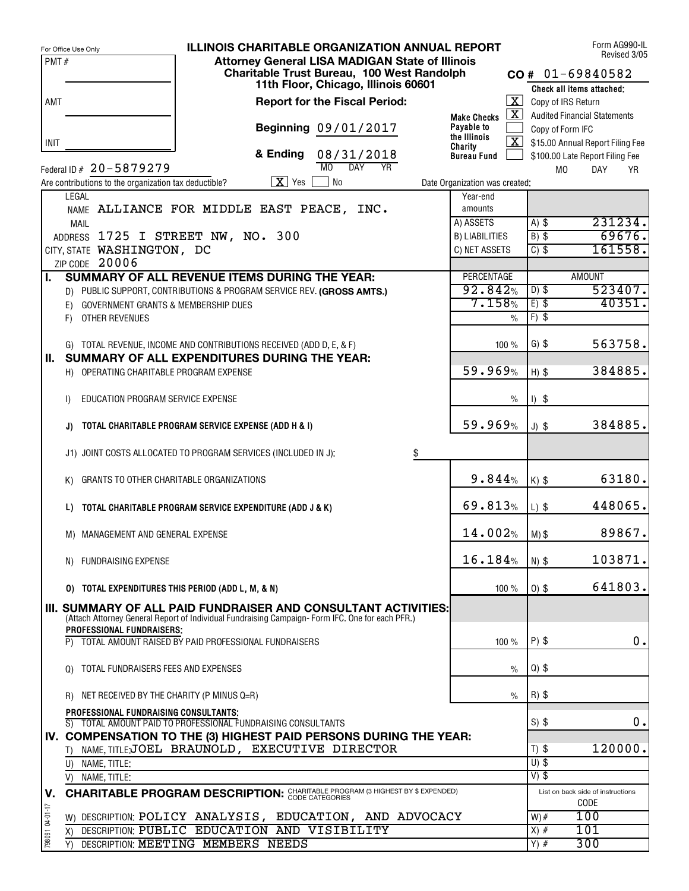|                 | For Office Use Only                                   | <b>ILLINOIS CHARITABLE ORGANIZATION ANNUAL REPORT</b>                                                               |                                  |                      |                    | Form AG990-IL<br>Revised 3/05                                       |
|-----------------|-------------------------------------------------------|---------------------------------------------------------------------------------------------------------------------|----------------------------------|----------------------|--------------------|---------------------------------------------------------------------|
| PMT#            |                                                       | <b>Attorney General LISA MADIGAN State of Illinois</b>                                                              |                                  |                      |                    |                                                                     |
|                 |                                                       | Charitable Trust Bureau, 100 West Randolph<br>11th Floor, Chicago, Illinois 60601                                   |                                  |                      |                    | $CO# 01-69840582$                                                   |
|                 |                                                       |                                                                                                                     |                                  |                      |                    | Check all items attached:                                           |
| AMT             |                                                       | <b>Report for the Fiscal Period:</b>                                                                                |                                  | $\boxed{\textbf{X}}$ | Copy of IRS Return |                                                                     |
|                 |                                                       | Beginning 09/01/2017                                                                                                | <b>Make Checks</b><br>Payable to |                      |                    | $\boxed{\mathbf{X}}$ Audited Financial Statements                   |
|                 |                                                       |                                                                                                                     | the Illinois                     | $\boxed{\text{X}}$   | Copy of Form IFC   |                                                                     |
| <b>INIT</b>     |                                                       | & Ending<br>08/31/2018                                                                                              | Charity<br>Bureau Fund           |                      |                    | \$15.00 Annual Report Filing Fee<br>\$100.00 Late Report Filing Fee |
|                 | Federal ID # 20-5879279                               | M <sub>0</sub><br>DAY<br><b>YR</b>                                                                                  |                                  |                      | M <sub>0</sub>     | <b>DAY</b><br><b>YR</b>                                             |
|                 | Are contributions to the organization tax deductible? | $X$ Yes<br>No                                                                                                       | Date Organization was created:   |                      |                    |                                                                     |
|                 | LEGAL                                                 |                                                                                                                     | Year-end                         |                      |                    |                                                                     |
|                 |                                                       | NAME ALLIANCE FOR MIDDLE EAST PEACE, INC.                                                                           | amounts                          |                      |                    |                                                                     |
|                 | MAIL                                                  |                                                                                                                     | A) ASSETS                        |                      | $A)$ \$            | 231234.                                                             |
|                 |                                                       | ADDRESS 1725 I STREET NW, NO. 300                                                                                   | <b>B) LIABILITIES</b>            |                      | $B)$ \$            | 69676.                                                              |
|                 | CITY, STATE WASHINGTON, DC                            |                                                                                                                     | C) NET ASSETS                    |                      | $C)$ \$            | 161558.                                                             |
|                 | ZIP CODE 20006                                        |                                                                                                                     |                                  |                      |                    |                                                                     |
| L.              |                                                       | <b>SUMMARY OF ALL REVENUE ITEMS DURING THE YEAR:</b>                                                                | PERCENTAGE                       |                      |                    | <b>AMOUNT</b>                                                       |
|                 |                                                       | D) PUBLIC SUPPORT, CONTRIBUTIONS & PROGRAM SERVICE REV. (GROSS AMTS.)                                               | 92.842%                          |                      | $D)$ \$            | 523407.                                                             |
|                 | GOVERNMENT GRANTS & MEMBERSHIP DUES<br>E)             |                                                                                                                     | 7.158%                           |                      | $E)$ \$            | 40351.                                                              |
|                 | OTHER REVENUES<br>F)                                  |                                                                                                                     |                                  | $\%$                 | $F)$ \$            |                                                                     |
|                 |                                                       |                                                                                                                     |                                  |                      | $G)$ \$            | 563758.                                                             |
| Ш.              |                                                       | G) TOTAL REVENUE, INCOME AND CONTRIBUTIONS RECEIVED (ADD D, E, & F)<br>SUMMARY OF ALL EXPENDITURES DURING THE YEAR: |                                  | 100 %                |                    |                                                                     |
|                 | H) OPERATING CHARITABLE PROGRAM EXPENSE               |                                                                                                                     | 59.969%                          |                      | $H)$ \$            | 384885.                                                             |
|                 |                                                       |                                                                                                                     |                                  |                      |                    |                                                                     |
|                 | EDUCATION PROGRAM SERVICE EXPENSE<br>$\mathsf{I}$     |                                                                                                                     |                                  | $\%$                 | $1)$ \$            |                                                                     |
|                 |                                                       |                                                                                                                     |                                  |                      |                    |                                                                     |
|                 | J)                                                    | TOTAL CHARITABLE PROGRAM SERVICE EXPENSE (ADD H & I)                                                                | 59.969%                          |                      | $J)$ \$            | 384885.                                                             |
|                 |                                                       |                                                                                                                     |                                  |                      |                    |                                                                     |
|                 |                                                       | J1) JOINT COSTS ALLOCATED TO PROGRAM SERVICES (INCLUDED IN J):<br>\$                                                |                                  |                      |                    |                                                                     |
|                 |                                                       |                                                                                                                     |                                  |                      |                    |                                                                     |
|                 | K)                                                    | GRANTS TO OTHER CHARITABLE ORGANIZATIONS                                                                            | 9.844%                           |                      | $K)$ \$            | 63180.                                                              |
|                 |                                                       |                                                                                                                     | 69.813%                          |                      |                    | 448065.                                                             |
|                 | L)                                                    | TOTAL CHARITABLE PROGRAM SERVICE EXPENDITURE (ADD J & K)                                                            |                                  |                      | $L)$ \$            |                                                                     |
|                 | M) MANAGEMENT AND GENERAL EXPENSE                     |                                                                                                                     | 14.002%                          |                      | $M)$ \$            | 89867.                                                              |
|                 |                                                       |                                                                                                                     |                                  |                      |                    |                                                                     |
|                 | N) FUNDRAISING EXPENSE                                |                                                                                                                     | 16.184%                          |                      | $N)$ \$            | 103871.                                                             |
|                 |                                                       |                                                                                                                     |                                  |                      |                    |                                                                     |
|                 | 0) TOTAL EXPENDITURES THIS PERIOD (ADD L, M, & N)     |                                                                                                                     |                                  | 100 %                | $0)$ \$            | 641803.                                                             |
|                 |                                                       | III. SUMMARY OF ALL PAID FUNDRAISER AND CONSULTANT ACTIVITIES:                                                      |                                  |                      |                    |                                                                     |
|                 |                                                       | (Attach Attorney General Report of Individual Fundraising Campaign-Form IFC. One for each PFR.)                     |                                  |                      |                    |                                                                     |
|                 | <b>PROFESSIONAL FUNDRAISERS:</b>                      |                                                                                                                     |                                  |                      |                    |                                                                     |
|                 | P)                                                    | TOTAL AMOUNT RAISED BY PAID PROFESSIONAL FUNDRAISERS                                                                |                                  | 100%                 | $P)$ \$            | 0.                                                                  |
|                 |                                                       |                                                                                                                     |                                  |                      |                    |                                                                     |
|                 | TOTAL FUNDRAISERS FEES AND EXPENSES<br>$\Omega$       |                                                                                                                     |                                  | $\%$                 | $Q)$ \$            |                                                                     |
|                 | NET RECEIVED BY THE CHARITY (P MINUS Q=R)<br>R)       |                                                                                                                     |                                  | $\%$                 | $R)$ \$            |                                                                     |
|                 |                                                       |                                                                                                                     |                                  |                      |                    |                                                                     |
|                 | PROFESSIONAL FUNDRAISING CONSULTANTS;                 | S) TOTAL AMOUNT PAID TO PROFESSIONAL FUNDRAISING CONSULTANTS                                                        |                                  |                      | $S)$ \$            | 0.                                                                  |
|                 |                                                       | IV. COMPENSATION TO THE (3) HIGHEST PAID PERSONS DURING THE YEAR:                                                   |                                  |                      |                    |                                                                     |
|                 |                                                       | T) NAME, TITLE;JOEL BRAUNOLD, EXECUTIVE DIRECTOR                                                                    |                                  |                      | $T)$ \$            | 120000.                                                             |
|                 | U) NAME, TITLE:                                       |                                                                                                                     |                                  |                      | $U)$ \$            |                                                                     |
|                 | V) NAME, TITLE:                                       |                                                                                                                     |                                  |                      | $V)$ \$            |                                                                     |
| V.              |                                                       | <b>CHARITABLE PROGRAM DESCRIPTION: CHARITABLE PROGRAM (3 HIGHEST BY \$ EXPENDED)</b>                                |                                  |                      |                    | List on back side of instructions                                   |
|                 |                                                       |                                                                                                                     |                                  |                      |                    | CODE                                                                |
| 798091 04-01-17 |                                                       | W) DESCRIPTION: POLICY ANALYSIS, EDUCATION, AND ADVOCACY                                                            |                                  |                      | $W)$ #             | 100                                                                 |
|                 | X)                                                    | DESCRIPTION: PUBLIC EDUCATION AND VISIBILITY                                                                        |                                  |                      | $X)$ #             | 101<br>300                                                          |
|                 | Y)                                                    | DESCRIPTION: MEETING MEMBERS NEEDS                                                                                  |                                  |                      | $Y)$ #             |                                                                     |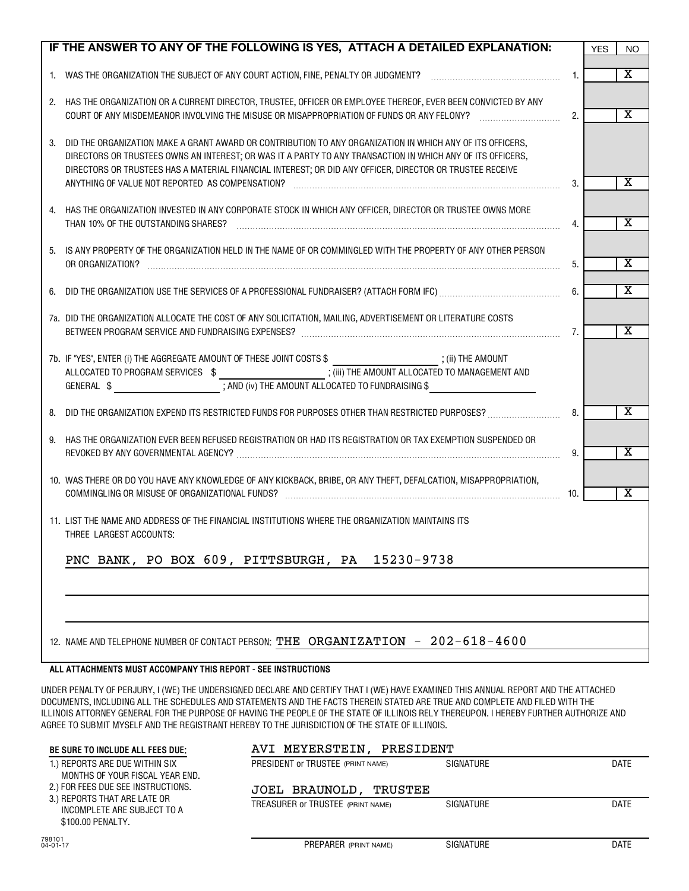|    | IF THE ANSWER TO ANY OF THE FOLLOWING IS YES, ATTACH A DETAILED EXPLANATION:                                                                                                                                                                                                                                                                                                           |     | <b>YES</b> | NO.                     |
|----|----------------------------------------------------------------------------------------------------------------------------------------------------------------------------------------------------------------------------------------------------------------------------------------------------------------------------------------------------------------------------------------|-----|------------|-------------------------|
|    |                                                                                                                                                                                                                                                                                                                                                                                        | 1.  |            | $\overline{\textbf{x}}$ |
|    | 2. HAS THE ORGANIZATION OR A CURRENT DIRECTOR, TRUSTEE, OFFICER OR EMPLOYEE THEREOF, EVER BEEN CONVICTED BY ANY<br>COURT OF ANY MISDEMEANOR INVOLVING THE MISUSE OR MISAPPROPRIATION OF FUNDS OR ANY FELONY?                                                                                                                                                                           | 2.  |            | $\overline{\textbf{x}}$ |
| 3. | DID THE ORGANIZATION MAKE A GRANT AWARD OR CONTRIBUTION TO ANY ORGANIZATION IN WHICH ANY OF ITS OFFICERS,<br>DIRECTORS OR TRUSTEES OWNS AN INTEREST; OR WAS IT A PARTY TO ANY TRANSACTION IN WHICH ANY OF ITS OFFICERS,<br>DIRECTORS OR TRUSTEES HAS A MATERIAL FINANCIAL INTEREST; OR DID ANY OFFICER, DIRECTOR OR TRUSTEE RECEIVE<br>ANYTHING OF VALUE NOT REPORTED AS COMPENSATION? | 3.  |            | х                       |
|    | HAS THE ORGANIZATION INVESTED IN ANY CORPORATE STOCK IN WHICH ANY OFFICER, DIRECTOR OR TRUSTEE OWNS MORE<br>THAN 10% OF THE OUTSTANDING SHARES?                                                                                                                                                                                                                                        | 4.  |            | $\overline{\textbf{x}}$ |
| 5. | IS ANY PROPERTY OF THE ORGANIZATION HELD IN THE NAME OF OR COMMINGLED WITH THE PROPERTY OF ANY OTHER PERSON<br>OR ORGANIZATION?                                                                                                                                                                                                                                                        | 5.  |            | х                       |
|    |                                                                                                                                                                                                                                                                                                                                                                                        | 6.  |            | х                       |
|    | 7a. DID THE ORGANIZATION ALLOCATE THE COST OF ANY SOLICITATION, MAILING, ADVERTISEMENT OR LITERATURE COSTS                                                                                                                                                                                                                                                                             | 7.  |            | X                       |
|    | 7b. IF "YES", ENTER (i) THE AGGREGATE AMOUNT OF THESE JOINT COSTS \$ ________________________; (ii) THE AMOUNT<br>ALLOCATED TO PROGRAM SERVICES \$<br>TAND (iv) THE AMOUNT ALLOCATED TO FUNDRAISING \$                                                                                                                                                                                 |     |            |                         |
|    |                                                                                                                                                                                                                                                                                                                                                                                        | 8.  |            | X                       |
| 9. | HAS THE ORGANIZATION EVER BEEN REFUSED REGISTRATION OR HAD ITS REGISTRATION OR TAX EXEMPTION SUSPENDED OR                                                                                                                                                                                                                                                                              | 9.  |            | X                       |
|    | 10. WAS THERE OR DO YOU HAVE ANY KNOWLEDGE OF ANY KICKBACK, BRIBE, OR ANY THEFT, DEFALCATION, MISAPPROPRIATION,<br>COMMINGLING OR MISUSE OF ORGANIZATIONAL FUNDS? [11] COMMINGLING COMMINGLING OR MISUSE OF ORGANIZATIONAL FUNDS?                                                                                                                                                      | 10. |            | $\overline{\textbf{x}}$ |
|    | 11. LIST THE NAME AND ADDRESS OF THE FINANCIAL INSTITUTIONS WHERE THE ORGANIZATION MAINTAINS ITS<br>THREE LARGEST ACCOUNTS:                                                                                                                                                                                                                                                            |     |            |                         |
|    | PNC BANK, PO BOX 609, PITTSBURGH, PA 15230-9738                                                                                                                                                                                                                                                                                                                                        |     |            |                         |
|    |                                                                                                                                                                                                                                                                                                                                                                                        |     |            |                         |
|    |                                                                                                                                                                                                                                                                                                                                                                                        |     |            |                         |
|    | 12. NAME AND TELEPHONE NUMBER OF CONTACT PERSON: THE ORGANIZATION - 202-618-4600                                                                                                                                                                                                                                                                                                       |     |            |                         |
|    |                                                                                                                                                                                                                                                                                                                                                                                        |     |            |                         |

#### **ALL ATTACHMENTS MUST ACCOMPANY THIS REPORT - SEE INSTRUCTIONS**

UNDER PENALTY OF PERJURY, I (WE) THE UNDERSIGNED DECLARE AND CERTIFY THAT I (WE) HAVE EXAMINED THIS ANNUAL REPORT AND THE ATTACHED DOCUMENTS, INCLUDING ALL THE SCHEDULES AND STATEMENTS AND THE FACTS THEREIN STATED ARE TRUE AND COMPLETE AND FILED WITH THE ILLINOIS ATTORNEY GENERAL FOR THE PURPOSE OF HAVING THE PEOPLE OF THE STATE OF ILLINOIS RELY THEREUPON. I HEREBY FURTHER AUTHORIZE AND AGREE TO SUBMIT MYSELF AND THE REGISTRANT HEREBY TO THE JURISDICTION OF THE STATE OF ILLINOIS.

| BE SURE TO INCLUDE ALL FEES DUE:                                                                                                                                                            | AVI MEYERSTEIN.<br>PRESIDENT      |           |      |  |
|---------------------------------------------------------------------------------------------------------------------------------------------------------------------------------------------|-----------------------------------|-----------|------|--|
| 1.) REPORTS ARE DUE WITHIN SIX<br>MONTHS OF YOUR FISCAL YEAR END.<br>2.) FOR FEES DUE SEE INSTRUCTIONS.<br>3.) REPORTS THAT ARE LATE OR<br>INCOMPLETE ARE SUBJECT TO A<br>\$100.00 PENALTY. | PRESIDENT OF TRUSTEE (PRINT NAME) | SIGNATURE | DATE |  |
|                                                                                                                                                                                             | JOEL BRAUNOLD, TRUSTEE            |           |      |  |
|                                                                                                                                                                                             | TREASURER OF TRUSTEE (PRINT NAME) | SIGNATURE | DATE |  |
| 798101<br>$04 - 01 - 17$                                                                                                                                                                    | PREPARER (PRINT NAME)             | SIGNATURE | DATE |  |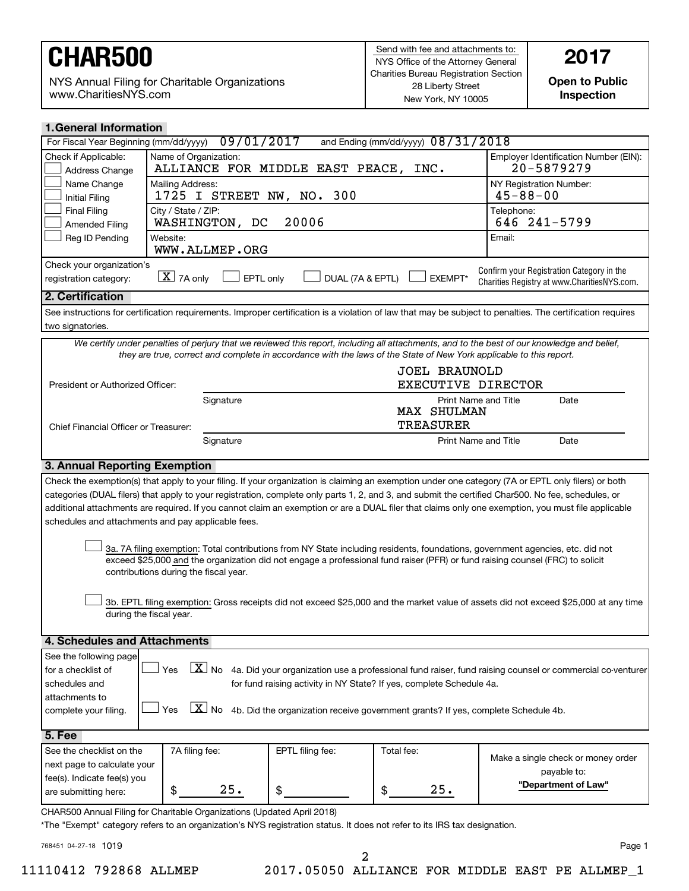NYS Annual Filing for Charitable Organizations www.CharitiesNYS.com

**Open to Public Inspection**

| <b>1. General Information</b>                                                                                                                                                                                                                                                                            |                                                                                                                      |                                           |                                                   |                                                                                                                                                            |  |  |
|----------------------------------------------------------------------------------------------------------------------------------------------------------------------------------------------------------------------------------------------------------------------------------------------------------|----------------------------------------------------------------------------------------------------------------------|-------------------------------------------|---------------------------------------------------|------------------------------------------------------------------------------------------------------------------------------------------------------------|--|--|
| 09/01/2017<br>and Ending (mm/dd/yyyy) 08/31/2018<br>For Fiscal Year Beginning (mm/dd/yyyy)                                                                                                                                                                                                               |                                                                                                                      |                                           |                                                   |                                                                                                                                                            |  |  |
| Check if Applicable:<br>Address Change                                                                                                                                                                                                                                                                   | Employer Identification Number (EIN):<br>Name of Organization:<br>20-5879279<br>ALLIANCE FOR MIDDLE EAST PEACE, INC. |                                           |                                                   |                                                                                                                                                            |  |  |
| Name Change<br><b>Initial Filing</b>                                                                                                                                                                                                                                                                     | Mailing Address:<br>1725 I STREET NW, NO. 300                                                                        | NY Registration Number:<br>$45 - 88 - 00$ |                                                   |                                                                                                                                                            |  |  |
| <b>Final Filing</b><br><b>Amended Filing</b>                                                                                                                                                                                                                                                             | City / State / ZIP:<br>WASHINGTON, DC                                                                                |                                           | Telephone:<br>646 241-5799                        |                                                                                                                                                            |  |  |
| Reg ID Pending                                                                                                                                                                                                                                                                                           | Website:<br>WWW.ALLMEP.ORG                                                                                           |                                           |                                                   | Email:                                                                                                                                                     |  |  |
| Check your organization's<br>Confirm your Registration Category in the<br>$\boxed{\mathbf{X}}$ 7A only<br>EPTL only<br>DUAL (7A & EPTL)<br><b>EXEMPT*</b><br>registration category:<br>Charities Registry at www.CharitiesNYS.com.                                                                       |                                                                                                                      |                                           |                                                   |                                                                                                                                                            |  |  |
| 2. Certification                                                                                                                                                                                                                                                                                         |                                                                                                                      |                                           |                                                   |                                                                                                                                                            |  |  |
|                                                                                                                                                                                                                                                                                                          |                                                                                                                      |                                           |                                                   | See instructions for certification requirements. Improper certification is a violation of law that may be subject to penalties. The certification requires |  |  |
| two signatories.                                                                                                                                                                                                                                                                                         |                                                                                                                      |                                           |                                                   |                                                                                                                                                            |  |  |
|                                                                                                                                                                                                                                                                                                          | they are true, correct and complete in accordance with the laws of the State of New York applicable to this report.  |                                           |                                                   | We certify under penalties of perjury that we reviewed this report, including all attachments, and to the best of our knowledge and belief,                |  |  |
| President or Authorized Officer:                                                                                                                                                                                                                                                                         |                                                                                                                      |                                           | <b>JOEL BRAUNOLD</b><br><b>EXECUTIVE DIRECTOR</b> |                                                                                                                                                            |  |  |
|                                                                                                                                                                                                                                                                                                          | Signature<br>Print Name and Title<br>Date<br><b>MAX SHULMAN</b>                                                      |                                           |                                                   |                                                                                                                                                            |  |  |
| Chief Financial Officer or Treasurer:                                                                                                                                                                                                                                                                    |                                                                                                                      |                                           | <b>TREASURER</b>                                  |                                                                                                                                                            |  |  |
|                                                                                                                                                                                                                                                                                                          | Signature                                                                                                            |                                           | <b>Print Name and Title</b>                       | Date                                                                                                                                                       |  |  |
| 3. Annual Reporting Exemption                                                                                                                                                                                                                                                                            |                                                                                                                      |                                           |                                                   |                                                                                                                                                            |  |  |
|                                                                                                                                                                                                                                                                                                          |                                                                                                                      |                                           |                                                   | Check the exemption(s) that apply to your filing. If your organization is claiming an exemption under one category (7A or EPTL only filers) or both        |  |  |
|                                                                                                                                                                                                                                                                                                          |                                                                                                                      |                                           |                                                   | categories (DUAL filers) that apply to your registration, complete only parts 1, 2, and 3, and submit the certified Char500. No fee, schedules, or         |  |  |
|                                                                                                                                                                                                                                                                                                          |                                                                                                                      |                                           |                                                   | additional attachments are required. If you cannot claim an exemption or are a DUAL filer that claims only one exemption, you must file applicable         |  |  |
|                                                                                                                                                                                                                                                                                                          | schedules and attachments and pay applicable fees.                                                                   |                                           |                                                   |                                                                                                                                                            |  |  |
| 3a. 7A filing exemption: Total contributions from NY State including residents, foundations, government agencies, etc. did not<br>exceed \$25,000 and the organization did not engage a professional fund raiser (PFR) or fund raising counsel (FRC) to solicit<br>contributions during the fiscal year. |                                                                                                                      |                                           |                                                   |                                                                                                                                                            |  |  |
| 3b. EPTL filing exemption: Gross receipts did not exceed \$25,000 and the market value of assets did not exceed \$25,000 at any time<br>during the fiscal year.                                                                                                                                          |                                                                                                                      |                                           |                                                   |                                                                                                                                                            |  |  |
| 4. Schedules and Attachments                                                                                                                                                                                                                                                                             |                                                                                                                      |                                           |                                                   |                                                                                                                                                            |  |  |
| See the following page<br>$ \underline{X} $ No 4a. Did your organization use a professional fund raiser, fund raising counsel or commercial co-venturer<br>Yes<br>for a checklist of<br>for fund raising activity in NY State? If yes, complete Schedule 4a.<br>schedules and<br>attachments to          |                                                                                                                      |                                           |                                                   |                                                                                                                                                            |  |  |
| $\boxed{\mathbf{X}}$ No 4b. Did the organization receive government grants? If yes, complete Schedule 4b.<br>Yes<br>complete your filing.                                                                                                                                                                |                                                                                                                      |                                           |                                                   |                                                                                                                                                            |  |  |
| 5. Fee                                                                                                                                                                                                                                                                                                   |                                                                                                                      |                                           |                                                   |                                                                                                                                                            |  |  |
| See the checklist on the<br>next page to calculate your                                                                                                                                                                                                                                                  | 7A filing fee:                                                                                                       | EPTL filing fee:                          | Total fee:                                        | Make a single check or money order                                                                                                                         |  |  |
| fee(s). Indicate fee(s) you                                                                                                                                                                                                                                                                              |                                                                                                                      |                                           |                                                   | payable to:<br>"Department of Law"                                                                                                                         |  |  |
| are submitting here:                                                                                                                                                                                                                                                                                     | 25.<br>\$                                                                                                            | \$                                        | 25.<br>\$                                         |                                                                                                                                                            |  |  |
| CHAR500 Annual Filing for Charitable Organizations (Updated April 2018)<br>*The "Exempt" category refers to an organization's NYS registration status. It does not refer to its IRS tax designation.                                                                                                     |                                                                                                                      |                                           |                                                   |                                                                                                                                                            |  |  |

2

768451 04-27-18

11110412 792868 ALLMEP 2017.05050 ALLIANCE FOR MIDDLE EAST PE ALLMEP\_1

1019 Page 1